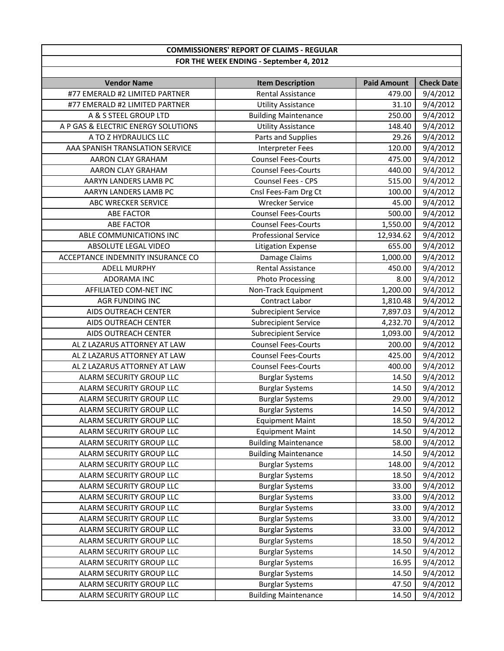## **COMMISSIONERS' REPORT OF CLAIMS ‐ REGULAR FOR THE WEEK ENDING ‐ September 4, 2012**

| <b>Vendor Name</b>                  | <b>Item Description</b>     | <b>Paid Amount</b> | <b>Check Date</b> |
|-------------------------------------|-----------------------------|--------------------|-------------------|
| #77 EMERALD #2 LIMITED PARTNER      | <b>Rental Assistance</b>    | 479.00             | 9/4/2012          |
| #77 EMERALD #2 LIMITED PARTNER      | <b>Utility Assistance</b>   | 31.10              | 9/4/2012          |
| A & S STEEL GROUP LTD               | <b>Building Maintenance</b> | 250.00             | 9/4/2012          |
| A P GAS & ELECTRIC ENERGY SOLUTIONS | <b>Utility Assistance</b>   | 148.40             | 9/4/2012          |
| A TO Z HYDRAULICS LLC               | Parts and Supplies          | 29.26              | 9/4/2012          |
| AAA SPANISH TRANSLATION SERVICE     | <b>Interpreter Fees</b>     | 120.00             | 9/4/2012          |
| AARON CLAY GRAHAM                   | <b>Counsel Fees-Courts</b>  | 475.00             | 9/4/2012          |
| AARON CLAY GRAHAM                   | <b>Counsel Fees-Courts</b>  | 440.00             | 9/4/2012          |
| AARYN LANDERS LAMB PC               | Counsel Fees - CPS          | 515.00             | 9/4/2012          |
| AARYN LANDERS LAMB PC               | Cnsl Fees-Fam Drg Ct        | 100.00             | 9/4/2012          |
| ABC WRECKER SERVICE                 | <b>Wrecker Service</b>      | 45.00              | 9/4/2012          |
| <b>ABE FACTOR</b>                   | <b>Counsel Fees-Courts</b>  | 500.00             | 9/4/2012          |
| <b>ABE FACTOR</b>                   | <b>Counsel Fees-Courts</b>  | 1,550.00           | 9/4/2012          |
| ABLE COMMUNICATIONS INC             | <b>Professional Service</b> | 12,934.62          | 9/4/2012          |
| ABSOLUTE LEGAL VIDEO                | <b>Litigation Expense</b>   | 655.00             | 9/4/2012          |
| ACCEPTANCE INDEMNITY INSURANCE CO   | Damage Claims               | 1,000.00           | 9/4/2012          |
| <b>ADELL MURPHY</b>                 | <b>Rental Assistance</b>    | 450.00             | 9/4/2012          |
| <b>ADORAMA INC</b>                  | <b>Photo Processing</b>     | 8.00               | 9/4/2012          |
| AFFILIATED COM-NET INC              | Non-Track Equipment         | 1,200.00           | 9/4/2012          |
| <b>AGR FUNDING INC</b>              | Contract Labor              | 1,810.48           | 9/4/2012          |
| AIDS OUTREACH CENTER                | <b>Subrecipient Service</b> | 7,897.03           | 9/4/2012          |
| AIDS OUTREACH CENTER                | <b>Subrecipient Service</b> | 4,232.70           | 9/4/2012          |
| AIDS OUTREACH CENTER                | <b>Subrecipient Service</b> | 1,093.00           | 9/4/2012          |
| AL Z LAZARUS ATTORNEY AT LAW        | <b>Counsel Fees-Courts</b>  | 200.00             | 9/4/2012          |
| AL Z LAZARUS ATTORNEY AT LAW        | <b>Counsel Fees-Courts</b>  | 425.00             | 9/4/2012          |
| AL Z LAZARUS ATTORNEY AT LAW        | <b>Counsel Fees-Courts</b>  | 400.00             | 9/4/2012          |
| ALARM SECURITY GROUP LLC            | <b>Burglar Systems</b>      | 14.50              | 9/4/2012          |
| ALARM SECURITY GROUP LLC            | <b>Burglar Systems</b>      | 14.50              | 9/4/2012          |
| ALARM SECURITY GROUP LLC            | <b>Burglar Systems</b>      | 29.00              | 9/4/2012          |
| ALARM SECURITY GROUP LLC            | <b>Burglar Systems</b>      | 14.50              | 9/4/2012          |
| ALARM SECURITY GROUP LLC            | <b>Equipment Maint</b>      | 18.50              | 9/4/2012          |
| ALARM SECURITY GROUP LLC            | <b>Equipment Maint</b>      | 14.50              | 9/4/2012          |
| ALARM SECURITY GROUP LLC            | <b>Building Maintenance</b> | 58.00              | 9/4/2012          |
| ALARM SECURITY GROUP LLC            | <b>Building Maintenance</b> | 14.50              | 9/4/2012          |
| ALARM SECURITY GROUP LLC            | <b>Burglar Systems</b>      | 148.00             | 9/4/2012          |
| ALARM SECURITY GROUP LLC            | <b>Burglar Systems</b>      | 18.50              | 9/4/2012          |
| ALARM SECURITY GROUP LLC            | <b>Burglar Systems</b>      | 33.00              | 9/4/2012          |
| ALARM SECURITY GROUP LLC            | <b>Burglar Systems</b>      | 33.00              | 9/4/2012          |
| ALARM SECURITY GROUP LLC            | <b>Burglar Systems</b>      | 33.00              | 9/4/2012          |
| ALARM SECURITY GROUP LLC            | <b>Burglar Systems</b>      | 33.00              | 9/4/2012          |
| ALARM SECURITY GROUP LLC            | <b>Burglar Systems</b>      | 33.00              | 9/4/2012          |
| ALARM SECURITY GROUP LLC            | <b>Burglar Systems</b>      | 18.50              | 9/4/2012          |
| ALARM SECURITY GROUP LLC            | <b>Burglar Systems</b>      | 14.50              | 9/4/2012          |
| ALARM SECURITY GROUP LLC            | <b>Burglar Systems</b>      | 16.95              | 9/4/2012          |
| ALARM SECURITY GROUP LLC            | <b>Burglar Systems</b>      | 14.50              | 9/4/2012          |
| ALARM SECURITY GROUP LLC            | <b>Burglar Systems</b>      | 47.50              | 9/4/2012          |
| ALARM SECURITY GROUP LLC            | <b>Building Maintenance</b> | 14.50              | 9/4/2012          |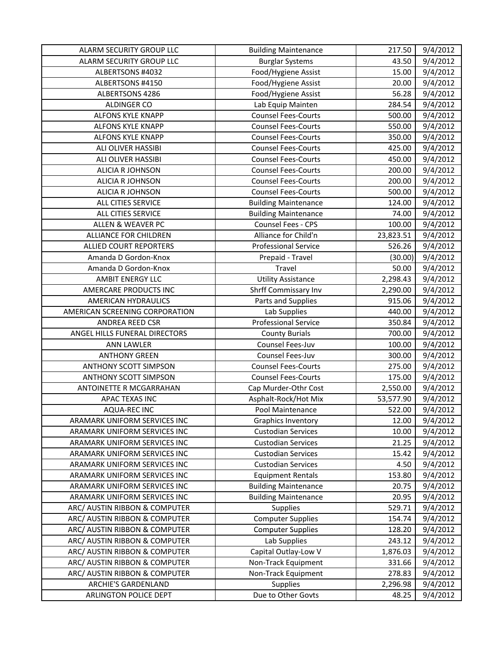| ALARM SECURITY GROUP LLC       | <b>Building Maintenance</b> | 217.50    | 9/4/2012              |
|--------------------------------|-----------------------------|-----------|-----------------------|
| ALARM SECURITY GROUP LLC       | <b>Burglar Systems</b>      | 43.50     | 9/4/2012              |
| ALBERTSONS #4032               | Food/Hygiene Assist         | 15.00     | 9/4/2012              |
| ALBERTSONS #4150               | Food/Hygiene Assist         | 20.00     | 9/4/2012              |
| ALBERTSONS 4286                | Food/Hygiene Assist         | 56.28     | 9/4/2012              |
| <b>ALDINGER CO</b>             | Lab Equip Mainten           | 284.54    | 9/4/2012              |
| <b>ALFONS KYLE KNAPP</b>       | <b>Counsel Fees-Courts</b>  | 500.00    | 9/4/2012              |
| <b>ALFONS KYLE KNAPP</b>       | <b>Counsel Fees-Courts</b>  | 550.00    | 9/4/2012              |
| <b>ALFONS KYLE KNAPP</b>       | <b>Counsel Fees-Courts</b>  | 350.00    | 9/4/2012              |
| ALI OLIVER HASSIBI             | <b>Counsel Fees-Courts</b>  | 425.00    | 9/4/2012              |
| ALI OLIVER HASSIBI             | <b>Counsel Fees-Courts</b>  | 450.00    | 9/4/2012              |
| ALICIA R JOHNSON               | <b>Counsel Fees-Courts</b>  | 200.00    | 9/4/2012              |
| ALICIA R JOHNSON               | <b>Counsel Fees-Courts</b>  | 200.00    | 9/4/2012              |
| ALICIA R JOHNSON               | <b>Counsel Fees-Courts</b>  | 500.00    | 9/4/2012              |
| ALL CITIES SERVICE             | <b>Building Maintenance</b> | 124.00    | 9/4/2012              |
| ALL CITIES SERVICE             | <b>Building Maintenance</b> | 74.00     | 9/4/2012              |
| <b>ALLEN &amp; WEAVER PC</b>   | Counsel Fees - CPS          | 100.00    | 9/4/2012              |
| <b>ALLIANCE FOR CHILDREN</b>   | Alliance for Child'n        | 23,823.51 | 9/4/2012              |
| <b>ALLIED COURT REPORTERS</b>  | <b>Professional Service</b> | 526.26    | 9/4/2012              |
| Amanda D Gordon-Knox           | Prepaid - Travel            | (30.00)   | 9/4/2012              |
| Amanda D Gordon-Knox           | Travel                      | 50.00     | 9/4/2012              |
| <b>AMBIT ENERGY LLC</b>        | <b>Utility Assistance</b>   | 2,298.43  | 9/4/2012              |
| AMERCARE PRODUCTS INC          | Shrff Commissary Inv        | 2,290.00  | 9/4/2012              |
| AMERICAN HYDRAULICS            | Parts and Supplies          | 915.06    | 9/4/2012              |
| AMERICAN SCREENING CORPORATION | Lab Supplies                | 440.00    | 9/4/2012              |
| ANDREA REED CSR                | <b>Professional Service</b> | 350.84    | 9/4/2012              |
| ANGEL HILLS FUNERAL DIRECTORS  | <b>County Burials</b>       | 700.00    | $\overline{9}/4/2012$ |
| <b>ANN LAWLER</b>              | Counsel Fees-Juv            | 100.00    | 9/4/2012              |
| <b>ANTHONY GREEN</b>           | Counsel Fees-Juv            | 300.00    | 9/4/2012              |
| <b>ANTHONY SCOTT SIMPSON</b>   | <b>Counsel Fees-Courts</b>  | 275.00    | 9/4/2012              |
| ANTHONY SCOTT SIMPSON          | <b>Counsel Fees-Courts</b>  | 175.00    | 9/4/2012              |
| ANTOINETTE R MCGARRAHAN        | Cap Murder-Othr Cost        | 2,550.00  | 9/4/2012              |
| APAC TEXAS INC                 | Asphalt-Rock/Hot Mix        | 53,577.90 | 9/4/2012              |
| AQUA-REC INC                   | Pool Maintenance            | 522.00    | 9/4/2012              |
| ARAMARK UNIFORM SERVICES INC   | <b>Graphics Inventory</b>   | 12.00     | 9/4/2012              |
| ARAMARK UNIFORM SERVICES INC   | <b>Custodian Services</b>   | 10.00     | 9/4/2012              |
| ARAMARK UNIFORM SERVICES INC   | <b>Custodian Services</b>   | 21.25     | 9/4/2012              |
| ARAMARK UNIFORM SERVICES INC   | <b>Custodian Services</b>   | 15.42     | 9/4/2012              |
| ARAMARK UNIFORM SERVICES INC   | <b>Custodian Services</b>   | 4.50      | 9/4/2012              |
| ARAMARK UNIFORM SERVICES INC   | <b>Equipment Rentals</b>    | 153.80    | 9/4/2012              |
| ARAMARK UNIFORM SERVICES INC   | <b>Building Maintenance</b> | 20.75     | 9/4/2012              |
| ARAMARK UNIFORM SERVICES INC   | <b>Building Maintenance</b> | 20.95     | 9/4/2012              |
| ARC/ AUSTIN RIBBON & COMPUTER  | Supplies                    | 529.71    | 9/4/2012              |
| ARC/ AUSTIN RIBBON & COMPUTER  | <b>Computer Supplies</b>    | 154.74    | 9/4/2012              |
| ARC/ AUSTIN RIBBON & COMPUTER  | <b>Computer Supplies</b>    | 128.20    | 9/4/2012              |
| ARC/ AUSTIN RIBBON & COMPUTER  | Lab Supplies                | 243.12    | 9/4/2012              |
| ARC/ AUSTIN RIBBON & COMPUTER  | Capital Outlay-Low V        | 1,876.03  | 9/4/2012              |
| ARC/ AUSTIN RIBBON & COMPUTER  | Non-Track Equipment         | 331.66    | 9/4/2012              |
| ARC/ AUSTIN RIBBON & COMPUTER  | Non-Track Equipment         | 278.83    | 9/4/2012              |
| <b>ARCHIE'S GARDENLAND</b>     | Supplies                    | 2,296.98  | 9/4/2012              |
| ARLINGTON POLICE DEPT          | Due to Other Govts          | 48.25     | 9/4/2012              |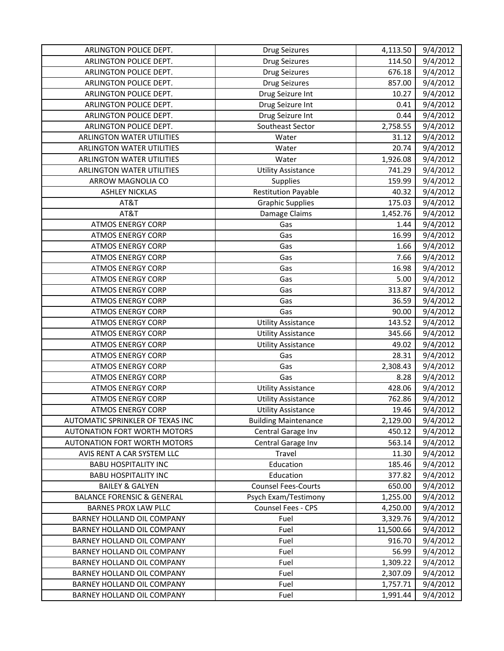| ARLINGTON POLICE DEPT.                | Drug Seizures               | 4,113.50  | 9/4/2012 |
|---------------------------------------|-----------------------------|-----------|----------|
| ARLINGTON POLICE DEPT.                | Drug Seizures               | 114.50    | 9/4/2012 |
| ARLINGTON POLICE DEPT.                | Drug Seizures               | 676.18    | 9/4/2012 |
| ARLINGTON POLICE DEPT.                | Drug Seizures               | 857.00    | 9/4/2012 |
| ARLINGTON POLICE DEPT.                | Drug Seizure Int            | 10.27     | 9/4/2012 |
| ARLINGTON POLICE DEPT.                | Drug Seizure Int            | 0.41      | 9/4/2012 |
| ARLINGTON POLICE DEPT.                | Drug Seizure Int            | 0.44      | 9/4/2012 |
| ARLINGTON POLICE DEPT.                | Southeast Sector            | 2,758.55  | 9/4/2012 |
| ARLINGTON WATER UTILITIES             | Water                       | 31.12     | 9/4/2012 |
| ARLINGTON WATER UTILITIES             | Water                       | 20.74     | 9/4/2012 |
| ARLINGTON WATER UTILITIES             | Water                       | 1,926.08  | 9/4/2012 |
| <b>ARLINGTON WATER UTILITIES</b>      | <b>Utility Assistance</b>   | 741.29    | 9/4/2012 |
| ARROW MAGNOLIA CO                     | Supplies                    | 159.99    | 9/4/2012 |
| <b>ASHLEY NICKLAS</b>                 | <b>Restitution Payable</b>  | 40.32     | 9/4/2012 |
| AT&T                                  | <b>Graphic Supplies</b>     | 175.03    | 9/4/2012 |
| AT&T                                  | Damage Claims               | 1,452.76  | 9/4/2012 |
| <b>ATMOS ENERGY CORP</b>              | Gas                         | 1.44      | 9/4/2012 |
| <b>ATMOS ENERGY CORP</b>              | Gas                         | 16.99     | 9/4/2012 |
| <b>ATMOS ENERGY CORP</b>              | Gas                         | 1.66      | 9/4/2012 |
| <b>ATMOS ENERGY CORP</b>              | Gas                         | 7.66      | 9/4/2012 |
| <b>ATMOS ENERGY CORP</b>              | Gas                         | 16.98     | 9/4/2012 |
| <b>ATMOS ENERGY CORP</b>              | Gas                         | 5.00      | 9/4/2012 |
| <b>ATMOS ENERGY CORP</b>              | Gas                         | 313.87    | 9/4/2012 |
| <b>ATMOS ENERGY CORP</b>              | Gas                         | 36.59     | 9/4/2012 |
| <b>ATMOS ENERGY CORP</b>              | Gas                         | 90.00     | 9/4/2012 |
| <b>ATMOS ENERGY CORP</b>              | <b>Utility Assistance</b>   | 143.52    | 9/4/2012 |
| <b>ATMOS ENERGY CORP</b>              | <b>Utility Assistance</b>   | 345.66    | 9/4/2012 |
| <b>ATMOS ENERGY CORP</b>              | <b>Utility Assistance</b>   | 49.02     | 9/4/2012 |
| <b>ATMOS ENERGY CORP</b>              | Gas                         | 28.31     | 9/4/2012 |
| <b>ATMOS ENERGY CORP</b>              | Gas                         | 2,308.43  | 9/4/2012 |
| <b>ATMOS ENERGY CORP</b>              | Gas                         | 8.28      | 9/4/2012 |
| <b>ATMOS ENERGY CORP</b>              | <b>Utility Assistance</b>   | 428.06    | 9/4/2012 |
| <b>ATMOS ENERGY CORP</b>              | <b>Utility Assistance</b>   | 762.86    | 9/4/2012 |
| <b>ATMOS ENERGY CORP</b>              | <b>Utility Assistance</b>   | 19.46     | 9/4/2012 |
| AUTOMATIC SPRINKLER OF TEXAS INC      | <b>Building Maintenance</b> | 2,129.00  | 9/4/2012 |
| AUTONATION FORT WORTH MOTORS          | Central Garage Inv          | 450.12    | 9/4/2012 |
| AUTONATION FORT WORTH MOTORS          | Central Garage Inv          | 563.14    | 9/4/2012 |
| AVIS RENT A CAR SYSTEM LLC            | Travel                      | 11.30     | 9/4/2012 |
| <b>BABU HOSPITALITY INC</b>           | Education                   | 185.46    | 9/4/2012 |
| <b>BABU HOSPITALITY INC</b>           | Education                   | 377.82    | 9/4/2012 |
| <b>BAILEY &amp; GALYEN</b>            | <b>Counsel Fees-Courts</b>  | 650.00    | 9/4/2012 |
| <b>BALANCE FORENSIC &amp; GENERAL</b> | Psych Exam/Testimony        | 1,255.00  | 9/4/2012 |
| <b>BARNES PROX LAW PLLC</b>           | Counsel Fees - CPS          | 4,250.00  | 9/4/2012 |
| BARNEY HOLLAND OIL COMPANY            | Fuel                        | 3,329.76  | 9/4/2012 |
| BARNEY HOLLAND OIL COMPANY            | Fuel                        | 11,500.66 | 9/4/2012 |
| BARNEY HOLLAND OIL COMPANY            | Fuel                        | 916.70    | 9/4/2012 |
| BARNEY HOLLAND OIL COMPANY            | Fuel                        | 56.99     | 9/4/2012 |
| BARNEY HOLLAND OIL COMPANY            | Fuel                        | 1,309.22  | 9/4/2012 |
| BARNEY HOLLAND OIL COMPANY            | Fuel                        | 2,307.09  | 9/4/2012 |
| BARNEY HOLLAND OIL COMPANY            | Fuel                        | 1,757.71  | 9/4/2012 |
| BARNEY HOLLAND OIL COMPANY            | Fuel                        | 1,991.44  | 9/4/2012 |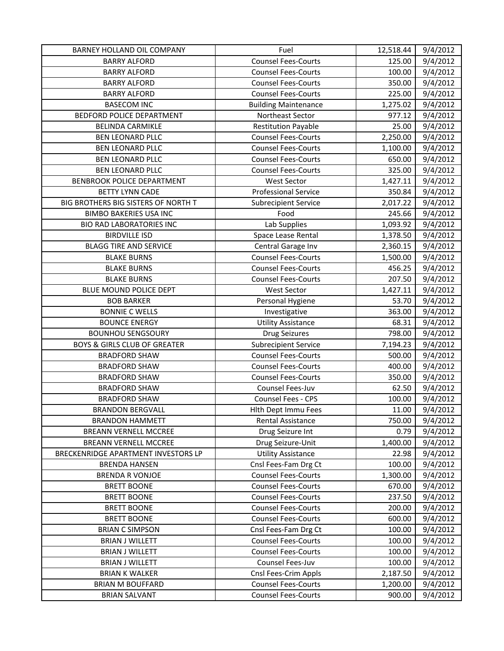| BARNEY HOLLAND OIL COMPANY              | Fuel                        | 12,518.44 | 9/4/2012 |
|-----------------------------------------|-----------------------------|-----------|----------|
| <b>BARRY ALFORD</b>                     | <b>Counsel Fees-Courts</b>  | 125.00    | 9/4/2012 |
| <b>BARRY ALFORD</b>                     | <b>Counsel Fees-Courts</b>  | 100.00    | 9/4/2012 |
| <b>BARRY ALFORD</b>                     | <b>Counsel Fees-Courts</b>  | 350.00    | 9/4/2012 |
| <b>BARRY ALFORD</b>                     | <b>Counsel Fees-Courts</b>  | 225.00    | 9/4/2012 |
| <b>BASECOM INC</b>                      | <b>Building Maintenance</b> | 1,275.02  | 9/4/2012 |
| BEDFORD POLICE DEPARTMENT               | Northeast Sector            | 977.12    | 9/4/2012 |
| <b>BELINDA CARMIKLE</b>                 | <b>Restitution Payable</b>  | 25.00     | 9/4/2012 |
| <b>BEN LEONARD PLLC</b>                 | <b>Counsel Fees-Courts</b>  | 2,250.00  | 9/4/2012 |
| <b>BEN LEONARD PLLC</b>                 | <b>Counsel Fees-Courts</b>  | 1,100.00  | 9/4/2012 |
| <b>BEN LEONARD PLLC</b>                 | <b>Counsel Fees-Courts</b>  | 650.00    | 9/4/2012 |
| <b>BEN LEONARD PLLC</b>                 | <b>Counsel Fees-Courts</b>  | 325.00    | 9/4/2012 |
| BENBROOK POLICE DEPARTMENT              | <b>West Sector</b>          | 1,427.11  | 9/4/2012 |
| <b>BETTY LYNN CADE</b>                  | <b>Professional Service</b> | 350.84    | 9/4/2012 |
| BIG BROTHERS BIG SISTERS OF NORTH T     | <b>Subrecipient Service</b> | 2,017.22  | 9/4/2012 |
| <b>BIMBO BAKERIES USA INC</b>           | Food                        | 245.66    | 9/4/2012 |
| <b>BIO RAD LABORATORIES INC</b>         | Lab Supplies                | 1,093.92  | 9/4/2012 |
| <b>BIRDVILLE ISD</b>                    | Space Lease Rental          | 1,378.50  | 9/4/2012 |
| <b>BLAGG TIRE AND SERVICE</b>           | Central Garage Inv          | 2,360.15  | 9/4/2012 |
| <b>BLAKE BURNS</b>                      | <b>Counsel Fees-Courts</b>  | 1,500.00  | 9/4/2012 |
| <b>BLAKE BURNS</b>                      | <b>Counsel Fees-Courts</b>  | 456.25    | 9/4/2012 |
| <b>BLAKE BURNS</b>                      | <b>Counsel Fees-Courts</b>  | 207.50    | 9/4/2012 |
| BLUE MOUND POLICE DEPT                  | <b>West Sector</b>          | 1,427.11  | 9/4/2012 |
| <b>BOB BARKER</b>                       | Personal Hygiene            | 53.70     | 9/4/2012 |
| <b>BONNIE C WELLS</b>                   | Investigative               | 363.00    | 9/4/2012 |
| <b>BOUNCE ENERGY</b>                    | <b>Utility Assistance</b>   | 68.31     | 9/4/2012 |
| <b>BOUNHOU SENGSOURY</b>                | <b>Drug Seizures</b>        | 798.00    | 9/4/2012 |
| <b>BOYS &amp; GIRLS CLUB OF GREATER</b> | Subrecipient Service        | 7,194.23  | 9/4/2012 |
| <b>BRADFORD SHAW</b>                    | <b>Counsel Fees-Courts</b>  | 500.00    | 9/4/2012 |
| <b>BRADFORD SHAW</b>                    | <b>Counsel Fees-Courts</b>  | 400.00    | 9/4/2012 |
| <b>BRADFORD SHAW</b>                    | <b>Counsel Fees-Courts</b>  | 350.00    | 9/4/2012 |
| <b>BRADFORD SHAW</b>                    | Counsel Fees-Juv            | 62.50     | 9/4/2012 |
| <b>BRADFORD SHAW</b>                    | Counsel Fees - CPS          | 100.00    | 9/4/2012 |
| <b>BRANDON BERGVALL</b>                 | Hith Dept Immu Fees         | 11.00     | 9/4/2012 |
| <b>BRANDON HAMMETT</b>                  | <b>Rental Assistance</b>    | 750.00    | 9/4/2012 |
| <b>BREANN VERNELL MCCREE</b>            | Drug Seizure Int            | 0.79      | 9/4/2012 |
| BREANN VERNELL MCCREE                   | Drug Seizure-Unit           | 1,400.00  | 9/4/2012 |
| BRECKENRIDGE APARTMENT INVESTORS LP     | <b>Utility Assistance</b>   | 22.98     | 9/4/2012 |
| <b>BRENDA HANSEN</b>                    | Cnsl Fees-Fam Drg Ct        | 100.00    | 9/4/2012 |
| <b>BRENDA R VONJOE</b>                  | <b>Counsel Fees-Courts</b>  | 1,300.00  | 9/4/2012 |
| <b>BRETT BOONE</b>                      | <b>Counsel Fees-Courts</b>  | 670.00    | 9/4/2012 |
| <b>BRETT BOONE</b>                      | <b>Counsel Fees-Courts</b>  | 237.50    | 9/4/2012 |
| <b>BRETT BOONE</b>                      | <b>Counsel Fees-Courts</b>  | 200.00    | 9/4/2012 |
| <b>BRETT BOONE</b>                      | <b>Counsel Fees-Courts</b>  | 600.00    | 9/4/2012 |
| <b>BRIAN C SIMPSON</b>                  | Cnsl Fees-Fam Drg Ct        | 100.00    | 9/4/2012 |
| <b>BRIAN J WILLETT</b>                  | <b>Counsel Fees-Courts</b>  | 100.00    | 9/4/2012 |
| <b>BRIAN J WILLETT</b>                  | <b>Counsel Fees-Courts</b>  | 100.00    | 9/4/2012 |
| <b>BRIAN J WILLETT</b>                  | Counsel Fees-Juv            | 100.00    | 9/4/2012 |
| <b>BRIAN K WALKER</b>                   | Cnsl Fees-Crim Appls        | 2,187.50  | 9/4/2012 |
| <b>BRIAN M BOUFFARD</b>                 | <b>Counsel Fees-Courts</b>  | 1,200.00  | 9/4/2012 |
| <b>BRIAN SALVANT</b>                    | <b>Counsel Fees-Courts</b>  | 900.00    | 9/4/2012 |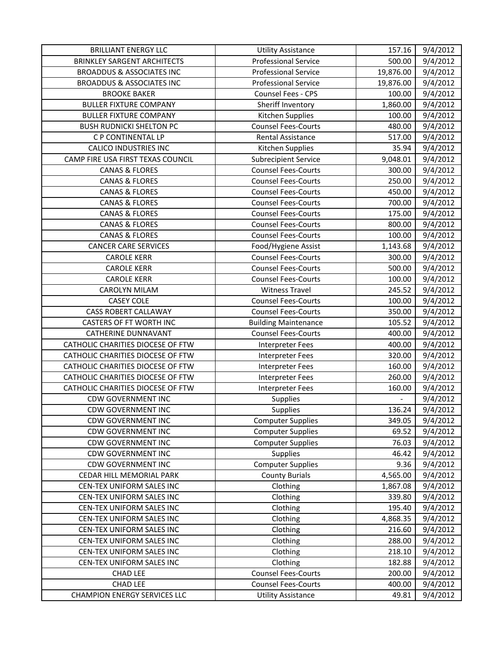| <b>BRILLIANT ENERGY LLC</b>          | <b>Utility Assistance</b>   | 157.16    | 9/4/2012 |
|--------------------------------------|-----------------------------|-----------|----------|
| <b>BRINKLEY SARGENT ARCHITECTS</b>   | <b>Professional Service</b> | 500.00    | 9/4/2012 |
| <b>BROADDUS &amp; ASSOCIATES INC</b> | <b>Professional Service</b> | 19,876.00 | 9/4/2012 |
| <b>BROADDUS &amp; ASSOCIATES INC</b> | <b>Professional Service</b> | 19,876.00 | 9/4/2012 |
| <b>BROOKE BAKER</b>                  | Counsel Fees - CPS          | 100.00    | 9/4/2012 |
| <b>BULLER FIXTURE COMPANY</b>        | Sheriff Inventory           | 1,860.00  | 9/4/2012 |
| <b>BULLER FIXTURE COMPANY</b>        | Kitchen Supplies            | 100.00    | 9/4/2012 |
| <b>BUSH RUDNICKI SHELTON PC</b>      | <b>Counsel Fees-Courts</b>  | 480.00    | 9/4/2012 |
| C P CONTINENTAL LP                   | <b>Rental Assistance</b>    | 517.00    | 9/4/2012 |
| <b>CALICO INDUSTRIES INC</b>         | Kitchen Supplies            | 35.94     | 9/4/2012 |
| CAMP FIRE USA FIRST TEXAS COUNCIL    | <b>Subrecipient Service</b> | 9,048.01  | 9/4/2012 |
| <b>CANAS &amp; FLORES</b>            | <b>Counsel Fees-Courts</b>  | 300.00    | 9/4/2012 |
| <b>CANAS &amp; FLORES</b>            | <b>Counsel Fees-Courts</b>  | 250.00    | 9/4/2012 |
| <b>CANAS &amp; FLORES</b>            | <b>Counsel Fees-Courts</b>  | 450.00    | 9/4/2012 |
| <b>CANAS &amp; FLORES</b>            | <b>Counsel Fees-Courts</b>  | 700.00    | 9/4/2012 |
| <b>CANAS &amp; FLORES</b>            | <b>Counsel Fees-Courts</b>  | 175.00    | 9/4/2012 |
| <b>CANAS &amp; FLORES</b>            | <b>Counsel Fees-Courts</b>  | 800.00    | 9/4/2012 |
| <b>CANAS &amp; FLORES</b>            | <b>Counsel Fees-Courts</b>  | 100.00    | 9/4/2012 |
| <b>CANCER CARE SERVICES</b>          | Food/Hygiene Assist         | 1,143.68  | 9/4/2012 |
| <b>CAROLE KERR</b>                   | <b>Counsel Fees-Courts</b>  | 300.00    | 9/4/2012 |
| <b>CAROLE KERR</b>                   | <b>Counsel Fees-Courts</b>  | 500.00    | 9/4/2012 |
| <b>CAROLE KERR</b>                   | <b>Counsel Fees-Courts</b>  | 100.00    | 9/4/2012 |
| <b>CAROLYN MILAM</b>                 | <b>Witness Travel</b>       | 245.52    | 9/4/2012 |
| <b>CASEY COLE</b>                    | <b>Counsel Fees-Courts</b>  | 100.00    | 9/4/2012 |
| <b>CASS ROBERT CALLAWAY</b>          | <b>Counsel Fees-Courts</b>  | 350.00    | 9/4/2012 |
| CASTERS OF FT WORTH INC              | <b>Building Maintenance</b> | 105.52    | 9/4/2012 |
| CATHERINE DUNNAVANT                  | <b>Counsel Fees-Courts</b>  | 400.00    | 9/4/2012 |
| CATHOLIC CHARITIES DIOCESE OF FTW    | Interpreter Fees            | 400.00    | 9/4/2012 |
| CATHOLIC CHARITIES DIOCESE OF FTW    | <b>Interpreter Fees</b>     | 320.00    | 9/4/2012 |
| CATHOLIC CHARITIES DIOCESE OF FTW    | Interpreter Fees            | 160.00    | 9/4/2012 |
| CATHOLIC CHARITIES DIOCESE OF FTW    | <b>Interpreter Fees</b>     | 260.00    | 9/4/2012 |
| CATHOLIC CHARITIES DIOCESE OF FTW    | <b>Interpreter Fees</b>     | 160.00    | 9/4/2012 |
| <b>CDW GOVERNMENT INC</b>            | Supplies                    |           | 9/4/2012 |
| <b>CDW GOVERNMENT INC</b>            | Supplies                    | 136.24    | 9/4/2012 |
| <b>CDW GOVERNMENT INC</b>            | <b>Computer Supplies</b>    | 349.05    | 9/4/2012 |
| <b>CDW GOVERNMENT INC</b>            | <b>Computer Supplies</b>    | 69.52     | 9/4/2012 |
| <b>CDW GOVERNMENT INC</b>            | <b>Computer Supplies</b>    | 76.03     | 9/4/2012 |
| <b>CDW GOVERNMENT INC</b>            | Supplies                    | 46.42     | 9/4/2012 |
| <b>CDW GOVERNMENT INC</b>            | <b>Computer Supplies</b>    | 9.36      | 9/4/2012 |
| CEDAR HILL MEMORIAL PARK             | <b>County Burials</b>       | 4,565.00  | 9/4/2012 |
| CEN-TEX UNIFORM SALES INC            | Clothing                    | 1,867.08  | 9/4/2012 |
| CEN-TEX UNIFORM SALES INC            | Clothing                    | 339.80    | 9/4/2012 |
| CEN-TEX UNIFORM SALES INC            | Clothing                    | 195.40    | 9/4/2012 |
| CEN-TEX UNIFORM SALES INC            | Clothing                    | 4,868.35  | 9/4/2012 |
| CEN-TEX UNIFORM SALES INC            | Clothing                    | 216.60    | 9/4/2012 |
| CEN-TEX UNIFORM SALES INC            | Clothing                    | 288.00    | 9/4/2012 |
| CEN-TEX UNIFORM SALES INC            | Clothing                    | 218.10    | 9/4/2012 |
| CEN-TEX UNIFORM SALES INC            | Clothing                    | 182.88    | 9/4/2012 |
| CHAD LEE                             | <b>Counsel Fees-Courts</b>  | 200.00    | 9/4/2012 |
| <b>CHAD LEE</b>                      | <b>Counsel Fees-Courts</b>  | 400.00    | 9/4/2012 |
| <b>CHAMPION ENERGY SERVICES LLC</b>  | <b>Utility Assistance</b>   | 49.81     | 9/4/2012 |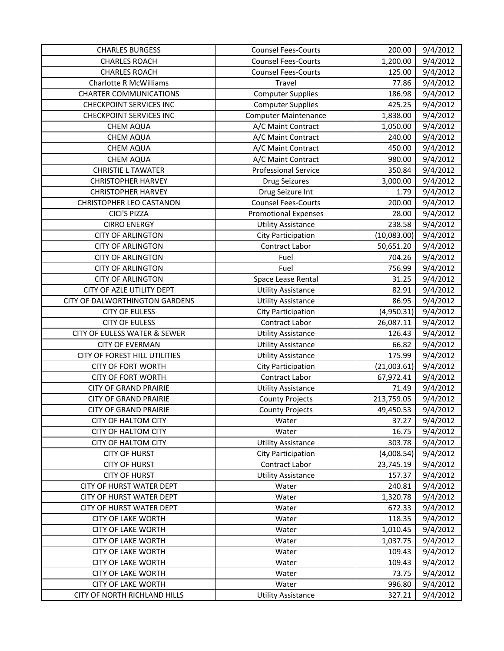| <b>CHARLES BURGESS</b>          | <b>Counsel Fees-Courts</b>  | 200.00      | 9/4/2012 |
|---------------------------------|-----------------------------|-------------|----------|
| <b>CHARLES ROACH</b>            | <b>Counsel Fees-Courts</b>  | 1,200.00    | 9/4/2012 |
| <b>CHARLES ROACH</b>            | <b>Counsel Fees-Courts</b>  | 125.00      | 9/4/2012 |
| <b>Charlotte R McWilliams</b>   | Travel                      | 77.86       | 9/4/2012 |
| <b>CHARTER COMMUNICATIONS</b>   | <b>Computer Supplies</b>    | 186.98      | 9/4/2012 |
| <b>CHECKPOINT SERVICES INC</b>  | <b>Computer Supplies</b>    | 425.25      | 9/4/2012 |
| <b>CHECKPOINT SERVICES INC</b>  | <b>Computer Maintenance</b> | 1,838.00    | 9/4/2012 |
| <b>CHEM AQUA</b>                | A/C Maint Contract          | 1,050.00    | 9/4/2012 |
| <b>CHEM AQUA</b>                | A/C Maint Contract          | 240.00      | 9/4/2012 |
| <b>CHEM AQUA</b>                | A/C Maint Contract          | 450.00      | 9/4/2012 |
| <b>CHEM AQUA</b>                | A/C Maint Contract          | 980.00      | 9/4/2012 |
| <b>CHRISTIE L TAWATER</b>       | <b>Professional Service</b> | 350.84      | 9/4/2012 |
| <b>CHRISTOPHER HARVEY</b>       | <b>Drug Seizures</b>        | 3,000.00    | 9/4/2012 |
| <b>CHRISTOPHER HARVEY</b>       | Drug Seizure Int            | 1.79        | 9/4/2012 |
| <b>CHRISTOPHER LEO CASTANON</b> | <b>Counsel Fees-Courts</b>  | 200.00      | 9/4/2012 |
| CICI'S PIZZA                    | <b>Promotional Expenses</b> | 28.00       | 9/4/2012 |
| <b>CIRRO ENERGY</b>             | <b>Utility Assistance</b>   | 238.58      | 9/4/2012 |
| <b>CITY OF ARLINGTON</b>        | City Participation          | (10,083.00) | 9/4/2012 |
| <b>CITY OF ARLINGTON</b>        | Contract Labor              | 50,651.20   | 9/4/2012 |
| <b>CITY OF ARLINGTON</b>        | Fuel                        | 704.26      | 9/4/2012 |
| <b>CITY OF ARLINGTON</b>        | Fuel                        | 756.99      | 9/4/2012 |
| <b>CITY OF ARLINGTON</b>        | Space Lease Rental          | 31.25       | 9/4/2012 |
| CITY OF AZLE UTILITY DEPT       | <b>Utility Assistance</b>   | 82.91       | 9/4/2012 |
| CITY OF DALWORTHINGTON GARDENS  | <b>Utility Assistance</b>   | 86.95       | 9/4/2012 |
| <b>CITY OF EULESS</b>           | City Participation          | (4,950.31)  | 9/4/2012 |
| <b>CITY OF EULESS</b>           | Contract Labor              | 26,087.11   | 9/4/2012 |
| CITY OF EULESS WATER & SEWER    | <b>Utility Assistance</b>   | 126.43      | 9/4/2012 |
| <b>CITY OF EVERMAN</b>          | <b>Utility Assistance</b>   | 66.82       | 9/4/2012 |
| CITY OF FOREST HILL UTILITIES   | <b>Utility Assistance</b>   | 175.99      | 9/4/2012 |
| <b>CITY OF FORT WORTH</b>       | City Participation          | (21,003.61) | 9/4/2012 |
| <b>CITY OF FORT WORTH</b>       | Contract Labor              | 67,972.41   | 9/4/2012 |
| <b>CITY OF GRAND PRAIRIE</b>    | <b>Utility Assistance</b>   | 71.49       | 9/4/2012 |
| <b>CITY OF GRAND PRAIRIE</b>    | <b>County Projects</b>      | 213,759.05  | 9/4/2012 |
| <b>CITY OF GRAND PRAIRIE</b>    | <b>County Projects</b>      | 49,450.53   | 9/4/2012 |
| <b>CITY OF HALTOM CITY</b>      | Water                       | 37.27       | 9/4/2012 |
| CITY OF HALTOM CITY             | Water                       | 16.75       | 9/4/2012 |
| <b>CITY OF HALTOM CITY</b>      | <b>Utility Assistance</b>   | 303.78      | 9/4/2012 |
| <b>CITY OF HURST</b>            | City Participation          | (4,008.54)  | 9/4/2012 |
| <b>CITY OF HURST</b>            | Contract Labor              | 23,745.19   | 9/4/2012 |
| <b>CITY OF HURST</b>            | <b>Utility Assistance</b>   | 157.37      | 9/4/2012 |
| CITY OF HURST WATER DEPT        | Water                       | 240.81      | 9/4/2012 |
| CITY OF HURST WATER DEPT        | Water                       | 1,320.78    | 9/4/2012 |
| CITY OF HURST WATER DEPT        | Water                       | 672.33      | 9/4/2012 |
| <b>CITY OF LAKE WORTH</b>       | Water                       | 118.35      | 9/4/2012 |
| <b>CITY OF LAKE WORTH</b>       | Water                       | 1,010.45    | 9/4/2012 |
| <b>CITY OF LAKE WORTH</b>       | Water                       | 1,037.75    | 9/4/2012 |
| <b>CITY OF LAKE WORTH</b>       | Water                       | 109.43      | 9/4/2012 |
| <b>CITY OF LAKE WORTH</b>       | Water                       | 109.43      | 9/4/2012 |
| <b>CITY OF LAKE WORTH</b>       | Water                       | 73.75       | 9/4/2012 |
| <b>CITY OF LAKE WORTH</b>       | Water                       | 996.80      | 9/4/2012 |
| CITY OF NORTH RICHLAND HILLS    | <b>Utility Assistance</b>   | 327.21      | 9/4/2012 |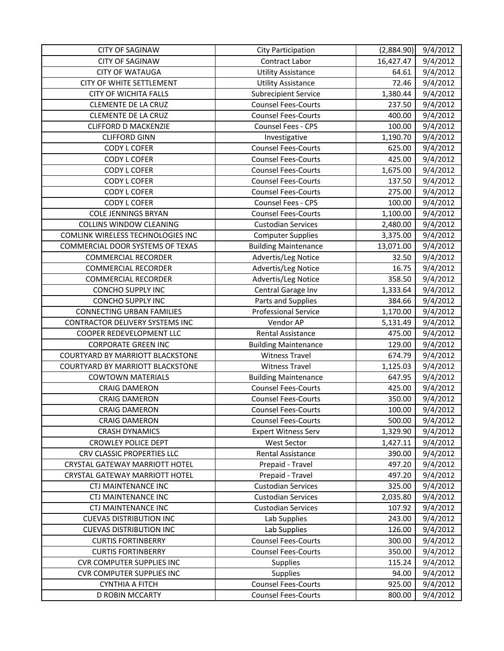| <b>CITY OF SAGINAW</b>                | <b>City Participation</b>   | (2,884.90) | 9/4/2012 |
|---------------------------------------|-----------------------------|------------|----------|
| <b>CITY OF SAGINAW</b>                | Contract Labor              | 16,427.47  | 9/4/2012 |
| <b>CITY OF WATAUGA</b>                | <b>Utility Assistance</b>   | 64.61      | 9/4/2012 |
| CITY OF WHITE SETTLEMENT              | <b>Utility Assistance</b>   | 72.46      | 9/4/2012 |
| <b>CITY OF WICHITA FALLS</b>          | <b>Subrecipient Service</b> | 1,380.44   | 9/4/2012 |
| <b>CLEMENTE DE LA CRUZ</b>            | <b>Counsel Fees-Courts</b>  | 237.50     | 9/4/2012 |
| <b>CLEMENTE DE LA CRUZ</b>            | <b>Counsel Fees-Courts</b>  | 400.00     | 9/4/2012 |
| <b>CLIFFORD D MACKENZIE</b>           | Counsel Fees - CPS          | 100.00     | 9/4/2012 |
| <b>CLIFFORD GINN</b>                  | Investigative               | 1,190.70   | 9/4/2012 |
| <b>CODY L COFER</b>                   | <b>Counsel Fees-Courts</b>  | 625.00     | 9/4/2012 |
| <b>CODY L COFER</b>                   | <b>Counsel Fees-Courts</b>  | 425.00     | 9/4/2012 |
| <b>CODY L COFER</b>                   | <b>Counsel Fees-Courts</b>  | 1,675.00   | 9/4/2012 |
| <b>CODY L COFER</b>                   | <b>Counsel Fees-Courts</b>  | 137.50     | 9/4/2012 |
| <b>CODY L COFER</b>                   | <b>Counsel Fees-Courts</b>  | 275.00     | 9/4/2012 |
| <b>CODY L COFER</b>                   | Counsel Fees - CPS          | 100.00     | 9/4/2012 |
| <b>COLE JENNINGS BRYAN</b>            | <b>Counsel Fees-Courts</b>  | 1,100.00   | 9/4/2012 |
| <b>COLLINS WINDOW CLEANING</b>        | <b>Custodian Services</b>   | 2,480.00   | 9/4/2012 |
| COMLINK WIRELESS TECHNOLOGIES INC     | <b>Computer Supplies</b>    | 3,375.00   | 9/4/2012 |
| COMMERCIAL DOOR SYSTEMS OF TEXAS      | <b>Building Maintenance</b> | 13,071.00  | 9/4/2012 |
| <b>COMMERCIAL RECORDER</b>            | Advertis/Leg Notice         | 32.50      | 9/4/2012 |
| <b>COMMERCIAL RECORDER</b>            | Advertis/Leg Notice         | 16.75      | 9/4/2012 |
| <b>COMMERCIAL RECORDER</b>            | Advertis/Leg Notice         | 358.50     | 9/4/2012 |
| <b>CONCHO SUPPLY INC</b>              | Central Garage Inv          | 1,333.64   | 9/4/2012 |
| <b>CONCHO SUPPLY INC</b>              | Parts and Supplies          | 384.66     | 9/4/2012 |
| <b>CONNECTING URBAN FAMILIES</b>      | <b>Professional Service</b> | 1,170.00   | 9/4/2012 |
| CONTRACTOR DELIVERY SYSTEMS INC       | Vendor AP                   | 5,131.49   | 9/4/2012 |
| COOPER REDEVELOPMENT LLC              | Rental Assistance           | 475.00     | 9/4/2012 |
| <b>CORPORATE GREEN INC</b>            | <b>Building Maintenance</b> | 129.00     | 9/4/2012 |
| COURTYARD BY MARRIOTT BLACKSTONE      | <b>Witness Travel</b>       | 674.79     | 9/4/2012 |
| COURTYARD BY MARRIOTT BLACKSTONE      | <b>Witness Travel</b>       | 1,125.03   | 9/4/2012 |
| <b>COWTOWN MATERIALS</b>              | <b>Building Maintenance</b> | 647.95     | 9/4/2012 |
| <b>CRAIG DAMERON</b>                  | <b>Counsel Fees-Courts</b>  | 425.00     | 9/4/2012 |
| <b>CRAIG DAMERON</b>                  | <b>Counsel Fees-Courts</b>  | 350.00     | 9/4/2012 |
| <b>CRAIG DAMERON</b>                  | <b>Counsel Fees-Courts</b>  | 100.00     | 9/4/2012 |
| <b>CRAIG DAMERON</b>                  | <b>Counsel Fees-Courts</b>  | 500.00     | 9/4/2012 |
| <b>CRASH DYNAMICS</b>                 | <b>Expert Witness Serv</b>  | 1,329.90   | 9/4/2012 |
| <b>CROWLEY POLICE DEPT</b>            | <b>West Sector</b>          | 1,427.11   | 9/4/2012 |
| CRV CLASSIC PROPERTIES LLC            | Rental Assistance           | 390.00     | 9/4/2012 |
| CRYSTAL GATEWAY MARRIOTT HOTEL        | Prepaid - Travel            | 497.20     | 9/4/2012 |
| <b>CRYSTAL GATEWAY MARRIOTT HOTEL</b> | Prepaid - Travel            | 497.20     | 9/4/2012 |
| CTJ MAINTENANCE INC                   | <b>Custodian Services</b>   | 325.00     | 9/4/2012 |
| CTJ MAINTENANCE INC                   | <b>Custodian Services</b>   | 2,035.80   | 9/4/2012 |
| CTJ MAINTENANCE INC                   | <b>Custodian Services</b>   | 107.92     | 9/4/2012 |
| <b>CUEVAS DISTRIBUTION INC</b>        | Lab Supplies                | 243.00     | 9/4/2012 |
| <b>CUEVAS DISTRIBUTION INC</b>        | Lab Supplies                | 126.00     | 9/4/2012 |
| <b>CURTIS FORTINBERRY</b>             | <b>Counsel Fees-Courts</b>  | 300.00     | 9/4/2012 |
| <b>CURTIS FORTINBERRY</b>             | <b>Counsel Fees-Courts</b>  | 350.00     | 9/4/2012 |
| <b>CVR COMPUTER SUPPLIES INC</b>      | <b>Supplies</b>             | 115.24     | 9/4/2012 |
| <b>CVR COMPUTER SUPPLIES INC</b>      | <b>Supplies</b>             | 94.00      | 9/4/2012 |
| <b>CYNTHIA A FITCH</b>                | <b>Counsel Fees-Courts</b>  | 925.00     | 9/4/2012 |
| D ROBIN MCCARTY                       | <b>Counsel Fees-Courts</b>  | 800.00     | 9/4/2012 |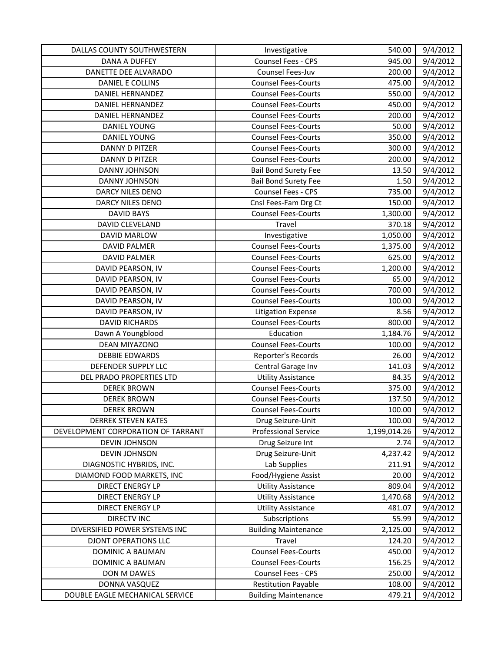| DALLAS COUNTY SOUTHWESTERN         | Investigative               | 540.00       | 9/4/2012 |
|------------------------------------|-----------------------------|--------------|----------|
| <b>DANA A DUFFEY</b>               | Counsel Fees - CPS          | 945.00       | 9/4/2012 |
| DANETTE DEE ALVARADO               | Counsel Fees-Juv            | 200.00       | 9/4/2012 |
| DANIEL E COLLINS                   | <b>Counsel Fees-Courts</b>  | 475.00       | 9/4/2012 |
| <b>DANIEL HERNANDEZ</b>            | <b>Counsel Fees-Courts</b>  | 550.00       | 9/4/2012 |
| DANIEL HERNANDEZ                   | <b>Counsel Fees-Courts</b>  | 450.00       | 9/4/2012 |
| <b>DANIEL HERNANDEZ</b>            | <b>Counsel Fees-Courts</b>  | 200.00       | 9/4/2012 |
| <b>DANIEL YOUNG</b>                | <b>Counsel Fees-Courts</b>  | 50.00        | 9/4/2012 |
| <b>DANIEL YOUNG</b>                | <b>Counsel Fees-Courts</b>  | 350.00       | 9/4/2012 |
| DANNY D PITZER                     | <b>Counsel Fees-Courts</b>  | 300.00       | 9/4/2012 |
| DANNY D PITZER                     | <b>Counsel Fees-Courts</b>  | 200.00       | 9/4/2012 |
| DANNY JOHNSON                      | <b>Bail Bond Surety Fee</b> | 13.50        | 9/4/2012 |
| DANNY JOHNSON                      | <b>Bail Bond Surety Fee</b> | 1.50         | 9/4/2012 |
| DARCY NILES DENO                   | Counsel Fees - CPS          | 735.00       | 9/4/2012 |
| DARCY NILES DENO                   | Cnsl Fees-Fam Drg Ct        | 150.00       | 9/4/2012 |
| <b>DAVID BAYS</b>                  | <b>Counsel Fees-Courts</b>  | 1,300.00     | 9/4/2012 |
| <b>DAVID CLEVELAND</b>             | Travel                      | 370.18       | 9/4/2012 |
| DAVID MARLOW                       | Investigative               | 1,050.00     | 9/4/2012 |
| <b>DAVID PALMER</b>                | <b>Counsel Fees-Courts</b>  | 1,375.00     | 9/4/2012 |
| <b>DAVID PALMER</b>                | <b>Counsel Fees-Courts</b>  | 625.00       | 9/4/2012 |
| DAVID PEARSON, IV                  | <b>Counsel Fees-Courts</b>  | 1,200.00     | 9/4/2012 |
| DAVID PEARSON, IV                  | <b>Counsel Fees-Courts</b>  | 65.00        | 9/4/2012 |
| DAVID PEARSON, IV                  | <b>Counsel Fees-Courts</b>  | 700.00       | 9/4/2012 |
| DAVID PEARSON, IV                  | <b>Counsel Fees-Courts</b>  | 100.00       | 9/4/2012 |
| DAVID PEARSON, IV                  | <b>Litigation Expense</b>   | 8.56         | 9/4/2012 |
| <b>DAVID RICHARDS</b>              | <b>Counsel Fees-Courts</b>  | 800.00       | 9/4/2012 |
| Dawn A Youngblood                  | Education                   | 1,184.76     | 9/4/2012 |
| DEAN MIYAZONO                      | <b>Counsel Fees-Courts</b>  | 100.00       | 9/4/2012 |
| <b>DEBBIE EDWARDS</b>              | Reporter's Records          | 26.00        | 9/4/2012 |
| DEFENDER SUPPLY LLC                | Central Garage Inv          | 141.03       | 9/4/2012 |
| DEL PRADO PROPERTIES LTD           | <b>Utility Assistance</b>   | 84.35        | 9/4/2012 |
| <b>DEREK BROWN</b>                 | <b>Counsel Fees-Courts</b>  | 375.00       | 9/4/2012 |
| <b>DEREK BROWN</b>                 | <b>Counsel Fees-Courts</b>  | 137.50       | 9/4/2012 |
| <b>DEREK BROWN</b>                 | <b>Counsel Fees-Courts</b>  | 100.00       | 9/4/2012 |
| <b>DERREK STEVEN KATES</b>         | Drug Seizure-Unit           | 100.00       | 9/4/2012 |
| DEVELOPMENT CORPORATION OF TARRANT | <b>Professional Service</b> | 1,199,014.26 | 9/4/2012 |
| <b>DEVIN JOHNSON</b>               | Drug Seizure Int            | 2.74         | 9/4/2012 |
| DEVIN JOHNSON                      | Drug Seizure-Unit           | 4,237.42     | 9/4/2012 |
| DIAGNOSTIC HYBRIDS, INC.           | Lab Supplies                | 211.91       | 9/4/2012 |
| DIAMOND FOOD MARKETS, INC          | Food/Hygiene Assist         | 20.00        | 9/4/2012 |
| <b>DIRECT ENERGY LP</b>            | <b>Utility Assistance</b>   | 809.04       | 9/4/2012 |
| <b>DIRECT ENERGY LP</b>            | <b>Utility Assistance</b>   | 1,470.68     | 9/4/2012 |
| <b>DIRECT ENERGY LP</b>            | <b>Utility Assistance</b>   | 481.07       | 9/4/2012 |
| <b>DIRECTV INC</b>                 | Subscriptions               | 55.99        | 9/4/2012 |
| DIVERSIFIED POWER SYSTEMS INC      | <b>Building Maintenance</b> | 2,125.00     | 9/4/2012 |
| <b>DJONT OPERATIONS LLC</b>        | Travel                      | 124.20       | 9/4/2012 |
| DOMINIC A BAUMAN                   | <b>Counsel Fees-Courts</b>  | 450.00       | 9/4/2012 |
| DOMINIC A BAUMAN                   | <b>Counsel Fees-Courts</b>  | 156.25       | 9/4/2012 |
| DON M DAWES                        | Counsel Fees - CPS          | 250.00       | 9/4/2012 |
| DONNA VASQUEZ                      | <b>Restitution Payable</b>  | 108.00       | 9/4/2012 |
| DOUBLE EAGLE MECHANICAL SERVICE    | <b>Building Maintenance</b> | 479.21       | 9/4/2012 |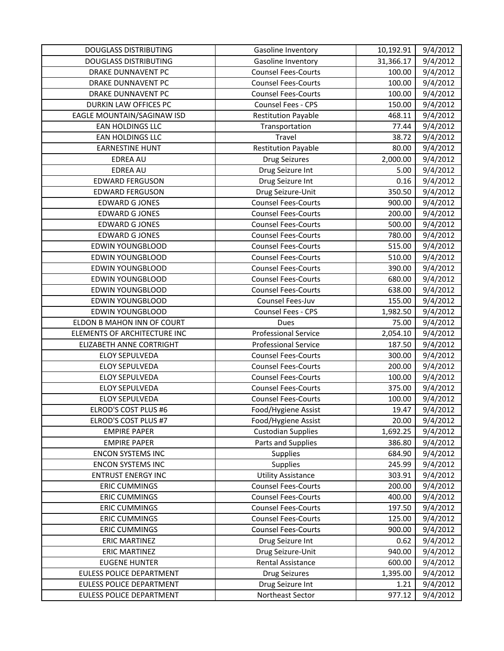| <b>DOUGLASS DISTRIBUTING</b> | Gasoline Inventory          | 10,192.91 | 9/4/2012 |
|------------------------------|-----------------------------|-----------|----------|
| <b>DOUGLASS DISTRIBUTING</b> | Gasoline Inventory          | 31,366.17 | 9/4/2012 |
| DRAKE DUNNAVENT PC           | <b>Counsel Fees-Courts</b>  | 100.00    | 9/4/2012 |
| DRAKE DUNNAVENT PC           | <b>Counsel Fees-Courts</b>  | 100.00    | 9/4/2012 |
| <b>DRAKE DUNNAVENT PC</b>    | <b>Counsel Fees-Courts</b>  | 100.00    | 9/4/2012 |
| DURKIN LAW OFFICES PC        | Counsel Fees - CPS          | 150.00    | 9/4/2012 |
| EAGLE MOUNTAIN/SAGINAW ISD   | <b>Restitution Payable</b>  | 468.11    | 9/4/2012 |
| <b>EAN HOLDINGS LLC</b>      | Transportation              | 77.44     | 9/4/2012 |
| EAN HOLDINGS LLC             | Travel                      | 38.72     | 9/4/2012 |
| <b>EARNESTINE HUNT</b>       | <b>Restitution Payable</b>  | 80.00     | 9/4/2012 |
| <b>EDREA AU</b>              | <b>Drug Seizures</b>        | 2,000.00  | 9/4/2012 |
| <b>EDREA AU</b>              | Drug Seizure Int            | 5.00      | 9/4/2012 |
| <b>EDWARD FERGUSON</b>       | Drug Seizure Int            | 0.16      | 9/4/2012 |
| <b>EDWARD FERGUSON</b>       | Drug Seizure-Unit           | 350.50    | 9/4/2012 |
| <b>EDWARD G JONES</b>        | <b>Counsel Fees-Courts</b>  | 900.00    | 9/4/2012 |
| <b>EDWARD G JONES</b>        | <b>Counsel Fees-Courts</b>  | 200.00    | 9/4/2012 |
| <b>EDWARD G JONES</b>        | <b>Counsel Fees-Courts</b>  | 500.00    | 9/4/2012 |
| <b>EDWARD G JONES</b>        | <b>Counsel Fees-Courts</b>  | 780.00    | 9/4/2012 |
| <b>EDWIN YOUNGBLOOD</b>      | <b>Counsel Fees-Courts</b>  | 515.00    | 9/4/2012 |
| <b>EDWIN YOUNGBLOOD</b>      | <b>Counsel Fees-Courts</b>  | 510.00    | 9/4/2012 |
| <b>EDWIN YOUNGBLOOD</b>      | <b>Counsel Fees-Courts</b>  | 390.00    | 9/4/2012 |
| <b>EDWIN YOUNGBLOOD</b>      | <b>Counsel Fees-Courts</b>  | 680.00    | 9/4/2012 |
| <b>EDWIN YOUNGBLOOD</b>      | <b>Counsel Fees-Courts</b>  | 638.00    | 9/4/2012 |
| <b>EDWIN YOUNGBLOOD</b>      | Counsel Fees-Juv            | 155.00    | 9/4/2012 |
| <b>EDWIN YOUNGBLOOD</b>      | Counsel Fees - CPS          | 1,982.50  | 9/4/2012 |
| ELDON B MAHON INN OF COURT   | Dues                        | 75.00     | 9/4/2012 |
| ELEMENTS OF ARCHITECTURE INC | <b>Professional Service</b> | 2,054.10  | 9/4/2012 |
| ELIZABETH ANNE CORTRIGHT     | <b>Professional Service</b> | 187.50    | 9/4/2012 |
| <b>ELOY SEPULVEDA</b>        | <b>Counsel Fees-Courts</b>  | 300.00    | 9/4/2012 |
| <b>ELOY SEPULVEDA</b>        | <b>Counsel Fees-Courts</b>  | 200.00    | 9/4/2012 |
| <b>ELOY SEPULVEDA</b>        | <b>Counsel Fees-Courts</b>  | 100.00    | 9/4/2012 |
| ELOY SEPULVEDA               | <b>Counsel Fees-Courts</b>  | 375.00    | 9/4/2012 |
| <b>ELOY SEPULVEDA</b>        | <b>Counsel Fees-Courts</b>  | 100.00    | 9/4/2012 |
| ELROD'S COST PLUS #6         | Food/Hygiene Assist         | 19.47     | 9/4/2012 |
| ELROD'S COST PLUS #7         | Food/Hygiene Assist         | 20.00     | 9/4/2012 |
| <b>EMPIRE PAPER</b>          | <b>Custodian Supplies</b>   | 1,692.25  | 9/4/2012 |
| <b>EMPIRE PAPER</b>          | Parts and Supplies          | 386.80    | 9/4/2012 |
| <b>ENCON SYSTEMS INC</b>     | Supplies                    | 684.90    | 9/4/2012 |
| <b>ENCON SYSTEMS INC</b>     | Supplies                    | 245.99    | 9/4/2012 |
| <b>ENTRUST ENERGY INC</b>    | <b>Utility Assistance</b>   | 303.91    | 9/4/2012 |
| <b>ERIC CUMMINGS</b>         | <b>Counsel Fees-Courts</b>  | 200.00    | 9/4/2012 |
| <b>ERIC CUMMINGS</b>         | <b>Counsel Fees-Courts</b>  | 400.00    | 9/4/2012 |
| <b>ERIC CUMMINGS</b>         | <b>Counsel Fees-Courts</b>  | 197.50    | 9/4/2012 |
| <b>ERIC CUMMINGS</b>         | <b>Counsel Fees-Courts</b>  | 125.00    | 9/4/2012 |
| <b>ERIC CUMMINGS</b>         | <b>Counsel Fees-Courts</b>  | 900.00    | 9/4/2012 |
| <b>ERIC MARTINEZ</b>         | Drug Seizure Int            | 0.62      | 9/4/2012 |
| <b>ERIC MARTINEZ</b>         | Drug Seizure-Unit           | 940.00    | 9/4/2012 |
| <b>EUGENE HUNTER</b>         | Rental Assistance           | 600.00    | 9/4/2012 |
| EULESS POLICE DEPARTMENT     | <b>Drug Seizures</b>        | 1,395.00  | 9/4/2012 |
| EULESS POLICE DEPARTMENT     | Drug Seizure Int            | 1.21      | 9/4/2012 |
| EULESS POLICE DEPARTMENT     | Northeast Sector            | 977.12    | 9/4/2012 |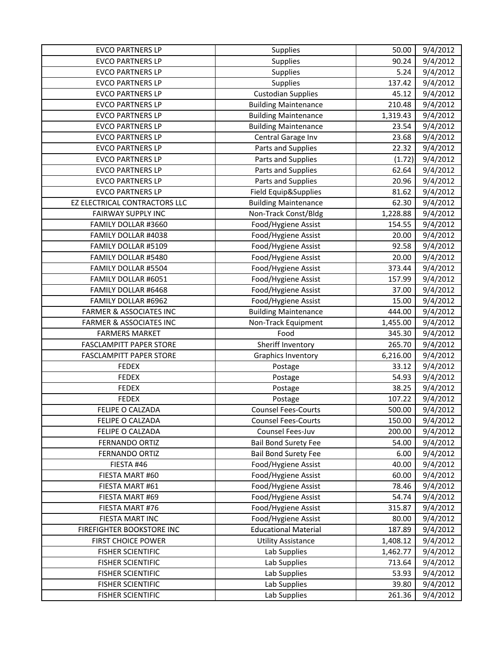| <b>EVCO PARTNERS LP</b>            | Supplies                    | 50.00    | 9/4/2012 |
|------------------------------------|-----------------------------|----------|----------|
| <b>EVCO PARTNERS LP</b>            | Supplies                    | 90.24    | 9/4/2012 |
| <b>EVCO PARTNERS LP</b>            | Supplies                    | 5.24     | 9/4/2012 |
| <b>EVCO PARTNERS LP</b>            | Supplies                    | 137.42   | 9/4/2012 |
| <b>EVCO PARTNERS LP</b>            | <b>Custodian Supplies</b>   | 45.12    | 9/4/2012 |
| <b>EVCO PARTNERS LP</b>            | <b>Building Maintenance</b> | 210.48   | 9/4/2012 |
| <b>EVCO PARTNERS LP</b>            | <b>Building Maintenance</b> | 1,319.43 | 9/4/2012 |
| <b>EVCO PARTNERS LP</b>            | <b>Building Maintenance</b> | 23.54    | 9/4/2012 |
| <b>EVCO PARTNERS LP</b>            | Central Garage Inv          | 23.68    | 9/4/2012 |
| <b>EVCO PARTNERS LP</b>            | Parts and Supplies          | 22.32    | 9/4/2012 |
| <b>EVCO PARTNERS LP</b>            | Parts and Supplies          | (1.72)   | 9/4/2012 |
| <b>EVCO PARTNERS LP</b>            | Parts and Supplies          | 62.64    | 9/4/2012 |
| <b>EVCO PARTNERS LP</b>            | Parts and Supplies          | 20.96    | 9/4/2012 |
| <b>EVCO PARTNERS LP</b>            | Field Equip&Supplies        | 81.62    | 9/4/2012 |
| EZ ELECTRICAL CONTRACTORS LLC      | <b>Building Maintenance</b> | 62.30    | 9/4/2012 |
| <b>FAIRWAY SUPPLY INC</b>          | Non-Track Const/Bldg        | 1,228.88 | 9/4/2012 |
| FAMILY DOLLAR #3660                | Food/Hygiene Assist         | 154.55   | 9/4/2012 |
| FAMILY DOLLAR #4038                | Food/Hygiene Assist         | 20.00    | 9/4/2012 |
| FAMILY DOLLAR #5109                | Food/Hygiene Assist         | 92.58    | 9/4/2012 |
| FAMILY DOLLAR #5480                | Food/Hygiene Assist         | 20.00    | 9/4/2012 |
| FAMILY DOLLAR #5504                | Food/Hygiene Assist         | 373.44   | 9/4/2012 |
| FAMILY DOLLAR #6051                | Food/Hygiene Assist         | 157.99   | 9/4/2012 |
| FAMILY DOLLAR #6468                | Food/Hygiene Assist         | 37.00    | 9/4/2012 |
| FAMILY DOLLAR #6962                | Food/Hygiene Assist         | 15.00    | 9/4/2012 |
| <b>FARMER &amp; ASSOCIATES INC</b> | <b>Building Maintenance</b> | 444.00   | 9/4/2012 |
| <b>FARMER &amp; ASSOCIATES INC</b> | Non-Track Equipment         | 1,455.00 | 9/4/2012 |
| <b>FARMERS MARKET</b>              | Food                        | 345.30   | 9/4/2012 |
| <b>FASCLAMPITT PAPER STORE</b>     | Sheriff Inventory           | 265.70   | 9/4/2012 |
| <b>FASCLAMPITT PAPER STORE</b>     | <b>Graphics Inventory</b>   | 6,216.00 | 9/4/2012 |
| <b>FEDEX</b>                       | Postage                     | 33.12    | 9/4/2012 |
| <b>FEDEX</b>                       | Postage                     | 54.93    | 9/4/2012 |
| <b>FEDEX</b>                       | Postage                     | 38.25    | 9/4/2012 |
| <b>FEDEX</b>                       | Postage                     | 107.22   | 9/4/2012 |
| FELIPE O CALZADA                   | <b>Counsel Fees-Courts</b>  | 500.00   | 9/4/2012 |
| FELIPE O CALZADA                   | <b>Counsel Fees-Courts</b>  | 150.00   | 9/4/2012 |
| FELIPE O CALZADA                   | Counsel Fees-Juv            | 200.00   | 9/4/2012 |
| <b>FERNANDO ORTIZ</b>              | <b>Bail Bond Surety Fee</b> | 54.00    | 9/4/2012 |
| FERNANDO ORTIZ                     | <b>Bail Bond Surety Fee</b> | 6.00     | 9/4/2012 |
| FIESTA #46                         | Food/Hygiene Assist         | 40.00    | 9/4/2012 |
| FIESTA MART #60                    | Food/Hygiene Assist         | 60.00    | 9/4/2012 |
| FIESTA MART #61                    | Food/Hygiene Assist         | 78.46    | 9/4/2012 |
| FIESTA MART #69                    | Food/Hygiene Assist         | 54.74    | 9/4/2012 |
| FIESTA MART #76                    | Food/Hygiene Assist         | 315.87   | 9/4/2012 |
| FIESTA MART INC                    | Food/Hygiene Assist         | 80.00    | 9/4/2012 |
| FIREFIGHTER BOOKSTORE INC          | <b>Educational Material</b> | 187.89   | 9/4/2012 |
| <b>FIRST CHOICE POWER</b>          | <b>Utility Assistance</b>   | 1,408.12 | 9/4/2012 |
| <b>FISHER SCIENTIFIC</b>           | Lab Supplies                | 1,462.77 | 9/4/2012 |
| <b>FISHER SCIENTIFIC</b>           | Lab Supplies                | 713.64   | 9/4/2012 |
| <b>FISHER SCIENTIFIC</b>           | Lab Supplies                | 53.93    | 9/4/2012 |
| <b>FISHER SCIENTIFIC</b>           | Lab Supplies                | 39.80    | 9/4/2012 |
| <b>FISHER SCIENTIFIC</b>           | Lab Supplies                | 261.36   | 9/4/2012 |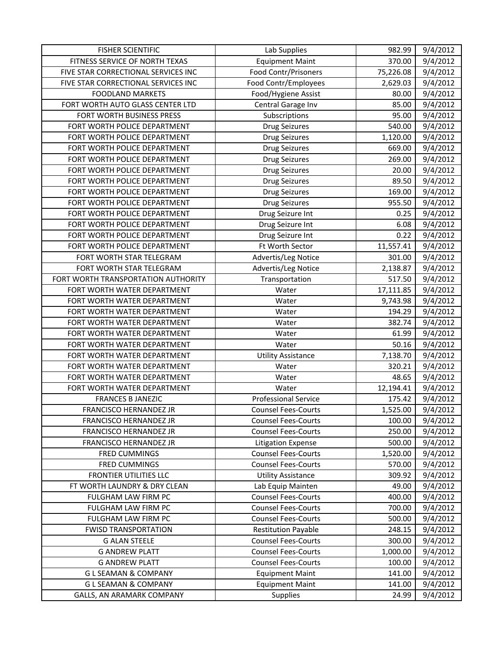| <b>FISHER SCIENTIFIC</b>            | Lab Supplies                | 982.99    | 9/4/2012              |
|-------------------------------------|-----------------------------|-----------|-----------------------|
| FITNESS SERVICE OF NORTH TEXAS      | <b>Equipment Maint</b>      | 370.00    | 9/4/2012              |
| FIVE STAR CORRECTIONAL SERVICES INC | Food Contr/Prisoners        | 75,226.08 | 9/4/2012              |
| FIVE STAR CORRECTIONAL SERVICES INC | Food Contr/Employees        | 2,629.03  | 9/4/2012              |
| <b>FOODLAND MARKETS</b>             | Food/Hygiene Assist         | 80.00     | 9/4/2012              |
| FORT WORTH AUTO GLASS CENTER LTD    | Central Garage Inv          | 85.00     | 9/4/2012              |
| FORT WORTH BUSINESS PRESS           | Subscriptions               | 95.00     | 9/4/2012              |
| FORT WORTH POLICE DEPARTMENT        | <b>Drug Seizures</b>        | 540.00    | 9/4/2012              |
| FORT WORTH POLICE DEPARTMENT        | <b>Drug Seizures</b>        | 1,120.00  | 9/4/2012              |
| FORT WORTH POLICE DEPARTMENT        | <b>Drug Seizures</b>        | 669.00    | 9/4/2012              |
| FORT WORTH POLICE DEPARTMENT        | <b>Drug Seizures</b>        | 269.00    | 9/4/2012              |
| FORT WORTH POLICE DEPARTMENT        | <b>Drug Seizures</b>        | 20.00     | 9/4/2012              |
| FORT WORTH POLICE DEPARTMENT        | Drug Seizures               | 89.50     | 9/4/2012              |
| FORT WORTH POLICE DEPARTMENT        | <b>Drug Seizures</b>        | 169.00    | 9/4/2012              |
| FORT WORTH POLICE DEPARTMENT        | <b>Drug Seizures</b>        | 955.50    | 9/4/2012              |
| FORT WORTH POLICE DEPARTMENT        | Drug Seizure Int            | 0.25      | 9/4/2012              |
| FORT WORTH POLICE DEPARTMENT        | Drug Seizure Int            | 6.08      | 9/4/2012              |
| FORT WORTH POLICE DEPARTMENT        | Drug Seizure Int            | 0.22      | 9/4/2012              |
| FORT WORTH POLICE DEPARTMENT        | Ft Worth Sector             | 11,557.41 | 9/4/2012              |
| FORT WORTH STAR TELEGRAM            | Advertis/Leg Notice         | 301.00    | 9/4/2012              |
| FORT WORTH STAR TELEGRAM            | Advertis/Leg Notice         | 2,138.87  | $\overline{9}/4/2012$ |
| FORT WORTH TRANSPORTATION AUTHORITY | Transportation              | 517.50    | 9/4/2012              |
| FORT WORTH WATER DEPARTMENT         | Water                       | 17,111.85 | 9/4/2012              |
| FORT WORTH WATER DEPARTMENT         | Water                       | 9,743.98  | 9/4/2012              |
| FORT WORTH WATER DEPARTMENT         | Water                       | 194.29    | 9/4/2012              |
| FORT WORTH WATER DEPARTMENT         | Water                       | 382.74    | 9/4/2012              |
| FORT WORTH WATER DEPARTMENT         | Water                       | 61.99     | 9/4/2012              |
| FORT WORTH WATER DEPARTMENT         | Water                       | 50.16     | 9/4/2012              |
| FORT WORTH WATER DEPARTMENT         | <b>Utility Assistance</b>   | 7,138.70  | 9/4/2012              |
| FORT WORTH WATER DEPARTMENT         | Water                       | 320.21    | 9/4/2012              |
| FORT WORTH WATER DEPARTMENT         | Water                       | 48.65     | 9/4/2012              |
| FORT WORTH WATER DEPARTMENT         | Water                       | 12,194.41 | 9/4/2012              |
| <b>FRANCES B JANEZIC</b>            | <b>Professional Service</b> | 175.42    | 9/4/2012              |
| FRANCISCO HERNANDEZ JR              | <b>Counsel Fees-Courts</b>  | 1,525.00  | 9/4/2012              |
| FRANCISCO HERNANDEZ JR              | <b>Counsel Fees-Courts</b>  | 100.00    | 9/4/2012              |
| FRANCISCO HERNANDEZ JR              | <b>Counsel Fees-Courts</b>  | 250.00    | 9/4/2012              |
| FRANCISCO HERNANDEZ JR              | <b>Litigation Expense</b>   | 500.00    | 9/4/2012              |
| FRED CUMMINGS                       | <b>Counsel Fees-Courts</b>  | 1,520.00  | 9/4/2012              |
| FRED CUMMINGS                       | <b>Counsel Fees-Courts</b>  | 570.00    | 9/4/2012              |
| <b>FRONTIER UTILITIES LLC</b>       | <b>Utility Assistance</b>   | 309.92    | 9/4/2012              |
| FT WORTH LAUNDRY & DRY CLEAN        | Lab Equip Mainten           | 49.00     | 9/4/2012              |
| FULGHAM LAW FIRM PC                 | <b>Counsel Fees-Courts</b>  | 400.00    | 9/4/2012              |
| FULGHAM LAW FIRM PC                 | <b>Counsel Fees-Courts</b>  | 700.00    | 9/4/2012              |
| FULGHAM LAW FIRM PC                 | <b>Counsel Fees-Courts</b>  | 500.00    | 9/4/2012              |
| <b>FWISD TRANSPORTATION</b>         | <b>Restitution Payable</b>  | 248.15    | 9/4/2012              |
| <b>G ALAN STEELE</b>                | <b>Counsel Fees-Courts</b>  | 300.00    | 9/4/2012              |
| <b>G ANDREW PLATT</b>               | <b>Counsel Fees-Courts</b>  | 1,000.00  | 9/4/2012              |
| <b>G ANDREW PLATT</b>               | <b>Counsel Fees-Courts</b>  | 100.00    | 9/4/2012              |
| <b>GLSEAMAN &amp; COMPANY</b>       | <b>Equipment Maint</b>      | 141.00    | 9/4/2012              |
| <b>GLSEAMAN &amp; COMPANY</b>       | <b>Equipment Maint</b>      | 141.00    | 9/4/2012              |
| GALLS, AN ARAMARK COMPANY           | <b>Supplies</b>             | 24.99     | 9/4/2012              |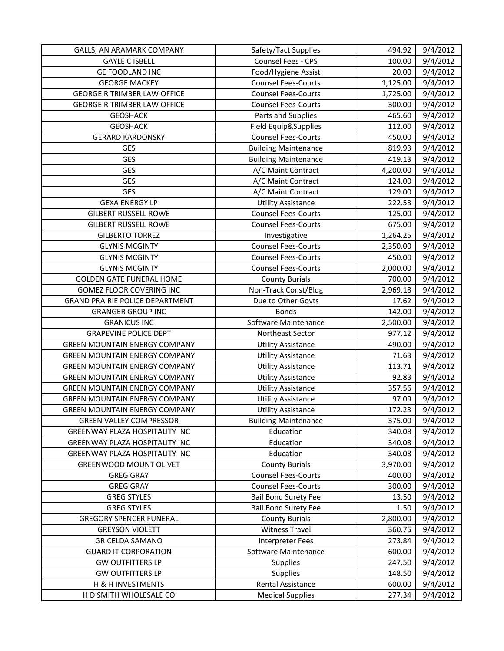| GALLS, AN ARAMARK COMPANY              | Safety/Tact Supplies        | 494.92   | 9/4/2012 |
|----------------------------------------|-----------------------------|----------|----------|
| <b>GAYLE C ISBELL</b>                  | Counsel Fees - CPS          | 100.00   | 9/4/2012 |
| <b>GE FOODLAND INC</b>                 | Food/Hygiene Assist         | 20.00    | 9/4/2012 |
| <b>GEORGE MACKEY</b>                   | <b>Counsel Fees-Courts</b>  | 1,125.00 | 9/4/2012 |
| <b>GEORGE R TRIMBER LAW OFFICE</b>     | <b>Counsel Fees-Courts</b>  | 1,725.00 | 9/4/2012 |
| <b>GEORGE R TRIMBER LAW OFFICE</b>     | <b>Counsel Fees-Courts</b>  | 300.00   | 9/4/2012 |
| <b>GEOSHACK</b>                        | Parts and Supplies          | 465.60   | 9/4/2012 |
| <b>GEOSHACK</b>                        | Field Equip&Supplies        | 112.00   | 9/4/2012 |
| <b>GERARD KARDONSKY</b>                | <b>Counsel Fees-Courts</b>  | 450.00   | 9/4/2012 |
| GES                                    | <b>Building Maintenance</b> | 819.93   | 9/4/2012 |
| GES                                    | <b>Building Maintenance</b> | 419.13   | 9/4/2012 |
| GES                                    | A/C Maint Contract          | 4,200.00 | 9/4/2012 |
| GES                                    | A/C Maint Contract          | 124.00   | 9/4/2012 |
| GES                                    | A/C Maint Contract          | 129.00   | 9/4/2012 |
| <b>GEXA ENERGY LP</b>                  | <b>Utility Assistance</b>   | 222.53   | 9/4/2012 |
| <b>GILBERT RUSSELL ROWE</b>            | <b>Counsel Fees-Courts</b>  | 125.00   | 9/4/2012 |
| <b>GILBERT RUSSELL ROWE</b>            | <b>Counsel Fees-Courts</b>  | 675.00   | 9/4/2012 |
| <b>GILBERTO TORREZ</b>                 | Investigative               | 1,264.25 | 9/4/2012 |
| <b>GLYNIS MCGINTY</b>                  | <b>Counsel Fees-Courts</b>  | 2,350.00 | 9/4/2012 |
| <b>GLYNIS MCGINTY</b>                  | <b>Counsel Fees-Courts</b>  | 450.00   | 9/4/2012 |
| <b>GLYNIS MCGINTY</b>                  | <b>Counsel Fees-Courts</b>  | 2,000.00 | 9/4/2012 |
| <b>GOLDEN GATE FUNERAL HOME</b>        | <b>County Burials</b>       | 700.00   | 9/4/2012 |
| GOMEZ FLOOR COVERING INC               | Non-Track Const/Bldg        | 2,969.18 | 9/4/2012 |
| <b>GRAND PRAIRIE POLICE DEPARTMENT</b> | Due to Other Govts          | 17.62    | 9/4/2012 |
| <b>GRANGER GROUP INC</b>               | <b>Bonds</b>                | 142.00   | 9/4/2012 |
| <b>GRANICUS INC</b>                    | Software Maintenance        | 2,500.00 | 9/4/2012 |
| <b>GRAPEVINE POLICE DEPT</b>           | Northeast Sector            | 977.12   | 9/4/2012 |
| <b>GREEN MOUNTAIN ENERGY COMPANY</b>   | <b>Utility Assistance</b>   | 490.00   | 9/4/2012 |
| <b>GREEN MOUNTAIN ENERGY COMPANY</b>   | <b>Utility Assistance</b>   | 71.63    | 9/4/2012 |
| <b>GREEN MOUNTAIN ENERGY COMPANY</b>   | <b>Utility Assistance</b>   | 113.71   | 9/4/2012 |
| <b>GREEN MOUNTAIN ENERGY COMPANY</b>   | <b>Utility Assistance</b>   | 92.83    | 9/4/2012 |
| <b>GREEN MOUNTAIN ENERGY COMPANY</b>   | <b>Utility Assistance</b>   | 357.56   | 9/4/2012 |
| <b>GREEN MOUNTAIN ENERGY COMPANY</b>   | <b>Utility Assistance</b>   | 97.09    | 9/4/2012 |
| <b>GREEN MOUNTAIN ENERGY COMPANY</b>   | <b>Utility Assistance</b>   | 172.23   | 9/4/2012 |
| <b>GREEN VALLEY COMPRESSOR</b>         | <b>Building Maintenance</b> | 375.00   | 9/4/2012 |
| GREENWAY PLAZA HOSPITALITY INC         | Education                   | 340.08   | 9/4/2012 |
| GREENWAY PLAZA HOSPITALITY INC         | Education                   | 340.08   | 9/4/2012 |
| <b>GREENWAY PLAZA HOSPITALITY INC</b>  | Education                   | 340.08   | 9/4/2012 |
| GREENWOOD MOUNT OLIVET                 | <b>County Burials</b>       | 3,970.00 | 9/4/2012 |
| <b>GREG GRAY</b>                       | <b>Counsel Fees-Courts</b>  | 400.00   | 9/4/2012 |
| <b>GREG GRAY</b>                       | <b>Counsel Fees-Courts</b>  | 300.00   | 9/4/2012 |
| <b>GREG STYLES</b>                     | <b>Bail Bond Surety Fee</b> | 13.50    | 9/4/2012 |
| <b>GREG STYLES</b>                     | <b>Bail Bond Surety Fee</b> | 1.50     | 9/4/2012 |
| <b>GREGORY SPENCER FUNERAL</b>         | <b>County Burials</b>       | 2,800.00 | 9/4/2012 |
| <b>GREYSON VIOLETT</b>                 | <b>Witness Travel</b>       | 360.75   | 9/4/2012 |
| <b>GRICELDA SAMANO</b>                 | <b>Interpreter Fees</b>     | 273.84   | 9/4/2012 |
| <b>GUARD IT CORPORATION</b>            | Software Maintenance        | 600.00   | 9/4/2012 |
| <b>GW OUTFITTERS LP</b>                | Supplies                    | 247.50   | 9/4/2012 |
| <b>GW OUTFITTERS LP</b>                | <b>Supplies</b>             | 148.50   | 9/4/2012 |
| H & H INVESTMENTS                      | Rental Assistance           | 600.00   | 9/4/2012 |
| H D SMITH WHOLESALE CO                 | <b>Medical Supplies</b>     | 277.34   | 9/4/2012 |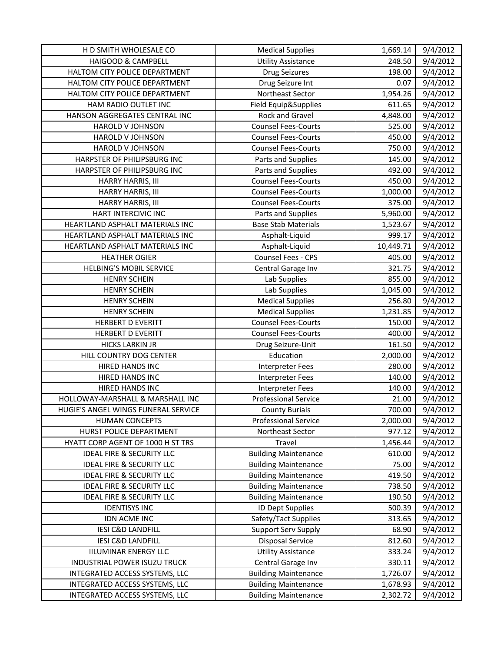| H D SMITH WHOLESALE CO               | <b>Medical Supplies</b>     | 1,669.14  | 9/4/2012 |
|--------------------------------------|-----------------------------|-----------|----------|
| HAIGOOD & CAMPBELL                   | <b>Utility Assistance</b>   | 248.50    | 9/4/2012 |
| HALTOM CITY POLICE DEPARTMENT        | <b>Drug Seizures</b>        | 198.00    | 9/4/2012 |
| HALTOM CITY POLICE DEPARTMENT        | Drug Seizure Int            | 0.07      | 9/4/2012 |
| HALTOM CITY POLICE DEPARTMENT        | Northeast Sector            | 1,954.26  | 9/4/2012 |
| HAM RADIO OUTLET INC                 | Field Equip&Supplies        | 611.65    | 9/4/2012 |
| HANSON AGGREGATES CENTRAL INC        | Rock and Gravel             | 4,848.00  | 9/4/2012 |
| HAROLD V JOHNSON                     | <b>Counsel Fees-Courts</b>  | 525.00    | 9/4/2012 |
| <b>HAROLD V JOHNSON</b>              | <b>Counsel Fees-Courts</b>  | 450.00    | 9/4/2012 |
| HAROLD V JOHNSON                     | <b>Counsel Fees-Courts</b>  | 750.00    | 9/4/2012 |
| HARPSTER OF PHILIPSBURG INC          | Parts and Supplies          | 145.00    | 9/4/2012 |
| HARPSTER OF PHILIPSBURG INC          | Parts and Supplies          | 492.00    | 9/4/2012 |
| HARRY HARRIS, III                    | <b>Counsel Fees-Courts</b>  | 450.00    | 9/4/2012 |
| HARRY HARRIS, III                    | <b>Counsel Fees-Courts</b>  | 1,000.00  | 9/4/2012 |
| <b>HARRY HARRIS, III</b>             | <b>Counsel Fees-Courts</b>  | 375.00    | 9/4/2012 |
| HART INTERCIVIC INC                  | Parts and Supplies          | 5,960.00  | 9/4/2012 |
| HEARTLAND ASPHALT MATERIALS INC      | <b>Base Stab Materials</b>  | 1,523.67  | 9/4/2012 |
| HEARTLAND ASPHALT MATERIALS INC      | Asphalt-Liquid              | 999.17    | 9/4/2012 |
| HEARTLAND ASPHALT MATERIALS INC      | Asphalt-Liquid              | 10,449.71 | 9/4/2012 |
| <b>HEATHER OGIER</b>                 | Counsel Fees - CPS          | 405.00    | 9/4/2012 |
| <b>HELBING'S MOBIL SERVICE</b>       | Central Garage Inv          | 321.75    | 9/4/2012 |
| <b>HENRY SCHEIN</b>                  | Lab Supplies                | 855.00    | 9/4/2012 |
| <b>HENRY SCHEIN</b>                  | Lab Supplies                | 1,045.00  | 9/4/2012 |
| <b>HENRY SCHEIN</b>                  | <b>Medical Supplies</b>     | 256.80    | 9/4/2012 |
| <b>HENRY SCHEIN</b>                  | <b>Medical Supplies</b>     | 1,231.85  | 9/4/2012 |
| <b>HERBERT D EVERITT</b>             | <b>Counsel Fees-Courts</b>  | 150.00    | 9/4/2012 |
| <b>HERBERT D EVERITT</b>             | <b>Counsel Fees-Courts</b>  | 400.00    | 9/4/2012 |
| <b>HICKS LARKIN JR</b>               | Drug Seizure-Unit           | 161.50    | 9/4/2012 |
| HILL COUNTRY DOG CENTER              | Education                   | 2,000.00  | 9/4/2012 |
| HIRED HANDS INC                      | <b>Interpreter Fees</b>     | 280.00    | 9/4/2012 |
| HIRED HANDS INC                      | Interpreter Fees            | 140.00    | 9/4/2012 |
| <b>HIRED HANDS INC</b>               | <b>Interpreter Fees</b>     | 140.00    | 9/4/2012 |
| HOLLOWAY-MARSHALL & MARSHALL INC     | <b>Professional Service</b> | 21.00     | 9/4/2012 |
| HUGIE'S ANGEL WINGS FUNERAL SERVICE  | <b>County Burials</b>       | 700.00    | 9/4/2012 |
| <b>HUMAN CONCEPTS</b>                | Professional Service        | 2,000.00  | 9/4/2012 |
| HURST POLICE DEPARTMENT              | Northeast Sector            | 977.12    | 9/4/2012 |
| HYATT CORP AGENT OF 1000 H ST TRS    | Travel                      | 1,456.44  | 9/4/2012 |
| <b>IDEAL FIRE &amp; SECURITY LLC</b> | <b>Building Maintenance</b> | 610.00    | 9/4/2012 |
| <b>IDEAL FIRE &amp; SECURITY LLC</b> | <b>Building Maintenance</b> | 75.00     | 9/4/2012 |
| <b>IDEAL FIRE &amp; SECURITY LLC</b> | <b>Building Maintenance</b> | 419.50    | 9/4/2012 |
| <b>IDEAL FIRE &amp; SECURITY LLC</b> | <b>Building Maintenance</b> | 738.50    | 9/4/2012 |
| <b>IDEAL FIRE &amp; SECURITY LLC</b> | <b>Building Maintenance</b> | 190.50    | 9/4/2012 |
| <b>IDENTISYS INC</b>                 | ID Dept Supplies            | 500.39    | 9/4/2012 |
| IDN ACME INC                         | Safety/Tact Supplies        | 313.65    | 9/4/2012 |
| <b>IESI C&amp;D LANDFILL</b>         | Support Serv Supply         | 68.90     | 9/4/2012 |
| <b>IESI C&amp;D LANDFILL</b>         | <b>Disposal Service</b>     | 812.60    | 9/4/2012 |
| <b>IILUMINAR ENERGY LLC</b>          | <b>Utility Assistance</b>   | 333.24    | 9/4/2012 |
| INDUSTRIAL POWER ISUZU TRUCK         | Central Garage Inv          | 330.11    | 9/4/2012 |
| INTEGRATED ACCESS SYSTEMS, LLC       | <b>Building Maintenance</b> | 1,726.07  | 9/4/2012 |
| INTEGRATED ACCESS SYSTEMS, LLC       | <b>Building Maintenance</b> | 1,678.93  | 9/4/2012 |
| INTEGRATED ACCESS SYSTEMS, LLC       | <b>Building Maintenance</b> | 2,302.72  | 9/4/2012 |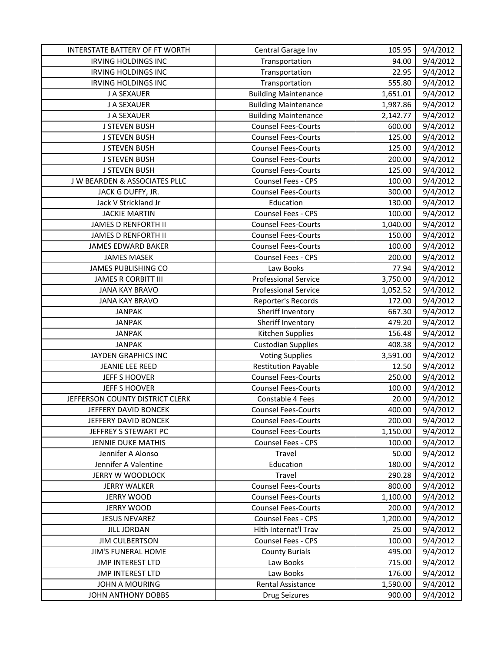| INTERSTATE BATTERY OF FT WORTH  | Central Garage Inv          | 105.95   | 9/4/2012 |
|---------------------------------|-----------------------------|----------|----------|
| <b>IRVING HOLDINGS INC</b>      | Transportation              | 94.00    | 9/4/2012 |
| <b>IRVING HOLDINGS INC</b>      | Transportation              | 22.95    | 9/4/2012 |
| <b>IRVING HOLDINGS INC</b>      | Transportation              | 555.80   | 9/4/2012 |
| J A SEXAUER                     | <b>Building Maintenance</b> | 1,651.01 | 9/4/2012 |
| J A SEXAUER                     | <b>Building Maintenance</b> | 1,987.86 | 9/4/2012 |
| J A SEXAUER                     | <b>Building Maintenance</b> | 2,142.77 | 9/4/2012 |
| <b>J STEVEN BUSH</b>            | <b>Counsel Fees-Courts</b>  | 600.00   | 9/4/2012 |
| <b>J STEVEN BUSH</b>            | <b>Counsel Fees-Courts</b>  | 125.00   | 9/4/2012 |
| <b>J STEVEN BUSH</b>            | <b>Counsel Fees-Courts</b>  | 125.00   | 9/4/2012 |
| <b>J STEVEN BUSH</b>            | <b>Counsel Fees-Courts</b>  | 200.00   | 9/4/2012 |
| <b>J STEVEN BUSH</b>            | <b>Counsel Fees-Courts</b>  | 125.00   | 9/4/2012 |
| J W BEARDEN & ASSOCIATES PLLC   | Counsel Fees - CPS          | 100.00   | 9/4/2012 |
| JACK G DUFFY, JR.               | <b>Counsel Fees-Courts</b>  | 300.00   | 9/4/2012 |
| Jack V Strickland Jr            | Education                   | 130.00   | 9/4/2012 |
| <b>JACKIE MARTIN</b>            | Counsel Fees - CPS          | 100.00   | 9/4/2012 |
| <b>JAMES D RENFORTH II</b>      | <b>Counsel Fees-Courts</b>  | 1,040.00 | 9/4/2012 |
| <b>JAMES D RENFORTH II</b>      | <b>Counsel Fees-Courts</b>  | 150.00   | 9/4/2012 |
| <b>JAMES EDWARD BAKER</b>       | <b>Counsel Fees-Courts</b>  | 100.00   | 9/4/2012 |
| <b>JAMES MASEK</b>              | Counsel Fees - CPS          | 200.00   | 9/4/2012 |
| JAMES PUBLISHING CO             | Law Books                   | 77.94    | 9/4/2012 |
| <b>JAMES R CORBITT III</b>      | <b>Professional Service</b> | 3,750.00 | 9/4/2012 |
| <b>JANA KAY BRAVO</b>           | <b>Professional Service</b> | 1,052.52 | 9/4/2012 |
| <b>JANA KAY BRAVO</b>           | Reporter's Records          | 172.00   | 9/4/2012 |
| <b>JANPAK</b>                   | Sheriff Inventory           | 667.30   | 9/4/2012 |
| <b>JANPAK</b>                   | Sheriff Inventory           | 479.20   | 9/4/2012 |
| <b>JANPAK</b>                   | Kitchen Supplies            | 156.48   | 9/4/2012 |
| <b>JANPAK</b>                   | <b>Custodian Supplies</b>   | 408.38   | 9/4/2012 |
| JAYDEN GRAPHICS INC             | <b>Voting Supplies</b>      | 3,591.00 | 9/4/2012 |
| JEANIE LEE REED                 | <b>Restitution Payable</b>  | 12.50    | 9/4/2012 |
| <b>JEFF S HOOVER</b>            | <b>Counsel Fees-Courts</b>  | 250.00   | 9/4/2012 |
| <b>JEFF S HOOVER</b>            | <b>Counsel Fees-Courts</b>  | 100.00   | 9/4/2012 |
| JEFFERSON COUNTY DISTRICT CLERK | Constable 4 Fees            | 20.00    | 9/4/2012 |
| JEFFERY DAVID BONCEK            | <b>Counsel Fees-Courts</b>  | 400.00   | 9/4/2012 |
| JEFFERY DAVID BONCEK            | <b>Counsel Fees-Courts</b>  | 200.00   | 9/4/2012 |
| JEFFREY S STEWART PC            | <b>Counsel Fees-Courts</b>  | 1,150.00 | 9/4/2012 |
| <b>JENNIE DUKE MATHIS</b>       | Counsel Fees - CPS          | 100.00   | 9/4/2012 |
| Jennifer A Alonso               | Travel                      | 50.00    | 9/4/2012 |
| Jennifer A Valentine            | Education                   | 180.00   | 9/4/2012 |
| <b>JERRY W WOODLOCK</b>         | Travel                      | 290.28   | 9/4/2012 |
| <b>JERRY WALKER</b>             | <b>Counsel Fees-Courts</b>  | 800.00   | 9/4/2012 |
| <b>JERRY WOOD</b>               | <b>Counsel Fees-Courts</b>  | 1,100.00 | 9/4/2012 |
| <b>JERRY WOOD</b>               | <b>Counsel Fees-Courts</b>  | 200.00   | 9/4/2012 |
| <b>JESUS NEVAREZ</b>            | <b>Counsel Fees - CPS</b>   | 1,200.00 | 9/4/2012 |
| <b>JILL JORDAN</b>              | Hith Internat'l Trav        | 25.00    | 9/4/2012 |
| <b>JIM CULBERTSON</b>           | Counsel Fees - CPS          | 100.00   | 9/4/2012 |
| JIM'S FUNERAL HOME              | <b>County Burials</b>       | 495.00   | 9/4/2012 |
| <b>JMP INTEREST LTD</b>         | Law Books                   | 715.00   | 9/4/2012 |
| <b>JMP INTEREST LTD</b>         | Law Books                   | 176.00   | 9/4/2012 |
| JOHN A MOURING                  | Rental Assistance           | 1,590.00 | 9/4/2012 |
| <b>JOHN ANTHONY DOBBS</b>       | <b>Drug Seizures</b>        | 900.00   | 9/4/2012 |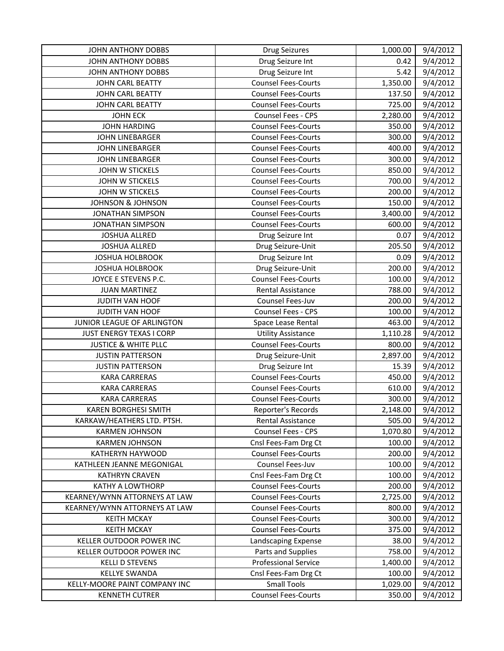| JOHN ANTHONY DOBBS              | Drug Seizures               | 1,000.00 | 9/4/2012 |
|---------------------------------|-----------------------------|----------|----------|
| JOHN ANTHONY DOBBS              | Drug Seizure Int            | 0.42     | 9/4/2012 |
| JOHN ANTHONY DOBBS              | Drug Seizure Int            | 5.42     | 9/4/2012 |
| <b>JOHN CARL BEATTY</b>         | <b>Counsel Fees-Courts</b>  | 1,350.00 | 9/4/2012 |
| JOHN CARL BEATTY                | <b>Counsel Fees-Courts</b>  | 137.50   | 9/4/2012 |
| JOHN CARL BEATTY                | <b>Counsel Fees-Courts</b>  | 725.00   | 9/4/2012 |
| <b>JOHN ECK</b>                 | Counsel Fees - CPS          | 2,280.00 | 9/4/2012 |
| <b>JOHN HARDING</b>             | <b>Counsel Fees-Courts</b>  | 350.00   | 9/4/2012 |
| <b>JOHN LINEBARGER</b>          | <b>Counsel Fees-Courts</b>  | 300.00   | 9/4/2012 |
| <b>JOHN LINEBARGER</b>          | <b>Counsel Fees-Courts</b>  | 400.00   | 9/4/2012 |
| JOHN LINEBARGER                 | <b>Counsel Fees-Courts</b>  | 300.00   | 9/4/2012 |
| JOHN W STICKELS                 | <b>Counsel Fees-Courts</b>  | 850.00   | 9/4/2012 |
| JOHN W STICKELS                 | <b>Counsel Fees-Courts</b>  | 700.00   | 9/4/2012 |
| JOHN W STICKELS                 | <b>Counsel Fees-Courts</b>  | 200.00   | 9/4/2012 |
| <b>JOHNSON &amp; JOHNSON</b>    | <b>Counsel Fees-Courts</b>  | 150.00   | 9/4/2012 |
| <b>JONATHAN SIMPSON</b>         | <b>Counsel Fees-Courts</b>  | 3,400.00 | 9/4/2012 |
| <b>JONATHAN SIMPSON</b>         | <b>Counsel Fees-Courts</b>  | 600.00   | 9/4/2012 |
| <b>JOSHUA ALLRED</b>            | Drug Seizure Int            | 0.07     | 9/4/2012 |
| <b>JOSHUA ALLRED</b>            | Drug Seizure-Unit           | 205.50   | 9/4/2012 |
| <b>JOSHUA HOLBROOK</b>          | Drug Seizure Int            | 0.09     | 9/4/2012 |
| <b>JOSHUA HOLBROOK</b>          | Drug Seizure-Unit           | 200.00   | 9/4/2012 |
| JOYCE E STEVENS P.C.            | <b>Counsel Fees-Courts</b>  | 100.00   | 9/4/2012 |
| <b>JUAN MARTINEZ</b>            | <b>Rental Assistance</b>    | 788.00   | 9/4/2012 |
| JUDITH VAN HOOF                 | Counsel Fees-Juv            | 200.00   | 9/4/2012 |
| JUDITH VAN HOOF                 | Counsel Fees - CPS          | 100.00   | 9/4/2012 |
| JUNIOR LEAGUE OF ARLINGTON      | Space Lease Rental          | 463.00   | 9/4/2012 |
| JUST ENERGY TEXAS I CORP        | <b>Utility Assistance</b>   | 1,110.28 | 9/4/2012 |
| <b>JUSTICE &amp; WHITE PLLC</b> | <b>Counsel Fees-Courts</b>  | 800.00   | 9/4/2012 |
| <b>JUSTIN PATTERSON</b>         | Drug Seizure-Unit           | 2,897.00 | 9/4/2012 |
| <b>JUSTIN PATTERSON</b>         | Drug Seizure Int            | 15.39    | 9/4/2012 |
| <b>KARA CARRERAS</b>            | <b>Counsel Fees-Courts</b>  | 450.00   | 9/4/2012 |
| <b>KARA CARRERAS</b>            | <b>Counsel Fees-Courts</b>  | 610.00   | 9/4/2012 |
| <b>KARA CARRERAS</b>            | <b>Counsel Fees-Courts</b>  | 300.00   | 9/4/2012 |
| <b>KAREN BORGHESI SMITH</b>     | Reporter's Records          | 2,148.00 | 9/4/2012 |
| KARKAW/HEATHERS LTD. PTSH.      | Rental Assistance           | 505.00   | 9/4/2012 |
| <b>KARMEN JOHNSON</b>           | Counsel Fees - CPS          | 1,070.80 | 9/4/2012 |
| <b>KARMEN JOHNSON</b>           | Cnsl Fees-Fam Drg Ct        | 100.00   | 9/4/2012 |
| KATHERYN HAYWOOD                | <b>Counsel Fees-Courts</b>  | 200.00   | 9/4/2012 |
| KATHLEEN JEANNE MEGONIGAL       | Counsel Fees-Juv            | 100.00   | 9/4/2012 |
| <b>KATHRYN CRAVEN</b>           | Cnsl Fees-Fam Drg Ct        | 100.00   | 9/4/2012 |
| KATHY A LOWTHORP                | <b>Counsel Fees-Courts</b>  | 200.00   | 9/4/2012 |
| KEARNEY/WYNN ATTORNEYS AT LAW   | <b>Counsel Fees-Courts</b>  | 2,725.00 | 9/4/2012 |
| KEARNEY/WYNN ATTORNEYS AT LAW   | <b>Counsel Fees-Courts</b>  | 800.00   | 9/4/2012 |
| <b>KEITH MCKAY</b>              | <b>Counsel Fees-Courts</b>  | 300.00   | 9/4/2012 |
| <b>KEITH MCKAY</b>              | <b>Counsel Fees-Courts</b>  | 375.00   | 9/4/2012 |
| KELLER OUTDOOR POWER INC        | Landscaping Expense         | 38.00    | 9/4/2012 |
| KELLER OUTDOOR POWER INC        | Parts and Supplies          | 758.00   | 9/4/2012 |
| <b>KELLI D STEVENS</b>          | <b>Professional Service</b> | 1,400.00 | 9/4/2012 |
| <b>KELLYE SWANDA</b>            | Cnsl Fees-Fam Drg Ct        | 100.00   | 9/4/2012 |
| KELLY-MOORE PAINT COMPANY INC   | <b>Small Tools</b>          | 1,029.00 | 9/4/2012 |
| <b>KENNETH CUTRER</b>           | <b>Counsel Fees-Courts</b>  | 350.00   | 9/4/2012 |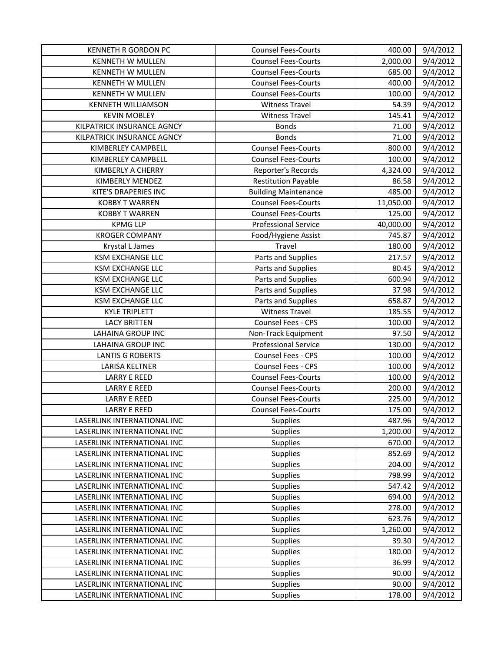| <b>KENNETH R GORDON PC</b>  | <b>Counsel Fees-Courts</b>  | 400.00    | 9/4/2012 |
|-----------------------------|-----------------------------|-----------|----------|
| <b>KENNETH W MULLEN</b>     | <b>Counsel Fees-Courts</b>  | 2,000.00  | 9/4/2012 |
| <b>KENNETH W MULLEN</b>     | <b>Counsel Fees-Courts</b>  | 685.00    | 9/4/2012 |
| <b>KENNETH W MULLEN</b>     | <b>Counsel Fees-Courts</b>  | 400.00    | 9/4/2012 |
| KENNETH W MULLEN            | <b>Counsel Fees-Courts</b>  | 100.00    | 9/4/2012 |
| <b>KENNETH WILLIAMSON</b>   | <b>Witness Travel</b>       | 54.39     | 9/4/2012 |
| <b>KEVIN MOBLEY</b>         | <b>Witness Travel</b>       | 145.41    | 9/4/2012 |
| KILPATRICK INSURANCE AGNCY  | <b>Bonds</b>                | 71.00     | 9/4/2012 |
| KILPATRICK INSURANCE AGNCY  | <b>Bonds</b>                | 71.00     | 9/4/2012 |
| KIMBERLEY CAMPBELL          | <b>Counsel Fees-Courts</b>  | 800.00    | 9/4/2012 |
| KIMBERLEY CAMPBELL          | <b>Counsel Fees-Courts</b>  | 100.00    | 9/4/2012 |
| KIMBERLY A CHERRY           | Reporter's Records          | 4,324.00  | 9/4/2012 |
| KIMBERLY MENDEZ             | <b>Restitution Payable</b>  | 86.58     | 9/4/2012 |
| KITE'S DRAPERIES INC        | <b>Building Maintenance</b> | 485.00    | 9/4/2012 |
| <b>KOBBY T WARREN</b>       | <b>Counsel Fees-Courts</b>  | 11,050.00 | 9/4/2012 |
| <b>KOBBY T WARREN</b>       | <b>Counsel Fees-Courts</b>  | 125.00    | 9/4/2012 |
| <b>KPMG LLP</b>             | <b>Professional Service</b> | 40,000.00 | 9/4/2012 |
| <b>KROGER COMPANY</b>       | Food/Hygiene Assist         | 745.87    | 9/4/2012 |
| Krystal L James             | Travel                      | 180.00    | 9/4/2012 |
| <b>KSM EXCHANGE LLC</b>     | Parts and Supplies          | 217.57    | 9/4/2012 |
| <b>KSM EXCHANGE LLC</b>     | Parts and Supplies          | 80.45     | 9/4/2012 |
| <b>KSM EXCHANGE LLC</b>     | Parts and Supplies          | 600.94    | 9/4/2012 |
| <b>KSM EXCHANGE LLC</b>     | Parts and Supplies          | 37.98     | 9/4/2012 |
| <b>KSM EXCHANGE LLC</b>     | Parts and Supplies          | 658.87    | 9/4/2012 |
| <b>KYLE TRIPLETT</b>        | <b>Witness Travel</b>       | 185.55    | 9/4/2012 |
| <b>LACY BRITTEN</b>         | Counsel Fees - CPS          | 100.00    | 9/4/2012 |
| <b>LAHAINA GROUP INC</b>    | Non-Track Equipment         | 97.50     | 9/4/2012 |
| <b>LAHAINA GROUP INC</b>    | <b>Professional Service</b> | 130.00    | 9/4/2012 |
| <b>LANTIS G ROBERTS</b>     | Counsel Fees - CPS          | 100.00    | 9/4/2012 |
| LARISA KELTNER              | Counsel Fees - CPS          | 100.00    | 9/4/2012 |
| <b>LARRY E REED</b>         | <b>Counsel Fees-Courts</b>  | 100.00    | 9/4/2012 |
| <b>LARRY E REED</b>         | <b>Counsel Fees-Courts</b>  | 200.00    | 9/4/2012 |
| <b>LARRY E REED</b>         | <b>Counsel Fees-Courts</b>  | 225.00    | 9/4/2012 |
| <b>LARRY E REED</b>         | <b>Counsel Fees-Courts</b>  | 175.00    | 9/4/2012 |
| LASERLINK INTERNATIONAL INC | Supplies                    | 487.96    | 9/4/2012 |
| LASERLINK INTERNATIONAL INC | Supplies                    | 1,200.00  | 9/4/2012 |
| LASERLINK INTERNATIONAL INC | Supplies                    | 670.00    | 9/4/2012 |
| LASERLINK INTERNATIONAL INC | Supplies                    | 852.69    | 9/4/2012 |
| LASERLINK INTERNATIONAL INC | Supplies                    | 204.00    | 9/4/2012 |
| LASERLINK INTERNATIONAL INC | Supplies                    | 798.99    | 9/4/2012 |
| LASERLINK INTERNATIONAL INC | Supplies                    | 547.42    | 9/4/2012 |
| LASERLINK INTERNATIONAL INC | Supplies                    | 694.00    | 9/4/2012 |
| LASERLINK INTERNATIONAL INC | Supplies                    | 278.00    | 9/4/2012 |
| LASERLINK INTERNATIONAL INC | Supplies                    | 623.76    | 9/4/2012 |
| LASERLINK INTERNATIONAL INC | Supplies                    | 1,260.00  | 9/4/2012 |
| LASERLINK INTERNATIONAL INC | Supplies                    | 39.30     | 9/4/2012 |
| LASERLINK INTERNATIONAL INC | Supplies                    | 180.00    | 9/4/2012 |
| LASERLINK INTERNATIONAL INC | Supplies                    | 36.99     | 9/4/2012 |
| LASERLINK INTERNATIONAL INC | Supplies                    | 90.00     | 9/4/2012 |
| LASERLINK INTERNATIONAL INC | Supplies                    | 90.00     | 9/4/2012 |
| LASERLINK INTERNATIONAL INC | Supplies                    | 178.00    | 9/4/2012 |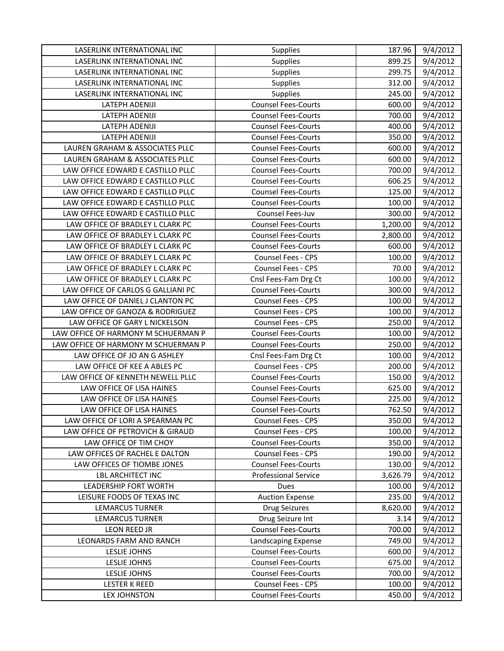| LASERLINK INTERNATIONAL INC         | Supplies                    | 187.96   | 9/4/2012 |
|-------------------------------------|-----------------------------|----------|----------|
| LASERLINK INTERNATIONAL INC         | <b>Supplies</b>             | 899.25   | 9/4/2012 |
| LASERLINK INTERNATIONAL INC         | <b>Supplies</b>             | 299.75   | 9/4/2012 |
| LASERLINK INTERNATIONAL INC         | <b>Supplies</b>             | 312.00   | 9/4/2012 |
| LASERLINK INTERNATIONAL INC         | <b>Supplies</b>             | 245.00   | 9/4/2012 |
| LATEPH ADENIJI                      | <b>Counsel Fees-Courts</b>  | 600.00   | 9/4/2012 |
| LATEPH ADENIJI                      | <b>Counsel Fees-Courts</b>  | 700.00   | 9/4/2012 |
| LATEPH ADENIJI                      | <b>Counsel Fees-Courts</b>  | 400.00   | 9/4/2012 |
| LATEPH ADENIJI                      | <b>Counsel Fees-Courts</b>  | 350.00   | 9/4/2012 |
| LAUREN GRAHAM & ASSOCIATES PLLC     | <b>Counsel Fees-Courts</b>  | 600.00   | 9/4/2012 |
| LAUREN GRAHAM & ASSOCIATES PLLC     | <b>Counsel Fees-Courts</b>  | 600.00   | 9/4/2012 |
| LAW OFFICE EDWARD E CASTILLO PLLC   | <b>Counsel Fees-Courts</b>  | 700.00   | 9/4/2012 |
| LAW OFFICE EDWARD E CASTILLO PLLC   | <b>Counsel Fees-Courts</b>  | 606.25   | 9/4/2012 |
| LAW OFFICE EDWARD E CASTILLO PLLC   | <b>Counsel Fees-Courts</b>  | 125.00   | 9/4/2012 |
| LAW OFFICE EDWARD E CASTILLO PLLC   | <b>Counsel Fees-Courts</b>  | 100.00   | 9/4/2012 |
| LAW OFFICE EDWARD E CASTILLO PLLC   | Counsel Fees-Juv            | 300.00   | 9/4/2012 |
| LAW OFFICE OF BRADLEY L CLARK PC    | <b>Counsel Fees-Courts</b>  | 1,200.00 | 9/4/2012 |
| LAW OFFICE OF BRADLEY L CLARK PC    | <b>Counsel Fees-Courts</b>  | 2,800.00 | 9/4/2012 |
| LAW OFFICE OF BRADLEY L CLARK PC    | <b>Counsel Fees-Courts</b>  | 600.00   | 9/4/2012 |
| LAW OFFICE OF BRADLEY L CLARK PC    | Counsel Fees - CPS          | 100.00   | 9/4/2012 |
| LAW OFFICE OF BRADLEY L CLARK PC    | Counsel Fees - CPS          | 70.00    | 9/4/2012 |
| LAW OFFICE OF BRADLEY L CLARK PC    | Cnsl Fees-Fam Drg Ct        | 100.00   | 9/4/2012 |
| LAW OFFICE OF CARLOS G GALLIANI PC  | <b>Counsel Fees-Courts</b>  | 300.00   | 9/4/2012 |
| LAW OFFICE OF DANIEL J CLANTON PC   | Counsel Fees - CPS          | 100.00   | 9/4/2012 |
| LAW OFFICE OF GANOZA & RODRIGUEZ    | Counsel Fees - CPS          | 100.00   | 9/4/2012 |
| LAW OFFICE OF GARY L NICKELSON      | Counsel Fees - CPS          | 250.00   | 9/4/2012 |
| LAW OFFICE OF HARMONY M SCHUERMAN P | <b>Counsel Fees-Courts</b>  | 100.00   | 9/4/2012 |
| LAW OFFICE OF HARMONY M SCHUERMAN P | <b>Counsel Fees-Courts</b>  | 250.00   | 9/4/2012 |
| LAW OFFICE OF JO AN G ASHLEY        | Cnsl Fees-Fam Drg Ct        | 100.00   | 9/4/2012 |
| LAW OFFICE OF KEE A ABLES PC        | Counsel Fees - CPS          | 200.00   | 9/4/2012 |
| LAW OFFICE OF KENNETH NEWELL PLLC   | <b>Counsel Fees-Courts</b>  | 150.00   | 9/4/2012 |
| LAW OFFICE OF LISA HAINES           | <b>Counsel Fees-Courts</b>  | 625.00   | 9/4/2012 |
| LAW OFFICE OF LISA HAINES           | <b>Counsel Fees-Courts</b>  | 225.00   | 9/4/2012 |
| LAW OFFICE OF LISA HAINES           | <b>Counsel Fees-Courts</b>  | 762.50   | 9/4/2012 |
| LAW OFFICE OF LORI A SPEARMAN PC    | Counsel Fees - CPS          | 350.00   | 9/4/2012 |
| LAW OFFICE OF PETROVICH & GIRAUD    | Counsel Fees - CPS          | 100.00   | 9/4/2012 |
| LAW OFFICE OF TIM CHOY              | <b>Counsel Fees-Courts</b>  | 350.00   | 9/4/2012 |
| LAW OFFICES OF RACHEL E DALTON      | <b>Counsel Fees - CPS</b>   | 190.00   | 9/4/2012 |
| LAW OFFICES OF TIOMBE JONES         | <b>Counsel Fees-Courts</b>  | 130.00   | 9/4/2012 |
| <b>LBL ARCHITECT INC</b>            | <b>Professional Service</b> | 3,626.79 | 9/4/2012 |
| LEADERSHIP FORT WORTH               | Dues                        | 100.00   | 9/4/2012 |
| LEISURE FOODS OF TEXAS INC          | <b>Auction Expense</b>      | 235.00   | 9/4/2012 |
| <b>LEMARCUS TURNER</b>              | <b>Drug Seizures</b>        | 8,620.00 | 9/4/2012 |
| <b>LEMARCUS TURNER</b>              | Drug Seizure Int            | 3.14     | 9/4/2012 |
| <b>LEON REED JR</b>                 | <b>Counsel Fees-Courts</b>  | 700.00   | 9/4/2012 |
| LEONARDS FARM AND RANCH             | Landscaping Expense         | 749.00   | 9/4/2012 |
| LESLIE JOHNS                        | <b>Counsel Fees-Courts</b>  | 600.00   | 9/4/2012 |
| LESLIE JOHNS                        | <b>Counsel Fees-Courts</b>  | 675.00   | 9/4/2012 |
| LESLIE JOHNS                        | <b>Counsel Fees-Courts</b>  | 700.00   | 9/4/2012 |
| <b>LESTER K REED</b>                | Counsel Fees - CPS          | 100.00   | 9/4/2012 |
| <b>LEX JOHNSTON</b>                 | <b>Counsel Fees-Courts</b>  | 450.00   | 9/4/2012 |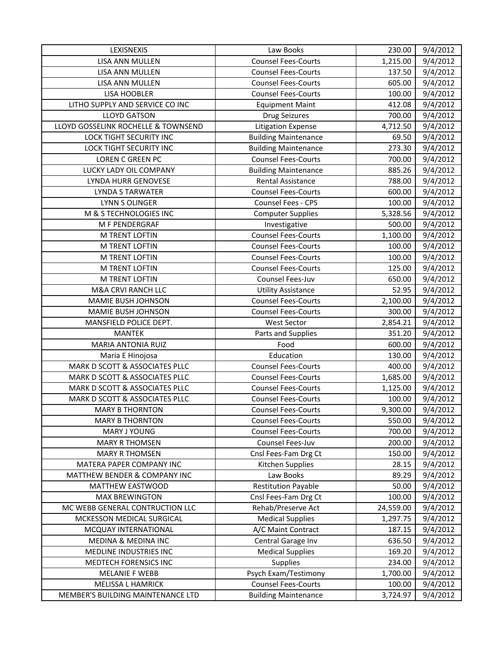| LEXISNEXIS                          | Law Books                   | 230.00    | 9/4/2012 |
|-------------------------------------|-----------------------------|-----------|----------|
| LISA ANN MULLEN                     | <b>Counsel Fees-Courts</b>  | 1,215.00  | 9/4/2012 |
| LISA ANN MULLEN                     | <b>Counsel Fees-Courts</b>  | 137.50    | 9/4/2012 |
| LISA ANN MULLEN                     | <b>Counsel Fees-Courts</b>  | 605.00    | 9/4/2012 |
| <b>LISA HOOBLER</b>                 | <b>Counsel Fees-Courts</b>  | 100.00    | 9/4/2012 |
| LITHO SUPPLY AND SERVICE CO INC     | <b>Equipment Maint</b>      | 412.08    | 9/4/2012 |
| <b>LLOYD GATSON</b>                 | <b>Drug Seizures</b>        | 700.00    | 9/4/2012 |
| LLOYD GOSSELINK ROCHELLE & TOWNSEND | <b>Litigation Expense</b>   | 4,712.50  | 9/4/2012 |
| LOCK TIGHT SECURITY INC             | <b>Building Maintenance</b> | 69.50     | 9/4/2012 |
| LOCK TIGHT SECURITY INC             | <b>Building Maintenance</b> | 273.30    | 9/4/2012 |
| <b>LOREN C GREEN PC</b>             | <b>Counsel Fees-Courts</b>  | 700.00    | 9/4/2012 |
| LUCKY LADY OIL COMPANY              | <b>Building Maintenance</b> | 885.26    | 9/4/2012 |
| LYNDA HURR GENOVESE                 | Rental Assistance           | 788.00    | 9/4/2012 |
| <b>LYNDA S TARWATER</b>             | <b>Counsel Fees-Courts</b>  | 600.00    | 9/4/2012 |
| <b>LYNN S OLINGER</b>               | Counsel Fees - CPS          | 100.00    | 9/4/2012 |
| M & S TECHNOLOGIES INC              | <b>Computer Supplies</b>    | 5,328.56  | 9/4/2012 |
| M F PENDERGRAF                      | Investigative               | 500.00    | 9/4/2012 |
| M TRENT LOFTIN                      | <b>Counsel Fees-Courts</b>  | 1,100.00  | 9/4/2012 |
| M TRENT LOFTIN                      | <b>Counsel Fees-Courts</b>  | 100.00    | 9/4/2012 |
| <b>M TRENT LOFTIN</b>               | <b>Counsel Fees-Courts</b>  | 100.00    | 9/4/2012 |
| M TRENT LOFTIN                      | <b>Counsel Fees-Courts</b>  | 125.00    | 9/4/2012 |
| M TRENT LOFTIN                      | Counsel Fees-Juv            | 650.00    | 9/4/2012 |
| M&A CRVI RANCH LLC                  | <b>Utility Assistance</b>   | 52.95     | 9/4/2012 |
| MAMIE BUSH JOHNSON                  | <b>Counsel Fees-Courts</b>  | 2,100.00  | 9/4/2012 |
| MAMIE BUSH JOHNSON                  | <b>Counsel Fees-Courts</b>  | 300.00    | 9/4/2012 |
| MANSFIELD POLICE DEPT.              | <b>West Sector</b>          | 2,854.21  | 9/4/2012 |
| <b>MANTEK</b>                       | Parts and Supplies          | 351.20    | 9/4/2012 |
| MARIA ANTONIA RUIZ                  | Food                        | 600.00    | 9/4/2012 |
| Maria E Hinojosa                    | Education                   | 130.00    | 9/4/2012 |
| MARK D SCOTT & ASSOCIATES PLLC      | <b>Counsel Fees-Courts</b>  | 400.00    | 9/4/2012 |
| MARK D SCOTT & ASSOCIATES PLLC      | <b>Counsel Fees-Courts</b>  | 1,685.00  | 9/4/2012 |
| MARK D SCOTT & ASSOCIATES PLLC      | <b>Counsel Fees-Courts</b>  | 1,125.00  | 9/4/2012 |
| MARK D SCOTT & ASSOCIATES PLLC      | <b>Counsel Fees-Courts</b>  | 100.00    | 9/4/2012 |
| <b>MARY B THORNTON</b>              | <b>Counsel Fees-Courts</b>  | 9,300.00  | 9/4/2012 |
| <b>MARY B THORNTON</b>              | <b>Counsel Fees-Courts</b>  | 550.00    | 9/4/2012 |
| MARY J YOUNG                        | <b>Counsel Fees-Courts</b>  | 700.00    | 9/4/2012 |
| <b>MARY R THOMSEN</b>               | Counsel Fees-Juv            | 200.00    | 9/4/2012 |
| <b>MARY R THOMSEN</b>               | Cnsl Fees-Fam Drg Ct        | 150.00    | 9/4/2012 |
| MATERA PAPER COMPANY INC            | Kitchen Supplies            | 28.15     | 9/4/2012 |
| MATTHEW BENDER & COMPANY INC        | Law Books                   | 89.29     | 9/4/2012 |
| MATTHEW EASTWOOD                    | <b>Restitution Payable</b>  | 50.00     | 9/4/2012 |
| <b>MAX BREWINGTON</b>               | Cnsl Fees-Fam Drg Ct        | 100.00    | 9/4/2012 |
| MC WEBB GENERAL CONTRUCTION LLC     | Rehab/Preserve Act          | 24,559.00 | 9/4/2012 |
| MCKESSON MEDICAL SURGICAL           | <b>Medical Supplies</b>     | 1,297.75  | 9/4/2012 |
| MCQUAY INTERNATIONAL                | A/C Maint Contract          | 187.15    | 9/4/2012 |
| MEDINA & MEDINA INC                 | Central Garage Inv          | 636.50    | 9/4/2012 |
| MEDLINE INDUSTRIES INC              | <b>Medical Supplies</b>     | 169.20    | 9/4/2012 |
| MEDTECH FORENSICS INC               | <b>Supplies</b>             | 234.00    | 9/4/2012 |
| <b>MELANIE F WEBB</b>               | Psych Exam/Testimony        | 1,700.00  | 9/4/2012 |
| <b>MELISSA L HAMRICK</b>            | <b>Counsel Fees-Courts</b>  | 100.00    | 9/4/2012 |
| MEMBER'S BUILDING MAINTENANCE LTD   | <b>Building Maintenance</b> | 3,724.97  | 9/4/2012 |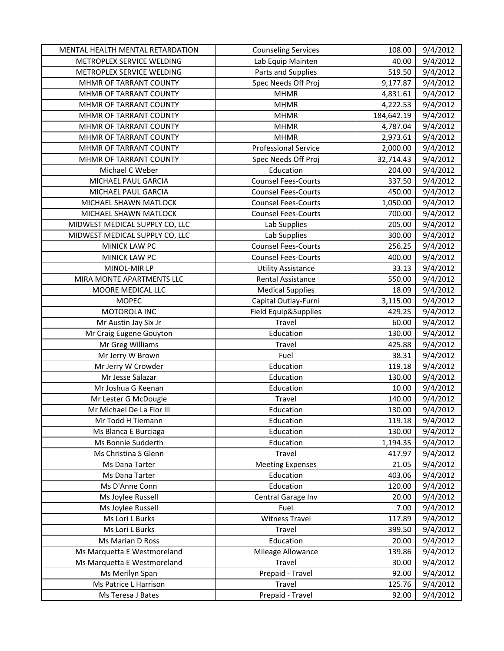| MENTAL HEALTH MENTAL RETARDATION | <b>Counseling Services</b>  | 108.00     | 9/4/2012 |
|----------------------------------|-----------------------------|------------|----------|
| METROPLEX SERVICE WELDING        | Lab Equip Mainten           | 40.00      | 9/4/2012 |
| METROPLEX SERVICE WELDING        | Parts and Supplies          | 519.50     | 9/4/2012 |
| MHMR OF TARRANT COUNTY           | Spec Needs Off Proj         | 9,177.87   | 9/4/2012 |
| MHMR OF TARRANT COUNTY           | <b>MHMR</b>                 | 4,831.61   | 9/4/2012 |
| MHMR OF TARRANT COUNTY           | <b>MHMR</b>                 | 4,222.53   | 9/4/2012 |
| MHMR OF TARRANT COUNTY           | <b>MHMR</b>                 | 184,642.19 | 9/4/2012 |
| MHMR OF TARRANT COUNTY           | <b>MHMR</b>                 | 4,787.04   | 9/4/2012 |
| MHMR OF TARRANT COUNTY           | <b>MHMR</b>                 | 2,973.61   | 9/4/2012 |
| MHMR OF TARRANT COUNTY           | <b>Professional Service</b> | 2,000.00   | 9/4/2012 |
| MHMR OF TARRANT COUNTY           | Spec Needs Off Proj         | 32,714.43  | 9/4/2012 |
| Michael C Weber                  | Education                   | 204.00     | 9/4/2012 |
| MICHAEL PAUL GARCIA              | <b>Counsel Fees-Courts</b>  | 337.50     | 9/4/2012 |
| MICHAEL PAUL GARCIA              | <b>Counsel Fees-Courts</b>  | 450.00     | 9/4/2012 |
| MICHAEL SHAWN MATLOCK            | <b>Counsel Fees-Courts</b>  | 1,050.00   | 9/4/2012 |
| MICHAEL SHAWN MATLOCK            | <b>Counsel Fees-Courts</b>  | 700.00     | 9/4/2012 |
| MIDWEST MEDICAL SUPPLY CO, LLC   | Lab Supplies                | 205.00     | 9/4/2012 |
| MIDWEST MEDICAL SUPPLY CO, LLC   | Lab Supplies                | 300.00     | 9/4/2012 |
| MINICK LAW PC                    | <b>Counsel Fees-Courts</b>  | 256.25     | 9/4/2012 |
| <b>MINICK LAW PC</b>             | <b>Counsel Fees-Courts</b>  | 400.00     | 9/4/2012 |
| MINOL-MIR LP                     | <b>Utility Assistance</b>   | 33.13      | 9/4/2012 |
| MIRA MONTE APARTMENTS LLC        | <b>Rental Assistance</b>    | 550.00     | 9/4/2012 |
| MOORE MEDICAL LLC                | <b>Medical Supplies</b>     | 18.09      | 9/4/2012 |
| <b>MOPEC</b>                     | Capital Outlay-Furni        | 3,115.00   | 9/4/2012 |
| MOTOROLA INC                     | Field Equip&Supplies        | 429.25     | 9/4/2012 |
| Mr Austin Jay Six Jr             | Travel                      | 60.00      | 9/4/2012 |
| Mr Craig Eugene Gouyton          | Education                   | 130.00     | 9/4/2012 |
| Mr Greg Williams                 | Travel                      | 425.88     | 9/4/2012 |
| Mr Jerry W Brown                 | Fuel                        | 38.31      | 9/4/2012 |
| Mr Jerry W Crowder               | Education                   | 119.18     | 9/4/2012 |
| Mr Jesse Salazar                 | Education                   | 130.00     | 9/4/2012 |
| Mr Joshua G Keenan               | Education                   | 10.00      | 9/4/2012 |
| Mr Lester G McDougle             | Travel                      | 140.00     | 9/4/2012 |
| Mr Michael De La Flor III        | Education                   | 130.00     | 9/4/2012 |
| Mr Todd H Tiemann                | Education                   | 119.18     | 9/4/2012 |
| Ms Blanca E Burciaga             | Education                   | 130.00     | 9/4/2012 |
| Ms Bonnie Sudderth               | Education                   | 1,194.35   | 9/4/2012 |
| Ms Christina S Glenn             | Travel                      | 417.97     | 9/4/2012 |
| Ms Dana Tarter                   | <b>Meeting Expenses</b>     | 21.05      | 9/4/2012 |
| Ms Dana Tarter                   | Education                   | 403.06     | 9/4/2012 |
| Ms D'Anne Conn                   | Education                   | 120.00     | 9/4/2012 |
| Ms Joylee Russell                | Central Garage Inv          | 20.00      | 9/4/2012 |
| Ms Joylee Russell                | Fuel                        | 7.00       | 9/4/2012 |
| Ms Lori L Burks                  | <b>Witness Travel</b>       | 117.89     | 9/4/2012 |
| Ms Lori L Burks                  | Travel                      | 399.50     | 9/4/2012 |
| Ms Marian D Ross                 | Education                   | 20.00      | 9/4/2012 |
| Ms Marquetta E Westmoreland      | Mileage Allowance           | 139.86     | 9/4/2012 |
| Ms Marquetta E Westmoreland      | Travel                      | 30.00      | 9/4/2012 |
| Ms Merilyn Span                  | Prepaid - Travel            | 92.00      | 9/4/2012 |
| Ms Patrice L Harrison            | Travel                      | 125.76     | 9/4/2012 |
| Ms Teresa J Bates                | Prepaid - Travel            | 92.00      | 9/4/2012 |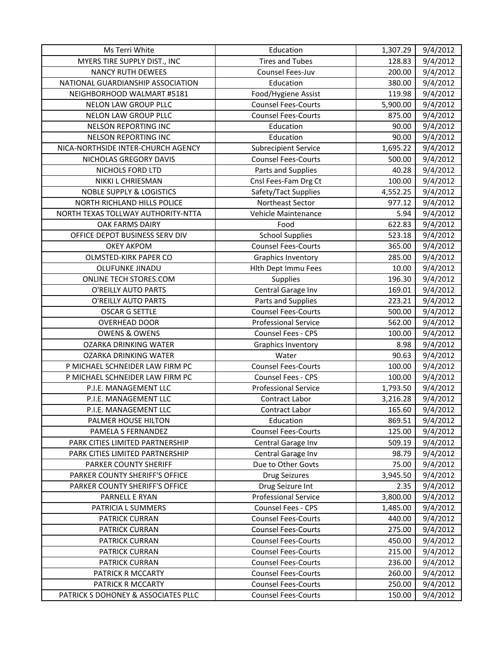| Ms Terri White                      | Education                   | 1,307.29 | 9/4/2012 |
|-------------------------------------|-----------------------------|----------|----------|
| MYERS TIRE SUPPLY DIST., INC        | <b>Tires and Tubes</b>      | 128.83   | 9/4/2012 |
| <b>NANCY RUTH DEWEES</b>            | Counsel Fees-Juv            | 200.00   | 9/4/2012 |
| NATIONAL GUARDIANSHIP ASSOCIATION   | Education                   | 380.00   | 9/4/2012 |
| NEIGHBORHOOD WALMART #5181          | Food/Hygiene Assist         | 119.98   | 9/4/2012 |
| NELON LAW GROUP PLLC                | <b>Counsel Fees-Courts</b>  | 5,900.00 | 9/4/2012 |
| NELON LAW GROUP PLLC                | <b>Counsel Fees-Courts</b>  | 875.00   | 9/4/2012 |
| NELSON REPORTING INC                | Education                   | 90.00    | 9/4/2012 |
| NELSON REPORTING INC                | Education                   | 90.00    | 9/4/2012 |
| NICA-NORTHSIDE INTER-CHURCH AGENCY  | <b>Subrecipient Service</b> | 1,695.22 | 9/4/2012 |
| NICHOLAS GREGORY DAVIS              | <b>Counsel Fees-Courts</b>  | 500.00   | 9/4/2012 |
| NICHOLS FORD LTD                    | Parts and Supplies          | 40.28    | 9/4/2012 |
| NIKKI L CHRIESMAN                   | Cnsl Fees-Fam Drg Ct        | 100.00   | 9/4/2012 |
| <b>NOBLE SUPPLY &amp; LOGISTICS</b> | Safety/Tact Supplies        | 4,552.25 | 9/4/2012 |
| NORTH RICHLAND HILLS POLICE         | Northeast Sector            | 977.12   | 9/4/2012 |
| NORTH TEXAS TOLLWAY AUTHORITY-NTTA  | Vehicle Maintenance         | 5.94     | 9/4/2012 |
| OAK FARMS DAIRY                     | Food                        | 622.83   | 9/4/2012 |
| OFFICE DEPOT BUSINESS SERV DIV      | <b>School Supplies</b>      | 523.18   | 9/4/2012 |
| <b>OKEY AKPOM</b>                   | <b>Counsel Fees-Courts</b>  | 365.00   | 9/4/2012 |
| OLMSTED-KIRK PAPER CO               | <b>Graphics Inventory</b>   | 285.00   | 9/4/2012 |
| <b>OLUFUNKE JINADU</b>              | Hith Dept Immu Fees         | 10.00    | 9/4/2012 |
| ONLINE TECH STORES.COM              | Supplies                    | 196.30   | 9/4/2012 |
| O'REILLY AUTO PARTS                 | Central Garage Inv          | 169.01   | 9/4/2012 |
| O'REILLY AUTO PARTS                 | Parts and Supplies          | 223.21   | 9/4/2012 |
| <b>OSCAR G SETTLE</b>               | <b>Counsel Fees-Courts</b>  | 500.00   | 9/4/2012 |
| <b>OVERHEAD DOOR</b>                | <b>Professional Service</b> | 562.00   | 9/4/2012 |
| <b>OWENS &amp; OWENS</b>            | Counsel Fees - CPS          | 100.00   | 9/4/2012 |
| OZARKA DRINKING WATER               | <b>Graphics Inventory</b>   | 8.98     | 9/4/2012 |
| OZARKA DRINKING WATER               | Water                       | 90.63    | 9/4/2012 |
| P MICHAEL SCHNEIDER LAW FIRM PC     | <b>Counsel Fees-Courts</b>  | 100.00   | 9/4/2012 |
| P MICHAEL SCHNEIDER LAW FIRM PC     | Counsel Fees - CPS          | 100.00   | 9/4/2012 |
| P.I.E. MANAGEMENT LLC               | <b>Professional Service</b> | 1,793.50 | 9/4/2012 |
| P.I.E. MANAGEMENT LLC               | Contract Labor              | 3,216.28 | 9/4/2012 |
| P.I.E. MANAGEMENT LLC               | Contract Labor              | 165.60   | 9/4/2012 |
| PALMER HOUSE HILTON                 | Education                   | 869.51   | 9/4/2012 |
| PAMELA S FERNANDEZ                  | <b>Counsel Fees-Courts</b>  | 125.00   | 9/4/2012 |
| PARK CITIES LIMITED PARTNERSHIP     | Central Garage Inv          | 509.19   | 9/4/2012 |
| PARK CITIES LIMITED PARTNERSHIP     | Central Garage Inv          | 98.79    | 9/4/2012 |
| PARKER COUNTY SHERIFF               | Due to Other Govts          | 75.00    | 9/4/2012 |
| PARKER COUNTY SHERIFF'S OFFICE      | <b>Drug Seizures</b>        | 3,945.50 | 9/4/2012 |
| PARKER COUNTY SHERIFF'S OFFICE      | Drug Seizure Int            | 2.35     | 9/4/2012 |
| PARNELL E RYAN                      | <b>Professional Service</b> | 3,800.00 | 9/4/2012 |
| PATRICIA L SUMMERS                  | Counsel Fees - CPS          | 1,485.00 | 9/4/2012 |
| PATRICK CURRAN                      | <b>Counsel Fees-Courts</b>  | 440.00   | 9/4/2012 |
| PATRICK CURRAN                      | <b>Counsel Fees-Courts</b>  | 275.00   | 9/4/2012 |
| PATRICK CURRAN                      | <b>Counsel Fees-Courts</b>  | 450.00   | 9/4/2012 |
| PATRICK CURRAN                      | <b>Counsel Fees-Courts</b>  | 215.00   | 9/4/2012 |
| PATRICK CURRAN                      | <b>Counsel Fees-Courts</b>  | 236.00   | 9/4/2012 |
| PATRICK R MCCARTY                   | <b>Counsel Fees-Courts</b>  | 260.00   | 9/4/2012 |
| PATRICK R MCCARTY                   | <b>Counsel Fees-Courts</b>  | 250.00   | 9/4/2012 |
| PATRICK S DOHONEY & ASSOCIATES PLLC | <b>Counsel Fees-Courts</b>  | 150.00   | 9/4/2012 |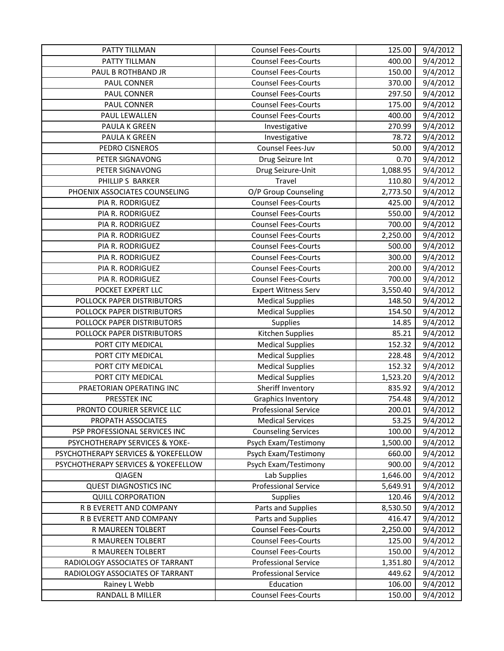| PATTY TILLMAN                       | <b>Counsel Fees-Courts</b>  | 125.00   | 9/4/2012 |
|-------------------------------------|-----------------------------|----------|----------|
| PATTY TILLMAN                       | <b>Counsel Fees-Courts</b>  | 400.00   | 9/4/2012 |
| PAUL B ROTHBAND JR                  | <b>Counsel Fees-Courts</b>  | 150.00   | 9/4/2012 |
| PAUL CONNER                         | <b>Counsel Fees-Courts</b>  | 370.00   | 9/4/2012 |
| PAUL CONNER                         | <b>Counsel Fees-Courts</b>  | 297.50   | 9/4/2012 |
| PAUL CONNER                         | <b>Counsel Fees-Courts</b>  | 175.00   | 9/4/2012 |
| PAUL LEWALLEN                       | <b>Counsel Fees-Courts</b>  | 400.00   | 9/4/2012 |
| PAULA K GREEN                       | Investigative               | 270.99   | 9/4/2012 |
| PAULA K GREEN                       | Investigative               | 78.72    | 9/4/2012 |
| PEDRO CISNEROS                      | Counsel Fees-Juv            | 50.00    | 9/4/2012 |
| PETER SIGNAVONG                     | Drug Seizure Int            | 0.70     | 9/4/2012 |
| PETER SIGNAVONG                     | Drug Seizure-Unit           | 1,088.95 | 9/4/2012 |
| PHILLIP S BARKER                    | Travel                      | 110.80   | 9/4/2012 |
| PHOENIX ASSOCIATES COUNSELING       | O/P Group Counseling        | 2,773.50 | 9/4/2012 |
| PIA R. RODRIGUEZ                    | <b>Counsel Fees-Courts</b>  | 425.00   | 9/4/2012 |
| PIA R. RODRIGUEZ                    | <b>Counsel Fees-Courts</b>  | 550.00   | 9/4/2012 |
| PIA R. RODRIGUEZ                    | <b>Counsel Fees-Courts</b>  | 700.00   | 9/4/2012 |
| PIA R. RODRIGUEZ                    | <b>Counsel Fees-Courts</b>  | 2,250.00 | 9/4/2012 |
| PIA R. RODRIGUEZ                    | <b>Counsel Fees-Courts</b>  | 500.00   | 9/4/2012 |
| PIA R. RODRIGUEZ                    | <b>Counsel Fees-Courts</b>  | 300.00   | 9/4/2012 |
| PIA R. RODRIGUEZ                    | <b>Counsel Fees-Courts</b>  | 200.00   | 9/4/2012 |
| PIA R. RODRIGUEZ                    | <b>Counsel Fees-Courts</b>  | 700.00   | 9/4/2012 |
| POCKET EXPERT LLC                   | <b>Expert Witness Serv</b>  | 3,550.40 | 9/4/2012 |
| POLLOCK PAPER DISTRIBUTORS          | <b>Medical Supplies</b>     | 148.50   | 9/4/2012 |
| POLLOCK PAPER DISTRIBUTORS          | <b>Medical Supplies</b>     | 154.50   | 9/4/2012 |
| POLLOCK PAPER DISTRIBUTORS          | Supplies                    | 14.85    | 9/4/2012 |
| POLLOCK PAPER DISTRIBUTORS          | Kitchen Supplies            | 85.21    | 9/4/2012 |
| PORT CITY MEDICAL                   | <b>Medical Supplies</b>     | 152.32   | 9/4/2012 |
| PORT CITY MEDICAL                   | <b>Medical Supplies</b>     | 228.48   | 9/4/2012 |
| PORT CITY MEDICAL                   | <b>Medical Supplies</b>     | 152.32   | 9/4/2012 |
| PORT CITY MEDICAL                   | <b>Medical Supplies</b>     | 1,523.20 | 9/4/2012 |
| PRAETORIAN OPERATING INC            | Sheriff Inventory           | 835.92   | 9/4/2012 |
| PRESSTEK INC                        | <b>Graphics Inventory</b>   | 754.48   | 9/4/2012 |
| PRONTO COURIER SERVICE LLC          | <b>Professional Service</b> | 200.01   | 9/4/2012 |
| PROPATH ASSOCIATES                  | <b>Medical Services</b>     | 53.25    | 9/4/2012 |
| PSP PROFESSIONAL SERVICES INC       | <b>Counseling Services</b>  | 100.00   | 9/4/2012 |
| PSYCHOTHERAPY SERVICES & YOKE-      | Psych Exam/Testimony        | 1,500.00 | 9/4/2012 |
| PSYCHOTHERAPY SERVICES & YOKEFELLOW | Psych Exam/Testimony        | 660.00   | 9/4/2012 |
| PSYCHOTHERAPY SERVICES & YOKEFELLOW | Psych Exam/Testimony        | 900.00   | 9/4/2012 |
| QIAGEN                              | Lab Supplies                | 1,646.00 | 9/4/2012 |
| <b>QUEST DIAGNOSTICS INC</b>        | <b>Professional Service</b> | 5,649.91 | 9/4/2012 |
| <b>QUILL CORPORATION</b>            | <b>Supplies</b>             | 120.46   | 9/4/2012 |
| R B EVERETT AND COMPANY             | Parts and Supplies          | 8,530.50 | 9/4/2012 |
| R B EVERETT AND COMPANY             | Parts and Supplies          | 416.47   | 9/4/2012 |
| R MAUREEN TOLBERT                   | <b>Counsel Fees-Courts</b>  | 2,250.00 | 9/4/2012 |
| R MAUREEN TOLBERT                   | <b>Counsel Fees-Courts</b>  | 125.00   | 9/4/2012 |
| R MAUREEN TOLBERT                   | <b>Counsel Fees-Courts</b>  | 150.00   | 9/4/2012 |
| RADIOLOGY ASSOCIATES OF TARRANT     | <b>Professional Service</b> | 1,351.80 | 9/4/2012 |
| RADIOLOGY ASSOCIATES OF TARRANT     | <b>Professional Service</b> | 449.62   | 9/4/2012 |
| Rainey L Webb                       | Education                   | 106.00   | 9/4/2012 |
| RANDALL B MILLER                    | <b>Counsel Fees-Courts</b>  | 150.00   | 9/4/2012 |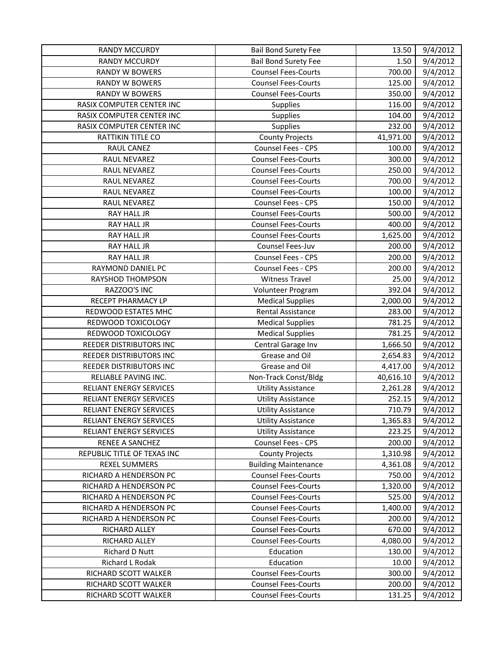| <b>RANDY MCCURDY</b>           | <b>Bail Bond Surety Fee</b> | 13.50     | 9/4/2012 |
|--------------------------------|-----------------------------|-----------|----------|
| <b>RANDY MCCURDY</b>           | <b>Bail Bond Surety Fee</b> | 1.50      | 9/4/2012 |
| <b>RANDY W BOWERS</b>          | <b>Counsel Fees-Courts</b>  | 700.00    | 9/4/2012 |
| <b>RANDY W BOWERS</b>          | <b>Counsel Fees-Courts</b>  | 125.00    | 9/4/2012 |
| RANDY W BOWERS                 | <b>Counsel Fees-Courts</b>  | 350.00    | 9/4/2012 |
| RASIX COMPUTER CENTER INC      | Supplies                    | 116.00    | 9/4/2012 |
| RASIX COMPUTER CENTER INC      | Supplies                    | 104.00    | 9/4/2012 |
| RASIX COMPUTER CENTER INC      | Supplies                    | 232.00    | 9/4/2012 |
| RATTIKIN TITLE CO              | <b>County Projects</b>      | 41,971.00 | 9/4/2012 |
| RAUL CANEZ                     | Counsel Fees - CPS          | 100.00    | 9/4/2012 |
| RAUL NEVAREZ                   | <b>Counsel Fees-Courts</b>  | 300.00    | 9/4/2012 |
| RAUL NEVAREZ                   | <b>Counsel Fees-Courts</b>  | 250.00    | 9/4/2012 |
| RAUL NEVAREZ                   | <b>Counsel Fees-Courts</b>  | 700.00    | 9/4/2012 |
| RAUL NEVAREZ                   | <b>Counsel Fees-Courts</b>  | 100.00    | 9/4/2012 |
| RAUL NEVAREZ                   | Counsel Fees - CPS          | 150.00    | 9/4/2012 |
| RAY HALL JR                    | <b>Counsel Fees-Courts</b>  | 500.00    | 9/4/2012 |
| RAY HALL JR                    | <b>Counsel Fees-Courts</b>  | 400.00    | 9/4/2012 |
| RAY HALL JR                    | <b>Counsel Fees-Courts</b>  | 1,625.00  | 9/4/2012 |
| <b>RAY HALL JR</b>             | Counsel Fees-Juv            | 200.00    | 9/4/2012 |
| RAY HALL JR                    | Counsel Fees - CPS          | 200.00    | 9/4/2012 |
| RAYMOND DANIEL PC              | Counsel Fees - CPS          | 200.00    | 9/4/2012 |
| RAYSHOD THOMPSON               | <b>Witness Travel</b>       | 25.00     | 9/4/2012 |
| RAZZOO'S INC                   | Volunteer Program           | 392.04    | 9/4/2012 |
| RECEPT PHARMACY LP             | <b>Medical Supplies</b>     | 2,000.00  | 9/4/2012 |
| REDWOOD ESTATES MHC            | Rental Assistance           | 283.00    | 9/4/2012 |
| REDWOOD TOXICOLOGY             | <b>Medical Supplies</b>     | 781.25    | 9/4/2012 |
| REDWOOD TOXICOLOGY             | <b>Medical Supplies</b>     | 781.25    | 9/4/2012 |
| REEDER DISTRIBUTORS INC        | Central Garage Inv          | 1,666.50  | 9/4/2012 |
| REEDER DISTRIBUTORS INC        | Grease and Oil              | 2,654.83  | 9/4/2012 |
| REEDER DISTRIBUTORS INC        | Grease and Oil              | 4,417.00  | 9/4/2012 |
| RELIABLE PAVING INC.           | Non-Track Const/Bldg        | 40,616.10 | 9/4/2012 |
| RELIANT ENERGY SERVICES        | <b>Utility Assistance</b>   | 2,261.28  | 9/4/2012 |
| <b>RELIANT ENERGY SERVICES</b> | <b>Utility Assistance</b>   | 252.15    | 9/4/2012 |
| RELIANT ENERGY SERVICES        | <b>Utility Assistance</b>   | 710.79    | 9/4/2012 |
| <b>RELIANT ENERGY SERVICES</b> | <b>Utility Assistance</b>   | 1,365.83  | 9/4/2012 |
| <b>RELIANT ENERGY SERVICES</b> | <b>Utility Assistance</b>   | 223.25    | 9/4/2012 |
| RENEE A SANCHEZ                | Counsel Fees - CPS          | 200.00    | 9/4/2012 |
| REPUBLIC TITLE OF TEXAS INC    | <b>County Projects</b>      | 1,310.98  | 9/4/2012 |
| <b>REXEL SUMMERS</b>           | <b>Building Maintenance</b> | 4,361.08  | 9/4/2012 |
| RICHARD A HENDERSON PC         | <b>Counsel Fees-Courts</b>  | 750.00    | 9/4/2012 |
| RICHARD A HENDERSON PC         | <b>Counsel Fees-Courts</b>  | 1,320.00  | 9/4/2012 |
| RICHARD A HENDERSON PC         | <b>Counsel Fees-Courts</b>  | 525.00    | 9/4/2012 |
| RICHARD A HENDERSON PC         | <b>Counsel Fees-Courts</b>  | 1,400.00  | 9/4/2012 |
| RICHARD A HENDERSON PC         | <b>Counsel Fees-Courts</b>  | 200.00    | 9/4/2012 |
| RICHARD ALLEY                  | <b>Counsel Fees-Courts</b>  | 670.00    | 9/4/2012 |
| RICHARD ALLEY                  | <b>Counsel Fees-Courts</b>  | 4,080.00  | 9/4/2012 |
| Richard D Nutt                 | Education                   | 130.00    | 9/4/2012 |
| Richard L Rodak                | Education                   | 10.00     | 9/4/2012 |
| RICHARD SCOTT WALKER           | <b>Counsel Fees-Courts</b>  | 300.00    | 9/4/2012 |
| RICHARD SCOTT WALKER           | <b>Counsel Fees-Courts</b>  | 200.00    | 9/4/2012 |
| RICHARD SCOTT WALKER           | <b>Counsel Fees-Courts</b>  | 131.25    | 9/4/2012 |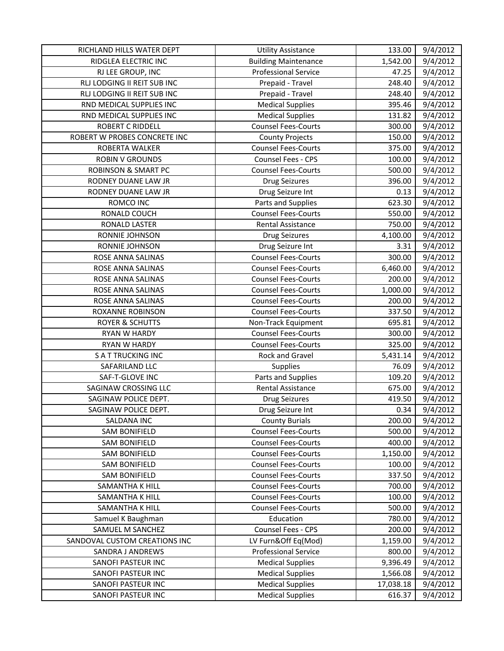| RICHLAND HILLS WATER DEPT      | <b>Utility Assistance</b>   | 133.00    | 9/4/2012 |
|--------------------------------|-----------------------------|-----------|----------|
| RIDGLEA ELECTRIC INC           | <b>Building Maintenance</b> | 1,542.00  | 9/4/2012 |
| RJ LEE GROUP, INC              | <b>Professional Service</b> | 47.25     | 9/4/2012 |
| RLJ LODGING II REIT SUB INC    | Prepaid - Travel            | 248.40    | 9/4/2012 |
| RLJ LODGING II REIT SUB INC    | Prepaid - Travel            | 248.40    | 9/4/2012 |
| RND MEDICAL SUPPLIES INC       | <b>Medical Supplies</b>     | 395.46    | 9/4/2012 |
| RND MEDICAL SUPPLIES INC       | <b>Medical Supplies</b>     | 131.82    | 9/4/2012 |
| <b>ROBERT C RIDDELL</b>        | <b>Counsel Fees-Courts</b>  | 300.00    | 9/4/2012 |
| ROBERT W PROBES CONCRETE INC   | <b>County Projects</b>      | 150.00    | 9/4/2012 |
| ROBERTA WALKER                 | <b>Counsel Fees-Courts</b>  | 375.00    | 9/4/2012 |
| <b>ROBIN V GROUNDS</b>         | Counsel Fees - CPS          | 100.00    | 9/4/2012 |
| <b>ROBINSON &amp; SMART PC</b> | <b>Counsel Fees-Courts</b>  | 500.00    | 9/4/2012 |
| RODNEY DUANE LAW JR            | <b>Drug Seizures</b>        | 396.00    | 9/4/2012 |
| RODNEY DUANE LAW JR            | Drug Seizure Int            | 0.13      | 9/4/2012 |
| ROMCO INC                      | Parts and Supplies          | 623.30    | 9/4/2012 |
| RONALD COUCH                   | <b>Counsel Fees-Courts</b>  | 550.00    | 9/4/2012 |
| RONALD LASTER                  | Rental Assistance           | 750.00    | 9/4/2012 |
| RONNIE JOHNSON                 | <b>Drug Seizures</b>        | 4,100.00  | 9/4/2012 |
| RONNIE JOHNSON                 | Drug Seizure Int            | 3.31      | 9/4/2012 |
| ROSE ANNA SALINAS              | <b>Counsel Fees-Courts</b>  | 300.00    | 9/4/2012 |
| ROSE ANNA SALINAS              | <b>Counsel Fees-Courts</b>  | 6,460.00  | 9/4/2012 |
| ROSE ANNA SALINAS              | <b>Counsel Fees-Courts</b>  | 200.00    | 9/4/2012 |
| ROSE ANNA SALINAS              | <b>Counsel Fees-Courts</b>  | 1,000.00  | 9/4/2012 |
| ROSE ANNA SALINAS              | <b>Counsel Fees-Courts</b>  | 200.00    | 9/4/2012 |
| <b>ROXANNE ROBINSON</b>        | <b>Counsel Fees-Courts</b>  | 337.50    | 9/4/2012 |
| <b>ROYER &amp; SCHUTTS</b>     | Non-Track Equipment         | 695.81    | 9/4/2012 |
| <b>RYAN W HARDY</b>            | <b>Counsel Fees-Courts</b>  | 300.00    | 9/4/2012 |
| RYAN W HARDY                   | <b>Counsel Fees-Courts</b>  | 325.00    | 9/4/2012 |
| <b>SATTRUCKING INC</b>         | Rock and Gravel             | 5,431.14  | 9/4/2012 |
| SAFARILAND LLC                 | Supplies                    | 76.09     | 9/4/2012 |
| SAF-T-GLOVE INC                | Parts and Supplies          | 109.20    | 9/4/2012 |
| SAGINAW CROSSING LLC           | Rental Assistance           | 675.00    | 9/4/2012 |
| SAGINAW POLICE DEPT.           | <b>Drug Seizures</b>        | 419.50    | 9/4/2012 |
| SAGINAW POLICE DEPT.           | Drug Seizure Int            | 0.34      | 9/4/2012 |
| SALDANA INC                    | <b>County Burials</b>       | 200.00    | 9/4/2012 |
| <b>SAM BONIFIELD</b>           | <b>Counsel Fees-Courts</b>  | 500.00    | 9/4/2012 |
| <b>SAM BONIFIELD</b>           | <b>Counsel Fees-Courts</b>  | 400.00    | 9/4/2012 |
| <b>SAM BONIFIELD</b>           | <b>Counsel Fees-Courts</b>  | 1,150.00  | 9/4/2012 |
| <b>SAM BONIFIELD</b>           | <b>Counsel Fees-Courts</b>  | 100.00    | 9/4/2012 |
| <b>SAM BONIFIELD</b>           | <b>Counsel Fees-Courts</b>  | 337.50    | 9/4/2012 |
| SAMANTHA K HILL                | <b>Counsel Fees-Courts</b>  | 700.00    | 9/4/2012 |
| SAMANTHA K HILL                | <b>Counsel Fees-Courts</b>  | 100.00    | 9/4/2012 |
| SAMANTHA K HILL                | <b>Counsel Fees-Courts</b>  | 500.00    | 9/4/2012 |
| Samuel K Baughman              | Education                   | 780.00    | 9/4/2012 |
| SAMUEL M SANCHEZ               | Counsel Fees - CPS          | 200.00    | 9/4/2012 |
| SANDOVAL CUSTOM CREATIONS INC  | LV Furn&Off Eq(Mod)         | 1,159.00  | 9/4/2012 |
| SANDRA J ANDREWS               | <b>Professional Service</b> | 800.00    | 9/4/2012 |
| SANOFI PASTEUR INC             | <b>Medical Supplies</b>     | 9,396.49  | 9/4/2012 |
| SANOFI PASTEUR INC             | <b>Medical Supplies</b>     | 1,566.08  | 9/4/2012 |
| SANOFI PASTEUR INC             | <b>Medical Supplies</b>     | 17,038.18 | 9/4/2012 |
| SANOFI PASTEUR INC             | <b>Medical Supplies</b>     | 616.37    | 9/4/2012 |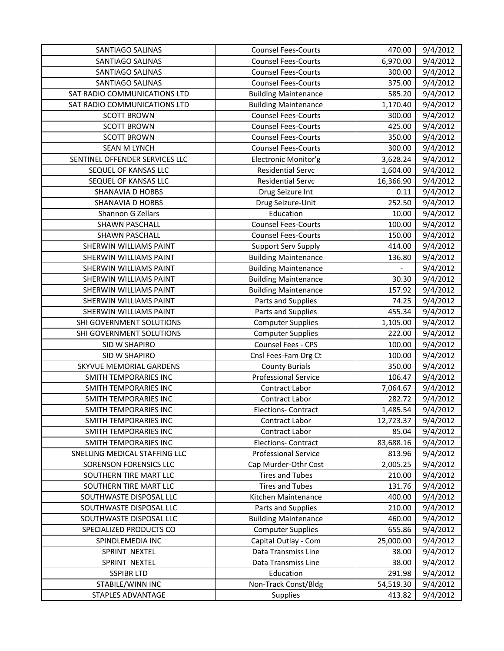| SANTIAGO SALINAS               | <b>Counsel Fees-Courts</b>  | 470.00    | 9/4/2012 |
|--------------------------------|-----------------------------|-----------|----------|
| SANTIAGO SALINAS               | <b>Counsel Fees-Courts</b>  | 6,970.00  | 9/4/2012 |
| SANTIAGO SALINAS               | <b>Counsel Fees-Courts</b>  | 300.00    | 9/4/2012 |
| SANTIAGO SALINAS               | <b>Counsel Fees-Courts</b>  | 375.00    | 9/4/2012 |
| SAT RADIO COMMUNICATIONS LTD   | <b>Building Maintenance</b> | 585.20    | 9/4/2012 |
| SAT RADIO COMMUNICATIONS LTD   | <b>Building Maintenance</b> | 1,170.40  | 9/4/2012 |
| <b>SCOTT BROWN</b>             | <b>Counsel Fees-Courts</b>  | 300.00    | 9/4/2012 |
| <b>SCOTT BROWN</b>             | <b>Counsel Fees-Courts</b>  | 425.00    | 9/4/2012 |
| <b>SCOTT BROWN</b>             | <b>Counsel Fees-Courts</b>  | 350.00    | 9/4/2012 |
| <b>SEAN M LYNCH</b>            | <b>Counsel Fees-Courts</b>  | 300.00    | 9/4/2012 |
| SENTINEL OFFENDER SERVICES LLC | Electronic Monitor'g        | 3,628.24  | 9/4/2012 |
| SEQUEL OF KANSAS LLC           | <b>Residential Servc</b>    | 1,604.00  | 9/4/2012 |
| SEQUEL OF KANSAS LLC           | <b>Residential Servc</b>    | 16,366.90 | 9/4/2012 |
| SHANAVIA D HOBBS               | Drug Seizure Int            | 0.11      | 9/4/2012 |
| SHANAVIA D HOBBS               | Drug Seizure-Unit           | 252.50    | 9/4/2012 |
| Shannon G Zellars              | Education                   | 10.00     | 9/4/2012 |
| <b>SHAWN PASCHALL</b>          | <b>Counsel Fees-Courts</b>  | 100.00    | 9/4/2012 |
| SHAWN PASCHALL                 | <b>Counsel Fees-Courts</b>  | 150.00    | 9/4/2012 |
| SHERWIN WILLIAMS PAINT         | <b>Support Serv Supply</b>  | 414.00    | 9/4/2012 |
| SHERWIN WILLIAMS PAINT         | <b>Building Maintenance</b> | 136.80    | 9/4/2012 |
| SHERWIN WILLIAMS PAINT         | <b>Building Maintenance</b> |           | 9/4/2012 |
| SHERWIN WILLIAMS PAINT         | <b>Building Maintenance</b> | 30.30     | 9/4/2012 |
| SHERWIN WILLIAMS PAINT         | <b>Building Maintenance</b> | 157.92    | 9/4/2012 |
| SHERWIN WILLIAMS PAINT         | Parts and Supplies          | 74.25     | 9/4/2012 |
| SHERWIN WILLIAMS PAINT         | Parts and Supplies          | 455.34    | 9/4/2012 |
| SHI GOVERNMENT SOLUTIONS       | <b>Computer Supplies</b>    | 1,105.00  | 9/4/2012 |
| SHI GOVERNMENT SOLUTIONS       | <b>Computer Supplies</b>    | 222.00    | 9/4/2012 |
| SID W SHAPIRO                  | Counsel Fees - CPS          | 100.00    | 9/4/2012 |
| SID W SHAPIRO                  | Cnsl Fees-Fam Drg Ct        | 100.00    | 9/4/2012 |
| SKYVUE MEMORIAL GARDENS        | <b>County Burials</b>       | 350.00    | 9/4/2012 |
| SMITH TEMPORARIES INC          | <b>Professional Service</b> | 106.47    | 9/4/2012 |
| SMITH TEMPORARIES INC          | Contract Labor              | 7,064.67  | 9/4/2012 |
| SMITH TEMPORARIES INC          | Contract Labor              | 282.72    | 9/4/2012 |
| SMITH TEMPORARIES INC          | <b>Elections- Contract</b>  | 1,485.54  | 9/4/2012 |
| SMITH TEMPORARIES INC          | Contract Labor              | 12,723.37 | 9/4/2012 |
| SMITH TEMPORARIES INC          | Contract Labor              | 85.04     | 9/4/2012 |
| SMITH TEMPORARIES INC          | <b>Elections- Contract</b>  | 83,688.16 | 9/4/2012 |
| SNELLING MEDICAL STAFFING LLC  | <b>Professional Service</b> | 813.96    | 9/4/2012 |
| SORENSON FORENSICS LLC         | Cap Murder-Othr Cost        | 2,005.25  | 9/4/2012 |
| SOUTHERN TIRE MART LLC         | Tires and Tubes             | 210.00    | 9/4/2012 |
| SOUTHERN TIRE MART LLC         | <b>Tires and Tubes</b>      | 131.76    | 9/4/2012 |
| SOUTHWASTE DISPOSAL LLC        | Kitchen Maintenance         | 400.00    | 9/4/2012 |
| SOUTHWASTE DISPOSAL LLC        | Parts and Supplies          | 210.00    | 9/4/2012 |
| SOUTHWASTE DISPOSAL LLC        | <b>Building Maintenance</b> | 460.00    | 9/4/2012 |
| SPECIALIZED PRODUCTS CO        | <b>Computer Supplies</b>    | 655.86    | 9/4/2012 |
| SPINDLEMEDIA INC               | Capital Outlay - Com        | 25,000.00 | 9/4/2012 |
| SPRINT NEXTEL                  | Data Transmiss Line         | 38.00     | 9/4/2012 |
| SPRINT NEXTEL                  | Data Transmiss Line         | 38.00     | 9/4/2012 |
| <b>SSPIBR LTD</b>              | Education                   | 291.98    | 9/4/2012 |
| STABILE/WINN INC               | Non-Track Const/Bldg        | 54,519.30 | 9/4/2012 |
| <b>STAPLES ADVANTAGE</b>       | Supplies                    | 413.82    | 9/4/2012 |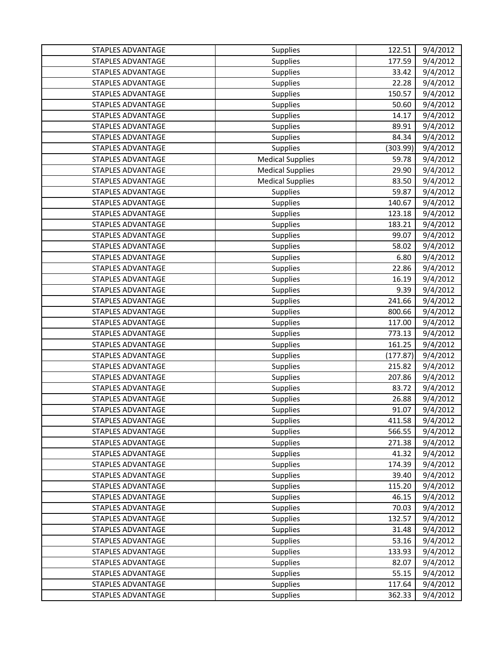| STAPLES ADVANTAGE        | <b>Supplies</b>         | 122.51   | 9/4/2012 |
|--------------------------|-------------------------|----------|----------|
| STAPLES ADVANTAGE        | Supplies                | 177.59   | 9/4/2012 |
| STAPLES ADVANTAGE        | Supplies                | 33.42    | 9/4/2012 |
| <b>STAPLES ADVANTAGE</b> | Supplies                | 22.28    | 9/4/2012 |
| <b>STAPLES ADVANTAGE</b> | Supplies                | 150.57   | 9/4/2012 |
| <b>STAPLES ADVANTAGE</b> | Supplies                | 50.60    | 9/4/2012 |
| STAPLES ADVANTAGE        | <b>Supplies</b>         | 14.17    | 9/4/2012 |
| STAPLES ADVANTAGE        | Supplies                | 89.91    | 9/4/2012 |
| <b>STAPLES ADVANTAGE</b> | Supplies                | 84.34    | 9/4/2012 |
| <b>STAPLES ADVANTAGE</b> | Supplies                | (303.99) | 9/4/2012 |
| STAPLES ADVANTAGE        | <b>Medical Supplies</b> | 59.78    | 9/4/2012 |
| <b>STAPLES ADVANTAGE</b> | <b>Medical Supplies</b> | 29.90    | 9/4/2012 |
| <b>STAPLES ADVANTAGE</b> | <b>Medical Supplies</b> | 83.50    | 9/4/2012 |
| STAPLES ADVANTAGE        | Supplies                | 59.87    | 9/4/2012 |
| <b>STAPLES ADVANTAGE</b> | Supplies                | 140.67   | 9/4/2012 |
| <b>STAPLES ADVANTAGE</b> | Supplies                | 123.18   | 9/4/2012 |
| <b>STAPLES ADVANTAGE</b> | Supplies                | 183.21   | 9/4/2012 |
| <b>STAPLES ADVANTAGE</b> | Supplies                | 99.07    | 9/4/2012 |
| <b>STAPLES ADVANTAGE</b> | Supplies                | 58.02    | 9/4/2012 |
| <b>STAPLES ADVANTAGE</b> | <b>Supplies</b>         | 6.80     | 9/4/2012 |
| STAPLES ADVANTAGE        | Supplies                | 22.86    | 9/4/2012 |
| STAPLES ADVANTAGE        | Supplies                | 16.19    | 9/4/2012 |
| STAPLES ADVANTAGE        | Supplies                | 9.39     | 9/4/2012 |
| STAPLES ADVANTAGE        | Supplies                | 241.66   | 9/4/2012 |
| <b>STAPLES ADVANTAGE</b> | Supplies                | 800.66   | 9/4/2012 |
| STAPLES ADVANTAGE        | <b>Supplies</b>         | 117.00   | 9/4/2012 |
| <b>STAPLES ADVANTAGE</b> | Supplies                | 773.13   | 9/4/2012 |
| <b>STAPLES ADVANTAGE</b> | Supplies                | 161.25   | 9/4/2012 |
| <b>STAPLES ADVANTAGE</b> | Supplies                | (177.87) | 9/4/2012 |
| <b>STAPLES ADVANTAGE</b> | Supplies                | 215.82   | 9/4/2012 |
| STAPLES ADVANTAGE        | Supplies                | 207.86   | 9/4/2012 |
| <b>STAPLES ADVANTAGE</b> | Supplies                | 83.72    | 9/4/2012 |
| <b>STAPLES ADVANTAGE</b> | Supplies                | 26.88    | 9/4/2012 |
| <b>STAPLES ADVANTAGE</b> | Supplies                | 91.07    | 9/4/2012 |
| STAPLES ADVANTAGE        | Supplies                | 411.58   | 9/4/2012 |
| STAPLES ADVANTAGE        | Supplies                | 566.55   | 9/4/2012 |
| <b>STAPLES ADVANTAGE</b> | Supplies                | 271.38   | 9/4/2012 |
| STAPLES ADVANTAGE        | Supplies                | 41.32    | 9/4/2012 |
| STAPLES ADVANTAGE        | Supplies                | 174.39   | 9/4/2012 |
| <b>STAPLES ADVANTAGE</b> | Supplies                | 39.40    | 9/4/2012 |
| <b>STAPLES ADVANTAGE</b> | Supplies                | 115.20   | 9/4/2012 |
| <b>STAPLES ADVANTAGE</b> | Supplies                | 46.15    | 9/4/2012 |
| <b>STAPLES ADVANTAGE</b> | Supplies                | 70.03    | 9/4/2012 |
| STAPLES ADVANTAGE        | Supplies                | 132.57   | 9/4/2012 |
| STAPLES ADVANTAGE        | Supplies                | 31.48    | 9/4/2012 |
| STAPLES ADVANTAGE        | Supplies                | 53.16    | 9/4/2012 |
| STAPLES ADVANTAGE        | Supplies                | 133.93   | 9/4/2012 |
| <b>STAPLES ADVANTAGE</b> | Supplies                | 82.07    | 9/4/2012 |
| STAPLES ADVANTAGE        | Supplies                | 55.15    | 9/4/2012 |
| STAPLES ADVANTAGE        | Supplies                | 117.64   | 9/4/2012 |
| STAPLES ADVANTAGE        | Supplies                | 362.33   | 9/4/2012 |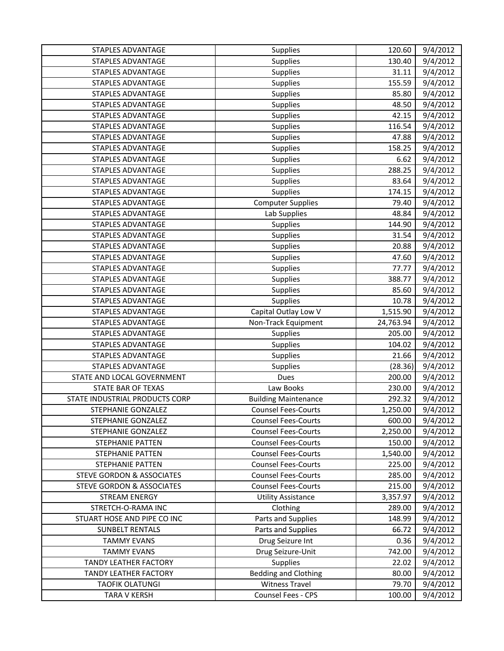| <b>STAPLES ADVANTAGE</b>             | Supplies                    | 120.60    | 9/4/2012 |
|--------------------------------------|-----------------------------|-----------|----------|
| STAPLES ADVANTAGE                    | Supplies                    | 130.40    | 9/4/2012 |
| <b>STAPLES ADVANTAGE</b>             | Supplies                    | 31.11     | 9/4/2012 |
| <b>STAPLES ADVANTAGE</b>             | Supplies                    | 155.59    | 9/4/2012 |
| <b>STAPLES ADVANTAGE</b>             | Supplies                    | 85.80     | 9/4/2012 |
| <b>STAPLES ADVANTAGE</b>             | Supplies                    | 48.50     | 9/4/2012 |
| <b>STAPLES ADVANTAGE</b>             | Supplies                    | 42.15     | 9/4/2012 |
| <b>STAPLES ADVANTAGE</b>             | Supplies                    | 116.54    | 9/4/2012 |
| <b>STAPLES ADVANTAGE</b>             | Supplies                    | 47.88     | 9/4/2012 |
| <b>STAPLES ADVANTAGE</b>             | Supplies                    | 158.25    | 9/4/2012 |
| STAPLES ADVANTAGE                    | Supplies                    | 6.62      | 9/4/2012 |
| STAPLES ADVANTAGE                    | Supplies                    | 288.25    | 9/4/2012 |
| <b>STAPLES ADVANTAGE</b>             | Supplies                    | 83.64     | 9/4/2012 |
| <b>STAPLES ADVANTAGE</b>             | Supplies                    | 174.15    | 9/4/2012 |
| STAPLES ADVANTAGE                    | <b>Computer Supplies</b>    | 79.40     | 9/4/2012 |
| STAPLES ADVANTAGE                    | Lab Supplies                | 48.84     | 9/4/2012 |
| <b>STAPLES ADVANTAGE</b>             | Supplies                    | 144.90    | 9/4/2012 |
| <b>STAPLES ADVANTAGE</b>             | Supplies                    | 31.54     | 9/4/2012 |
| <b>STAPLES ADVANTAGE</b>             | Supplies                    | 20.88     | 9/4/2012 |
| <b>STAPLES ADVANTAGE</b>             | Supplies                    | 47.60     | 9/4/2012 |
| <b>STAPLES ADVANTAGE</b>             | <b>Supplies</b>             | 77.77     | 9/4/2012 |
| <b>STAPLES ADVANTAGE</b>             | Supplies                    | 388.77    | 9/4/2012 |
| <b>STAPLES ADVANTAGE</b>             | Supplies                    | 85.60     | 9/4/2012 |
| <b>STAPLES ADVANTAGE</b>             | Supplies                    | 10.78     | 9/4/2012 |
| STAPLES ADVANTAGE                    | Capital Outlay Low V        | 1,515.90  | 9/4/2012 |
| <b>STAPLES ADVANTAGE</b>             | Non-Track Equipment         | 24,763.94 | 9/4/2012 |
| <b>STAPLES ADVANTAGE</b>             | Supplies                    | 205.00    | 9/4/2012 |
| <b>STAPLES ADVANTAGE</b>             | Supplies                    | 104.02    | 9/4/2012 |
| <b>STAPLES ADVANTAGE</b>             | Supplies                    | 21.66     | 9/4/2012 |
| <b>STAPLES ADVANTAGE</b>             | Supplies                    | (28.36)   | 9/4/2012 |
| STATE AND LOCAL GOVERNMENT           | Dues                        | 200.00    | 9/4/2012 |
| STATE BAR OF TEXAS                   | Law Books                   | 230.00    | 9/4/2012 |
| STATE INDUSTRIAL PRODUCTS CORP       | <b>Building Maintenance</b> | 292.32    | 9/4/2012 |
| STEPHANIE GONZALEZ                   | <b>Counsel Fees-Courts</b>  | 1,250.00  | 9/4/2012 |
| STEPHANIE GONZALEZ                   | <b>Counsel Fees-Courts</b>  | 600.00    | 9/4/2012 |
| STEPHANIE GONZALEZ                   | <b>Counsel Fees-Courts</b>  | 2,250.00  | 9/4/2012 |
| STEPHANIE PATTEN                     | <b>Counsel Fees-Courts</b>  | 150.00    | 9/4/2012 |
| STEPHANIE PATTEN                     | <b>Counsel Fees-Courts</b>  | 1,540.00  | 9/4/2012 |
| STEPHANIE PATTEN                     | <b>Counsel Fees-Courts</b>  | 225.00    | 9/4/2012 |
| <b>STEVE GORDON &amp; ASSOCIATES</b> | <b>Counsel Fees-Courts</b>  | 285.00    | 9/4/2012 |
| <b>STEVE GORDON &amp; ASSOCIATES</b> | <b>Counsel Fees-Courts</b>  | 215.00    | 9/4/2012 |
| <b>STREAM ENERGY</b>                 | <b>Utility Assistance</b>   | 3,357.97  | 9/4/2012 |
| STRETCH-O-RAMA INC                   | Clothing                    | 289.00    | 9/4/2012 |
| STUART HOSE AND PIPE CO INC          | Parts and Supplies          | 148.99    | 9/4/2012 |
| <b>SUNBELT RENTALS</b>               | Parts and Supplies          | 66.72     | 9/4/2012 |
| <b>TAMMY EVANS</b>                   | Drug Seizure Int            | 0.36      | 9/4/2012 |
| <b>TAMMY EVANS</b>                   | Drug Seizure-Unit           | 742.00    | 9/4/2012 |
| <b>TANDY LEATHER FACTORY</b>         | Supplies                    | 22.02     | 9/4/2012 |
| <b>TANDY LEATHER FACTORY</b>         | <b>Bedding and Clothing</b> | 80.00     | 9/4/2012 |
| <b>TAOFIK OLATUNGI</b>               | <b>Witness Travel</b>       | 79.70     | 9/4/2012 |
| <b>TARA V KERSH</b>                  | Counsel Fees - CPS          | 100.00    | 9/4/2012 |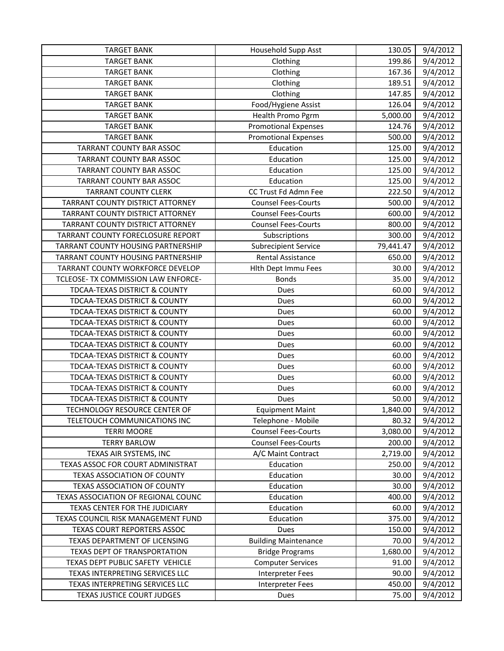| <b>TARGET BANK</b>                      | Household Supp Asst         | 130.05    | 9/4/2012 |
|-----------------------------------------|-----------------------------|-----------|----------|
| <b>TARGET BANK</b>                      | Clothing                    | 199.86    | 9/4/2012 |
| <b>TARGET BANK</b>                      | Clothing                    | 167.36    | 9/4/2012 |
| <b>TARGET BANK</b>                      | Clothing                    | 189.51    | 9/4/2012 |
| <b>TARGET BANK</b>                      | Clothing                    | 147.85    | 9/4/2012 |
| <b>TARGET BANK</b>                      | Food/Hygiene Assist         | 126.04    | 9/4/2012 |
| <b>TARGET BANK</b>                      | Health Promo Pgrm           | 5,000.00  | 9/4/2012 |
| <b>TARGET BANK</b>                      | <b>Promotional Expenses</b> | 124.76    | 9/4/2012 |
| <b>TARGET BANK</b>                      | <b>Promotional Expenses</b> | 500.00    | 9/4/2012 |
| TARRANT COUNTY BAR ASSOC                | Education                   | 125.00    | 9/4/2012 |
| TARRANT COUNTY BAR ASSOC                | Education                   | 125.00    | 9/4/2012 |
| TARRANT COUNTY BAR ASSOC                | Education                   | 125.00    | 9/4/2012 |
| TARRANT COUNTY BAR ASSOC                | Education                   | 125.00    | 9/4/2012 |
| <b>TARRANT COUNTY CLERK</b>             | CC Trust Fd Admn Fee        | 222.50    | 9/4/2012 |
| TARRANT COUNTY DISTRICT ATTORNEY        | <b>Counsel Fees-Courts</b>  | 500.00    | 9/4/2012 |
| TARRANT COUNTY DISTRICT ATTORNEY        | <b>Counsel Fees-Courts</b>  | 600.00    | 9/4/2012 |
| TARRANT COUNTY DISTRICT ATTORNEY        | <b>Counsel Fees-Courts</b>  | 800.00    | 9/4/2012 |
| TARRANT COUNTY FORECLOSURE REPORT       | Subscriptions               | 300.00    | 9/4/2012 |
| TARRANT COUNTY HOUSING PARTNERSHIP      | <b>Subrecipient Service</b> | 79,441.47 | 9/4/2012 |
| TARRANT COUNTY HOUSING PARTNERSHIP      | <b>Rental Assistance</b>    | 650.00    | 9/4/2012 |
| <b>TARRANT COUNTY WORKFORCE DEVELOP</b> | Hith Dept Immu Fees         | 30.00     | 9/4/2012 |
| TCLEOSE- TX COMMISSION LAW ENFORCE-     | <b>Bonds</b>                | 35.00     | 9/4/2012 |
| TDCAA-TEXAS DISTRICT & COUNTY           | Dues                        | 60.00     | 9/4/2012 |
| TDCAA-TEXAS DISTRICT & COUNTY           | Dues                        | 60.00     | 9/4/2012 |
| TDCAA-TEXAS DISTRICT & COUNTY           | Dues                        | 60.00     | 9/4/2012 |
| TDCAA-TEXAS DISTRICT & COUNTY           | Dues                        | 60.00     | 9/4/2012 |
| TDCAA-TEXAS DISTRICT & COUNTY           | Dues                        | 60.00     | 9/4/2012 |
| TDCAA-TEXAS DISTRICT & COUNTY           | Dues                        | 60.00     | 9/4/2012 |
| TDCAA-TEXAS DISTRICT & COUNTY           | Dues                        | 60.00     | 9/4/2012 |
| TDCAA-TEXAS DISTRICT & COUNTY           | Dues                        | 60.00     | 9/4/2012 |
| TDCAA-TEXAS DISTRICT & COUNTY           | Dues                        | 60.00     | 9/4/2012 |
| TDCAA-TEXAS DISTRICT & COUNTY           | Dues                        | 60.00     | 9/4/2012 |
| TDCAA-TEXAS DISTRICT & COUNTY           | Dues                        | 50.00     | 9/4/2012 |
| TECHNOLOGY RESOURCE CENTER OF           | <b>Equipment Maint</b>      | 1,840.00  | 9/4/2012 |
| TELETOUCH COMMUNICATIONS INC            | Telephone - Mobile          | 80.32     | 9/4/2012 |
| <b>TERRI MOORE</b>                      | <b>Counsel Fees-Courts</b>  | 3,080.00  | 9/4/2012 |
| <b>TERRY BARLOW</b>                     | <b>Counsel Fees-Courts</b>  | 200.00    | 9/4/2012 |
| TEXAS AIR SYSTEMS, INC                  | A/C Maint Contract          | 2,719.00  | 9/4/2012 |
| TEXAS ASSOC FOR COURT ADMINISTRAT       | Education                   | 250.00    | 9/4/2012 |
| TEXAS ASSOCIATION OF COUNTY             | Education                   | 30.00     | 9/4/2012 |
| TEXAS ASSOCIATION OF COUNTY             | Education                   | 30.00     | 9/4/2012 |
| TEXAS ASSOCIATION OF REGIONAL COUNC     | Education                   | 400.00    | 9/4/2012 |
| TEXAS CENTER FOR THE JUDICIARY          | Education                   | 60.00     | 9/4/2012 |
| TEXAS COUNCIL RISK MANAGEMENT FUND      | Education                   | 375.00    | 9/4/2012 |
| TEXAS COURT REPORTERS ASSOC             | Dues                        | 150.00    | 9/4/2012 |
| TEXAS DEPARTMENT OF LICENSING           | <b>Building Maintenance</b> | 70.00     | 9/4/2012 |
| TEXAS DEPT OF TRANSPORTATION            | <b>Bridge Programs</b>      | 1,680.00  | 9/4/2012 |
| TEXAS DEPT PUBLIC SAFETY VEHICLE        | <b>Computer Services</b>    | 91.00     | 9/4/2012 |
| TEXAS INTERPRETING SERVICES LLC         | <b>Interpreter Fees</b>     | 90.00     | 9/4/2012 |
| TEXAS INTERPRETING SERVICES LLC         | <b>Interpreter Fees</b>     | 450.00    | 9/4/2012 |
| TEXAS JUSTICE COURT JUDGES              | Dues                        | 75.00     | 9/4/2012 |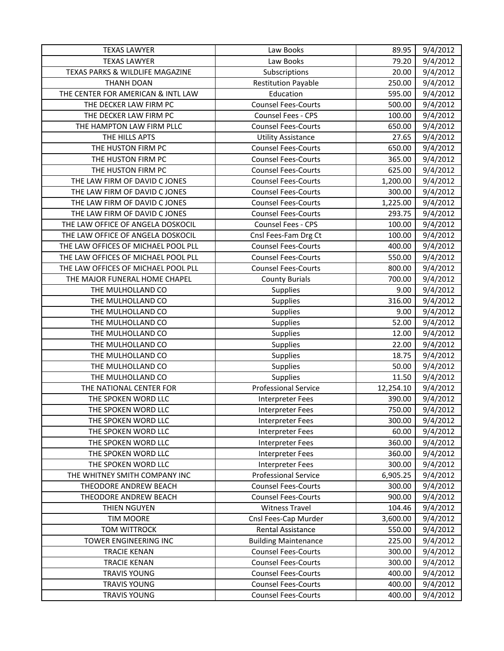| <b>TEXAS LAWYER</b>                 | Law Books                   | 89.95     | 9/4/2012 |
|-------------------------------------|-----------------------------|-----------|----------|
| <b>TEXAS LAWYER</b>                 | Law Books                   | 79.20     | 9/4/2012 |
| TEXAS PARKS & WILDLIFE MAGAZINE     | Subscriptions               | 20.00     | 9/4/2012 |
| <b>THANH DOAN</b>                   | <b>Restitution Payable</b>  | 250.00    | 9/4/2012 |
| THE CENTER FOR AMERICAN & INTL LAW  | Education                   | 595.00    | 9/4/2012 |
| THE DECKER LAW FIRM PC              | <b>Counsel Fees-Courts</b>  | 500.00    | 9/4/2012 |
| THE DECKER LAW FIRM PC              | Counsel Fees - CPS          | 100.00    | 9/4/2012 |
| THE HAMPTON LAW FIRM PLLC           | <b>Counsel Fees-Courts</b>  | 650.00    | 9/4/2012 |
| THE HILLS APTS                      | <b>Utility Assistance</b>   | 27.65     | 9/4/2012 |
| THE HUSTON FIRM PC                  | <b>Counsel Fees-Courts</b>  | 650.00    | 9/4/2012 |
| THE HUSTON FIRM PC                  | <b>Counsel Fees-Courts</b>  | 365.00    | 9/4/2012 |
| THE HUSTON FIRM PC                  | <b>Counsel Fees-Courts</b>  | 625.00    | 9/4/2012 |
| THE LAW FIRM OF DAVID C JONES       | <b>Counsel Fees-Courts</b>  | 1,200.00  | 9/4/2012 |
| THE LAW FIRM OF DAVID C JONES       | <b>Counsel Fees-Courts</b>  | 300.00    | 9/4/2012 |
| THE LAW FIRM OF DAVID C JONES       | <b>Counsel Fees-Courts</b>  | 1,225.00  | 9/4/2012 |
| THE LAW FIRM OF DAVID C JONES       | <b>Counsel Fees-Courts</b>  | 293.75    | 9/4/2012 |
| THE LAW OFFICE OF ANGELA DOSKOCIL   | Counsel Fees - CPS          | 100.00    | 9/4/2012 |
| THE LAW OFFICE OF ANGELA DOSKOCIL   | Cnsl Fees-Fam Drg Ct        | 100.00    | 9/4/2012 |
| THE LAW OFFICES OF MICHAEL POOL PLL | <b>Counsel Fees-Courts</b>  | 400.00    | 9/4/2012 |
| THE LAW OFFICES OF MICHAEL POOL PLL | <b>Counsel Fees-Courts</b>  | 550.00    | 9/4/2012 |
| THE LAW OFFICES OF MICHAEL POOL PLL | <b>Counsel Fees-Courts</b>  | 800.00    | 9/4/2012 |
| THE MAJOR FUNERAL HOME CHAPEL       | <b>County Burials</b>       | 700.00    | 9/4/2012 |
| THE MULHOLLAND CO                   | <b>Supplies</b>             | 9.00      | 9/4/2012 |
| THE MULHOLLAND CO                   | Supplies                    | 316.00    | 9/4/2012 |
| THE MULHOLLAND CO                   | Supplies                    | 9.00      | 9/4/2012 |
| THE MULHOLLAND CO                   | Supplies                    | 52.00     | 9/4/2012 |
| THE MULHOLLAND CO                   | Supplies                    | 12.00     | 9/4/2012 |
| THE MULHOLLAND CO                   | Supplies                    | 22.00     | 9/4/2012 |
| THE MULHOLLAND CO                   | Supplies                    | 18.75     | 9/4/2012 |
| THE MULHOLLAND CO                   | <b>Supplies</b>             | 50.00     | 9/4/2012 |
| THE MULHOLLAND CO                   | Supplies                    | 11.50     | 9/4/2012 |
| THE NATIONAL CENTER FOR             | <b>Professional Service</b> | 12,254.10 | 9/4/2012 |
| THE SPOKEN WORD LLC                 | Interpreter Fees            | 390.00    | 9/4/2012 |
| THE SPOKEN WORD LLC                 | <b>Interpreter Fees</b>     | 750.00    | 9/4/2012 |
| THE SPOKEN WORD LLC                 | <b>Interpreter Fees</b>     | 300.00    | 9/4/2012 |
| THE SPOKEN WORD LLC                 | Interpreter Fees            | 60.00     | 9/4/2012 |
| THE SPOKEN WORD LLC                 | <b>Interpreter Fees</b>     | 360.00    | 9/4/2012 |
| THE SPOKEN WORD LLC                 | Interpreter Fees            | 360.00    | 9/4/2012 |
| THE SPOKEN WORD LLC                 | Interpreter Fees            | 300.00    | 9/4/2012 |
| THE WHITNEY SMITH COMPANY INC       | <b>Professional Service</b> | 6,905.25  | 9/4/2012 |
| THEODORE ANDREW BEACH               | <b>Counsel Fees-Courts</b>  | 300.00    | 9/4/2012 |
| THEODORE ANDREW BEACH               | <b>Counsel Fees-Courts</b>  | 900.00    | 9/4/2012 |
| THIEN NGUYEN                        | <b>Witness Travel</b>       | 104.46    | 9/4/2012 |
| <b>TIM MOORE</b>                    | Cnsl Fees-Cap Murder        | 3,600.00  | 9/4/2012 |
| TOM WITTROCK                        | Rental Assistance           | 550.00    | 9/4/2012 |
| TOWER ENGINEERING INC               | <b>Building Maintenance</b> | 225.00    | 9/4/2012 |
| <b>TRACIE KENAN</b>                 | <b>Counsel Fees-Courts</b>  | 300.00    | 9/4/2012 |
| <b>TRACIE KENAN</b>                 | <b>Counsel Fees-Courts</b>  | 300.00    | 9/4/2012 |
| <b>TRAVIS YOUNG</b>                 | <b>Counsel Fees-Courts</b>  | 400.00    | 9/4/2012 |
| <b>TRAVIS YOUNG</b>                 | <b>Counsel Fees-Courts</b>  | 400.00    | 9/4/2012 |
| <b>TRAVIS YOUNG</b>                 | <b>Counsel Fees-Courts</b>  | 400.00    | 9/4/2012 |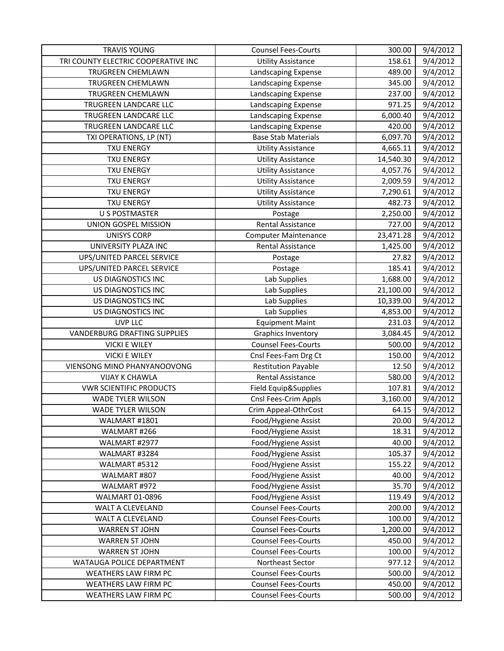| <b>TRAVIS YOUNG</b>                 | <b>Counsel Fees-Courts</b>  | 300.00    | 9/4/2012 |
|-------------------------------------|-----------------------------|-----------|----------|
| TRI COUNTY ELECTRIC COOPERATIVE INC | <b>Utility Assistance</b>   | 158.61    | 9/4/2012 |
| <b>TRUGREEN CHEMLAWN</b>            | Landscaping Expense         | 489.00    | 9/4/2012 |
| TRUGREEN CHEMLAWN                   | Landscaping Expense         | 345.00    | 9/4/2012 |
| TRUGREEN CHEMLAWN                   | Landscaping Expense         | 237.00    | 9/4/2012 |
| TRUGREEN LANDCARE LLC               | Landscaping Expense         | 971.25    | 9/4/2012 |
| TRUGREEN LANDCARE LLC               | Landscaping Expense         | 6,000.40  | 9/4/2012 |
| TRUGREEN LANDCARE LLC               | Landscaping Expense         | 420.00    | 9/4/2012 |
| TXI OPERATIONS, LP (NT)             | <b>Base Stab Materials</b>  | 6,097.70  | 9/4/2012 |
| <b>TXU ENERGY</b>                   | <b>Utility Assistance</b>   | 4,665.11  | 9/4/2012 |
| <b>TXU ENERGY</b>                   | <b>Utility Assistance</b>   | 14,540.30 | 9/4/2012 |
| <b>TXU ENERGY</b>                   | <b>Utility Assistance</b>   | 4,057.76  | 9/4/2012 |
| <b>TXU ENERGY</b>                   | <b>Utility Assistance</b>   | 2,009.59  | 9/4/2012 |
| <b>TXU ENERGY</b>                   | <b>Utility Assistance</b>   | 7,290.61  | 9/4/2012 |
| <b>TXU ENERGY</b>                   | <b>Utility Assistance</b>   | 482.73    | 9/4/2012 |
| <b>U S POSTMASTER</b>               | Postage                     | 2,250.00  | 9/4/2012 |
| UNION GOSPEL MISSION                | <b>Rental Assistance</b>    | 727.00    | 9/4/2012 |
| <b>UNISYS CORP</b>                  | <b>Computer Maintenance</b> | 23,471.28 | 9/4/2012 |
| UNIVERSITY PLAZA INC                | <b>Rental Assistance</b>    | 1,425.00  | 9/4/2012 |
| UPS/UNITED PARCEL SERVICE           | Postage                     | 27.82     | 9/4/2012 |
| UPS/UNITED PARCEL SERVICE           | Postage                     | 185.41    | 9/4/2012 |
| <b>US DIAGNOSTICS INC</b>           | Lab Supplies                | 1,688.00  | 9/4/2012 |
| US DIAGNOSTICS INC                  | Lab Supplies                | 21,100.00 | 9/4/2012 |
| US DIAGNOSTICS INC                  | Lab Supplies                | 10,339.00 | 9/4/2012 |
| US DIAGNOSTICS INC                  | Lab Supplies                | 4,853.00  | 9/4/2012 |
| <b>UVP LLC</b>                      | <b>Equipment Maint</b>      | 231.03    | 9/4/2012 |
| <b>VANDERBURG DRAFTING SUPPLIES</b> | Graphics Inventory          | 3,084.45  | 9/4/2012 |
| <b>VICKI E WILEY</b>                | <b>Counsel Fees-Courts</b>  | 500.00    | 9/4/2012 |
| <b>VICKI E WILEY</b>                | Cnsl Fees-Fam Drg Ct        | 150.00    | 9/4/2012 |
| VIENSONG MINO PHANYANOOVONG         | <b>Restitution Payable</b>  | 12.50     | 9/4/2012 |
| <b>VIJAY K CHAWLA</b>               | Rental Assistance           | 580.00    | 9/4/2012 |
| <b>VWR SCIENTIFIC PRODUCTS</b>      | Field Equip&Supplies        | 107.81    | 9/4/2012 |
| <b>WADE TYLER WILSON</b>            | Cnsl Fees-Crim Appls        | 3,160.00  | 9/4/2012 |
| WADE TYLER WILSON                   | Crim Appeal-OthrCost        | 64.15     | 9/4/2012 |
| WALMART #1801                       | Food/Hygiene Assist         | 20.00     | 9/4/2012 |
| WALMART #266                        | Food/Hygiene Assist         | 18.31     | 9/4/2012 |
| WALMART #2977                       | Food/Hygiene Assist         | 40.00     | 9/4/2012 |
| WALMART #3284                       | Food/Hygiene Assist         | 105.37    | 9/4/2012 |
| WALMART #5312                       | Food/Hygiene Assist         | 155.22    | 9/4/2012 |
| WALMART #807                        | Food/Hygiene Assist         | 40.00     | 9/4/2012 |
| WALMART #972                        | Food/Hygiene Assist         | 35.70     | 9/4/2012 |
| WALMART 01-0896                     | Food/Hygiene Assist         | 119.49    | 9/4/2012 |
| <b>WALT A CLEVELAND</b>             | <b>Counsel Fees-Courts</b>  | 200.00    | 9/4/2012 |
| WALT A CLEVELAND                    | <b>Counsel Fees-Courts</b>  | 100.00    | 9/4/2012 |
| <b>WARREN ST JOHN</b>               | <b>Counsel Fees-Courts</b>  | 1,200.00  | 9/4/2012 |
| <b>WARREN ST JOHN</b>               | <b>Counsel Fees-Courts</b>  | 450.00    | 9/4/2012 |
| <b>WARREN ST JOHN</b>               | <b>Counsel Fees-Courts</b>  | 100.00    | 9/4/2012 |
| WATAUGA POLICE DEPARTMENT           | Northeast Sector            | 977.12    | 9/4/2012 |
| WEATHERS LAW FIRM PC                | <b>Counsel Fees-Courts</b>  | 500.00    | 9/4/2012 |
| WEATHERS LAW FIRM PC                | <b>Counsel Fees-Courts</b>  | 450.00    | 9/4/2012 |
| WEATHERS LAW FIRM PC                | <b>Counsel Fees-Courts</b>  | 500.00    | 9/4/2012 |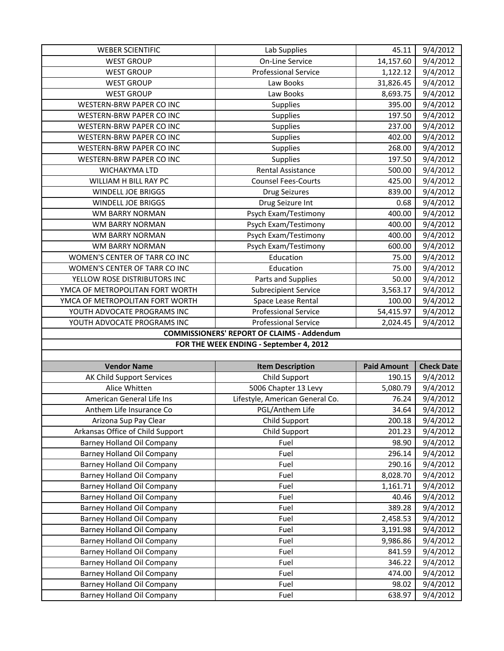| <b>WEBER SCIENTIFIC</b>           | Lab Supplies                                      | 45.11              | 9/4/2012          |
|-----------------------------------|---------------------------------------------------|--------------------|-------------------|
| <b>WEST GROUP</b>                 | <b>On-Line Service</b>                            | 14,157.60          | 9/4/2012          |
| <b>WEST GROUP</b>                 | <b>Professional Service</b>                       | 1,122.12           | 9/4/2012          |
| <b>WEST GROUP</b>                 | Law Books                                         | 31,826.45          | 9/4/2012          |
| <b>WEST GROUP</b>                 | Law Books                                         | 8,693.75           | 9/4/2012          |
| WESTERN-BRW PAPER CO INC          | Supplies                                          | 395.00             | 9/4/2012          |
| WESTERN-BRW PAPER CO INC          | Supplies                                          | 197.50             | 9/4/2012          |
| WESTERN-BRW PAPER CO INC          | Supplies                                          | 237.00             | 9/4/2012          |
| WESTERN-BRW PAPER CO INC          | Supplies                                          | 402.00             | 9/4/2012          |
| WESTERN-BRW PAPER CO INC          | Supplies                                          | 268.00             | 9/4/2012          |
| WESTERN-BRW PAPER CO INC          | Supplies                                          | 197.50             | 9/4/2012          |
| WICHAKYMA LTD                     | Rental Assistance                                 | 500.00             | 9/4/2012          |
| WILLIAM H BILL RAY PC             | <b>Counsel Fees-Courts</b>                        | 425.00             | 9/4/2012          |
| WINDELL JOE BRIGGS                | <b>Drug Seizures</b>                              | 839.00             | 9/4/2012          |
| WINDELL JOE BRIGGS                | Drug Seizure Int                                  | 0.68               | 9/4/2012          |
| WM BARRY NORMAN                   | Psych Exam/Testimony                              | 400.00             | 9/4/2012          |
| <b>WM BARRY NORMAN</b>            | Psych Exam/Testimony                              | 400.00             | 9/4/2012          |
| WM BARRY NORMAN                   | Psych Exam/Testimony                              | 400.00             | 9/4/2012          |
| <b>WM BARRY NORMAN</b>            | Psych Exam/Testimony                              | 600.00             | 9/4/2012          |
| WOMEN'S CENTER OF TARR CO INC     | Education                                         | 75.00              | 9/4/2012          |
| WOMEN'S CENTER OF TARR CO INC     | Education                                         | 75.00              | 9/4/2012          |
| YELLOW ROSE DISTRIBUTORS INC      | Parts and Supplies                                | 50.00              | 9/4/2012          |
| YMCA OF METROPOLITAN FORT WORTH   | <b>Subrecipient Service</b>                       | 3,563.17           | 9/4/2012          |
| YMCA OF METROPOLITAN FORT WORTH   | Space Lease Rental                                | 100.00             | 9/4/2012          |
| YOUTH ADVOCATE PROGRAMS INC       | <b>Professional Service</b>                       | 54,415.97          | 9/4/2012          |
| YOUTH ADVOCATE PROGRAMS INC       | <b>Professional Service</b>                       | 2,024.45           | 9/4/2012          |
|                                   |                                                   |                    |                   |
|                                   | <b>COMMISSIONERS' REPORT OF CLAIMS - Addendum</b> |                    |                   |
|                                   | FOR THE WEEK ENDING - September 4, 2012           |                    |                   |
|                                   |                                                   |                    |                   |
| <b>Vendor Name</b>                | <b>Item Description</b>                           | <b>Paid Amount</b> | <b>Check Date</b> |
| AK Child Support Services         | Child Support                                     | 190.15             | 9/4/2012          |
| Alice Whitten                     | 5006 Chapter 13 Levy                              | 5,080.79           | 9/4/2012          |
| American General Life Ins         | Lifestyle, American General Co.                   | 76.24              | 9/4/2012          |
| Anthem Life Insurance Co          | PGL/Anthem Life                                   | 34.64              | 9/4/2012          |
| Arizona Sup Pay Clear             | Child Support                                     | 200.18             | 9/4/2012          |
| Arkansas Office of Child Support  | Child Support                                     | 201.23             | 9/4/2012          |
| <b>Barney Holland Oil Company</b> | Fuel                                              | 98.90              | 9/4/2012          |
| Barney Holland Oil Company        | Fuel                                              | 296.14             | 9/4/2012          |
| Barney Holland Oil Company        | Fuel                                              | 290.16             | 9/4/2012          |
| <b>Barney Holland Oil Company</b> | Fuel                                              | 8,028.70           | 9/4/2012          |
| <b>Barney Holland Oil Company</b> | Fuel                                              | 1,161.71           | 9/4/2012          |
| <b>Barney Holland Oil Company</b> | Fuel                                              | 40.46              | 9/4/2012          |
| <b>Barney Holland Oil Company</b> | Fuel                                              | 389.28             | 9/4/2012          |
| <b>Barney Holland Oil Company</b> | Fuel                                              | 2,458.53           | 9/4/2012          |
| Barney Holland Oil Company        | Fuel                                              | 3,191.98           | 9/4/2012          |
| <b>Barney Holland Oil Company</b> | Fuel                                              | 9,986.86           | 9/4/2012          |
| Barney Holland Oil Company        | Fuel                                              | 841.59             | 9/4/2012          |
| <b>Barney Holland Oil Company</b> | Fuel                                              | 346.22             | 9/4/2012          |
| Barney Holland Oil Company        | Fuel                                              | 474.00             | 9/4/2012          |
| <b>Barney Holland Oil Company</b> | Fuel                                              | 98.02              | 9/4/2012          |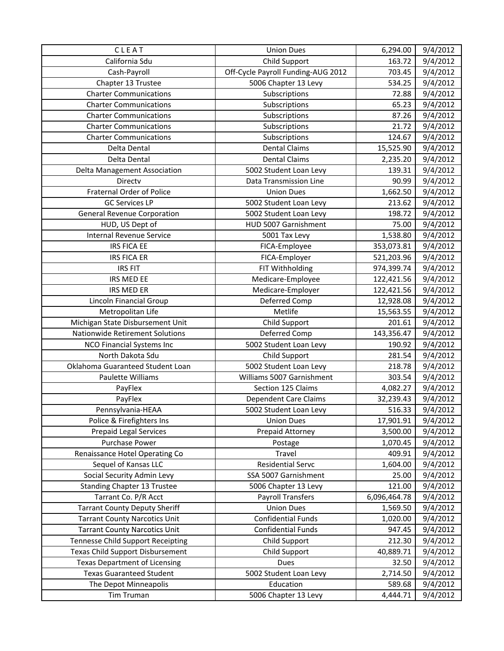| CLEAT                                    | <b>Union Dues</b>                  | 6,294.00     | 9/4/2012 |
|------------------------------------------|------------------------------------|--------------|----------|
| California Sdu                           | Child Support                      | 163.72       | 9/4/2012 |
| Cash-Payroll                             | Off-Cycle Payroll Funding-AUG 2012 | 703.45       | 9/4/2012 |
| Chapter 13 Trustee                       | 5006 Chapter 13 Levy               | 534.25       | 9/4/2012 |
| <b>Charter Communications</b>            | Subscriptions                      | 72.88        | 9/4/2012 |
| <b>Charter Communications</b>            | Subscriptions                      | 65.23        | 9/4/2012 |
| <b>Charter Communications</b>            | Subscriptions                      | 87.26        | 9/4/2012 |
| <b>Charter Communications</b>            | Subscriptions                      | 21.72        | 9/4/2012 |
| <b>Charter Communications</b>            | Subscriptions                      | 124.67       | 9/4/2012 |
| Delta Dental                             | <b>Dental Claims</b>               | 15,525.90    | 9/4/2012 |
| Delta Dental                             | <b>Dental Claims</b>               | 2,235.20     | 9/4/2012 |
| Delta Management Association             | 5002 Student Loan Levy             | 139.31       | 9/4/2012 |
| Directv                                  | Data Transmission Line             | 90.99        | 9/4/2012 |
| <b>Fraternal Order of Police</b>         | <b>Union Dues</b>                  | 1,662.50     | 9/4/2012 |
| <b>GC Services LP</b>                    | 5002 Student Loan Levy             | 213.62       | 9/4/2012 |
| <b>General Revenue Corporation</b>       | 5002 Student Loan Levy             | 198.72       | 9/4/2012 |
| HUD, US Dept of                          | HUD 5007 Garnishment               | 75.00        | 9/4/2012 |
| <b>Internal Revenue Service</b>          | 5001 Tax Levy                      | 1,538.80     | 9/4/2012 |
| <b>IRS FICA EE</b>                       | FICA-Employee                      | 353,073.81   | 9/4/2012 |
| <b>IRS FICA ER</b>                       | FICA-Employer                      | 521,203.96   | 9/4/2012 |
| <b>IRS FIT</b>                           | FIT Withholding                    | 974,399.74   | 9/4/2012 |
| IRS MED EE                               | Medicare-Employee                  | 122,421.56   | 9/4/2012 |
| <b>IRS MED ER</b>                        | Medicare-Employer                  | 122,421.56   | 9/4/2012 |
| Lincoln Financial Group                  | Deferred Comp                      | 12,928.08    | 9/4/2012 |
| Metropolitan Life                        | Metlife                            | 15,563.55    | 9/4/2012 |
| Michigan State Disbursement Unit         | Child Support                      | 201.61       | 9/4/2012 |
| Nationwide Retirement Solutions          | Deferred Comp                      | 143,356.47   | 9/4/2012 |
| NCO Financial Systems Inc                | 5002 Student Loan Levy             | 190.92       | 9/4/2012 |
| North Dakota Sdu                         | Child Support                      | 281.54       | 9/4/2012 |
| Oklahoma Guaranteed Student Loan         | 5002 Student Loan Levy             | 218.78       | 9/4/2012 |
| Paulette Williams                        | Williams 5007 Garnishment          | 303.54       | 9/4/2012 |
| PayFlex                                  | Section 125 Claims                 | 4,082.27     | 9/4/2012 |
| PayFlex                                  | <b>Dependent Care Claims</b>       | 32,239.43    | 9/4/2012 |
| Pennsylvania-HEAA                        | 5002 Student Loan Levy             | 516.33       | 9/4/2012 |
| Police & Firefighters Ins                | <b>Union Dues</b>                  | 17,901.91    | 9/4/2012 |
| <b>Prepaid Legal Services</b>            | Prepaid Attorney                   | 3,500.00     | 9/4/2012 |
| Purchase Power                           | Postage                            | 1,070.45     | 9/4/2012 |
| Renaissance Hotel Operating Co           | Travel                             | 409.91       | 9/4/2012 |
| Sequel of Kansas LLC                     | Residential Servc                  | 1,604.00     | 9/4/2012 |
| Social Security Admin Levy               | SSA 5007 Garnishment               | 25.00        | 9/4/2012 |
| <b>Standing Chapter 13 Trustee</b>       | 5006 Chapter 13 Levy               | 121.00       | 9/4/2012 |
| Tarrant Co. P/R Acct                     | <b>Payroll Transfers</b>           | 6,096,464.78 | 9/4/2012 |
| <b>Tarrant County Deputy Sheriff</b>     | <b>Union Dues</b>                  | 1,569.50     | 9/4/2012 |
| <b>Tarrant County Narcotics Unit</b>     | <b>Confidential Funds</b>          | 1,020.00     | 9/4/2012 |
| <b>Tarrant County Narcotics Unit</b>     | <b>Confidential Funds</b>          | 947.45       | 9/4/2012 |
| <b>Tennesse Child Support Receipting</b> | Child Support                      | 212.30       | 9/4/2012 |
| <b>Texas Child Support Disbursement</b>  | Child Support                      | 40,889.71    | 9/4/2012 |
| <b>Texas Department of Licensing</b>     | Dues                               | 32.50        | 9/4/2012 |
| <b>Texas Guaranteed Student</b>          | 5002 Student Loan Levy             | 2,714.50     | 9/4/2012 |
| The Depot Minneapolis                    | Education                          | 589.68       | 9/4/2012 |
| Tim Truman                               | 5006 Chapter 13 Levy               | 4,444.71     | 9/4/2012 |